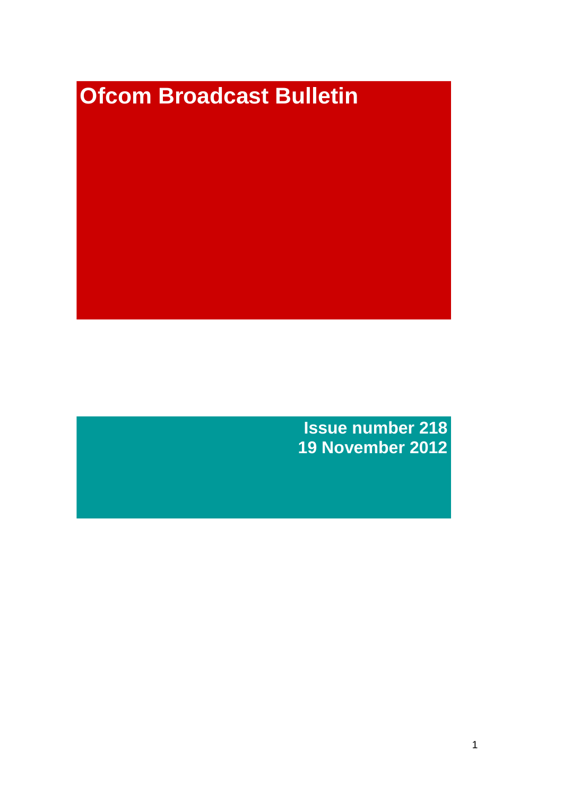# **Ofcom Broadcast Bulletin**

**Issue number 218 19 November 2012**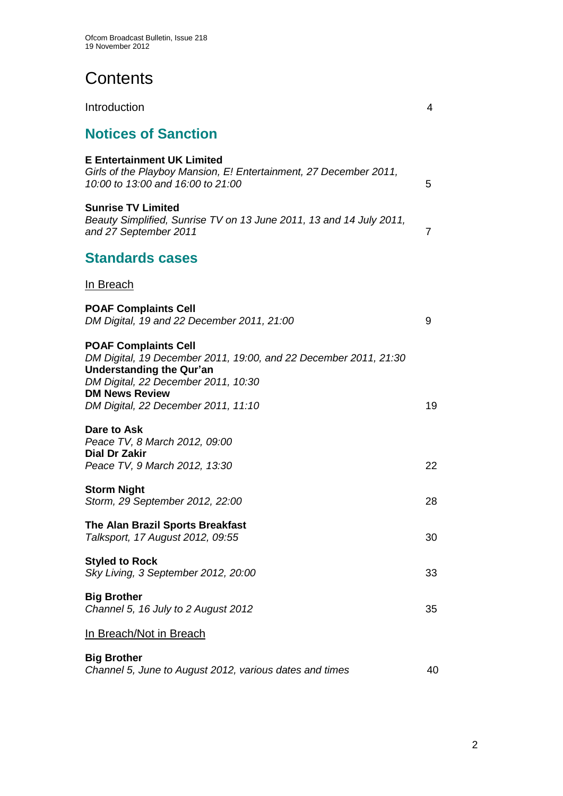**Contents** 

| Introduction                                                                                                                                                                                                                              | 4              |
|-------------------------------------------------------------------------------------------------------------------------------------------------------------------------------------------------------------------------------------------|----------------|
| <b>Notices of Sanction</b>                                                                                                                                                                                                                |                |
| <b>E</b> Entertainment UK Limited<br>Girls of the Playboy Mansion, E! Entertainment, 27 December 2011,<br>10:00 to 13:00 and 16:00 to 21:00                                                                                               | 5              |
| <b>Sunrise TV Limited</b><br>Beauty Simplified, Sunrise TV on 13 June 2011, 13 and 14 July 2011,<br>and 27 September 2011                                                                                                                 | $\overline{7}$ |
| <b>Standards cases</b>                                                                                                                                                                                                                    |                |
| In Breach                                                                                                                                                                                                                                 |                |
| <b>POAF Complaints Cell</b><br>DM Digital, 19 and 22 December 2011, 21:00                                                                                                                                                                 | 9              |
| <b>POAF Complaints Cell</b><br>DM Digital, 19 December 2011, 19:00, and 22 December 2011, 21:30<br><b>Understanding the Qur'an</b><br>DM Digital, 22 December 2011, 10:30<br><b>DM News Review</b><br>DM Digital, 22 December 2011, 11:10 | 19             |
| Dare to Ask<br>Peace TV, 8 March 2012, 09:00<br><b>Dial Dr Zakir</b><br>Peace TV, 9 March 2012, 13:30                                                                                                                                     | 22             |
| <b>Storm Night</b><br>Storm, 29 September 2012, 22:00                                                                                                                                                                                     | 28             |
| The Alan Brazil Sports Breakfast<br>Talksport, 17 August 2012, 09:55                                                                                                                                                                      | 30             |
| <b>Styled to Rock</b><br>Sky Living, 3 September 2012, 20:00                                                                                                                                                                              | 33             |
| <b>Big Brother</b><br>Channel 5, 16 July to 2 August 2012                                                                                                                                                                                 | 35             |
| In Breach/Not in Breach                                                                                                                                                                                                                   |                |
| <b>Big Brother</b><br>Channel 5, June to August 2012, various dates and times                                                                                                                                                             | 40             |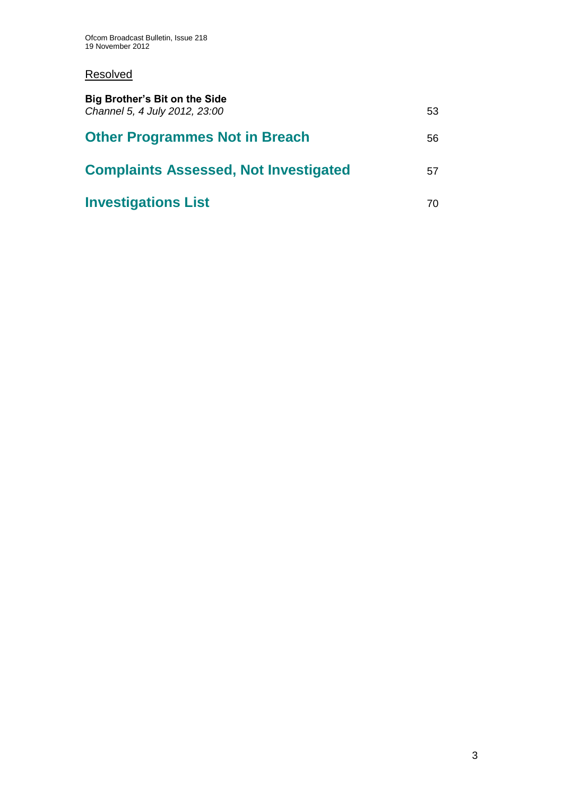## **Resolved**

| <b>Big Brother's Bit on the Side</b><br>Channel 5, 4 July 2012, 23:00 | 53 |
|-----------------------------------------------------------------------|----|
| <b>Other Programmes Not in Breach</b>                                 | 56 |
| <b>Complaints Assessed, Not Investigated</b>                          | 57 |
| <b>Investigations List</b>                                            | 70 |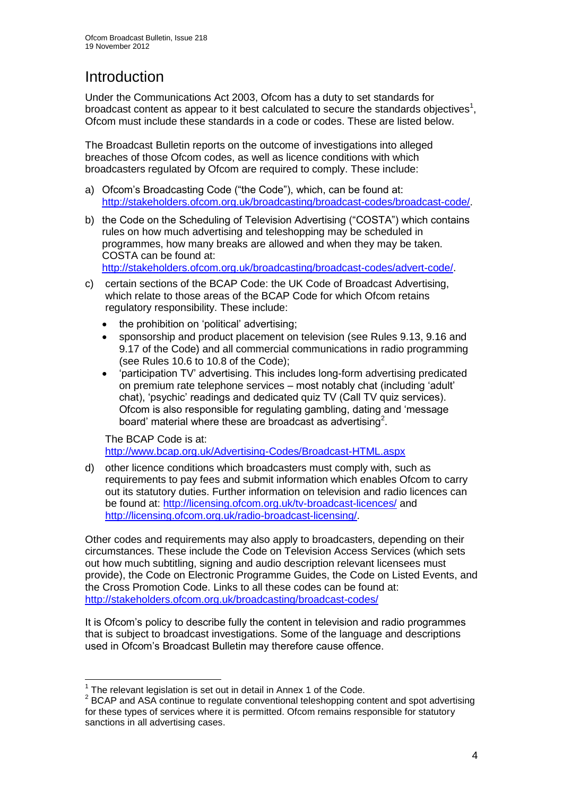# **Introduction**

Under the Communications Act 2003, Ofcom has a duty to set standards for broadcast content as appear to it best calculated to secure the standards objectives<sup>1</sup>, Ofcom must include these standards in a code or codes. These are listed below.

The Broadcast Bulletin reports on the outcome of investigations into alleged breaches of those Ofcom codes, as well as licence conditions with which broadcasters regulated by Ofcom are required to comply. These include:

- a) Ofcom's Broadcasting Code ("the Code"), which, can be found at: [http://stakeholders.ofcom.org.uk/broadcasting/broadcast-codes/broadcast-code/.](http://stakeholders.ofcom.org.uk/broadcasting/broadcast-codes/broadcast-code/)
- b) the Code on the Scheduling of Television Advertising ("COSTA") which contains rules on how much advertising and teleshopping may be scheduled in programmes, how many breaks are allowed and when they may be taken. COSTA can be found at:

[http://stakeholders.ofcom.org.uk/broadcasting/broadcast-codes/advert-code/.](http://stakeholders.ofcom.org.uk/broadcasting/broadcast-codes/advert-code/)

- c) certain sections of the BCAP Code: the UK Code of Broadcast Advertising, which relate to those areas of the BCAP Code for which Ofcom retains regulatory responsibility. These include:
	- the prohibition on 'political' advertising;
	- sponsorship and product placement on television (see Rules 9.13, 9.16 and 9.17 of the Code) and all commercial communications in radio programming (see Rules 10.6 to 10.8 of the Code);
	- 'participation TV' advertising. This includes long-form advertising predicated on premium rate telephone services – most notably chat (including 'adult' chat), 'psychic' readings and dedicated quiz TV (Call TV quiz services). Ofcom is also responsible for regulating gambling, dating and 'message board' material where these are broadcast as advertising<sup>2</sup>.

The BCAP Code is at: <http://www.bcap.org.uk/Advertising-Codes/Broadcast-HTML.aspx>

d) other licence conditions which broadcasters must comply with, such as requirements to pay fees and submit information which enables Ofcom to carry out its statutory duties. Further information on television and radio licences can be found at:<http://licensing.ofcom.org.uk/tv-broadcast-licences/> and [http://licensing.ofcom.org.uk/radio-broadcast-licensing/.](http://licensing.ofcom.org.uk/radio-broadcast-licensing/)

Other codes and requirements may also apply to broadcasters, depending on their circumstances. These include the Code on Television Access Services (which sets out how much subtitling, signing and audio description relevant licensees must provide), the Code on Electronic Programme Guides, the Code on Listed Events, and the Cross Promotion Code. Links to all these codes can be found at: <http://stakeholders.ofcom.org.uk/broadcasting/broadcast-codes/>

It is Ofcom's policy to describe fully the content in television and radio programmes that is subject to broadcast investigations. Some of the language and descriptions used in Ofcom's Broadcast Bulletin may therefore cause offence.

<sup>————————————————————&</sup>lt;br><sup>1</sup> The relevant legislation is set out in detail in Annex 1 of the Code.

 $2$  BCAP and ASA continue to regulate conventional teleshopping content and spot advertising for these types of services where it is permitted. Ofcom remains responsible for statutory sanctions in all advertising cases.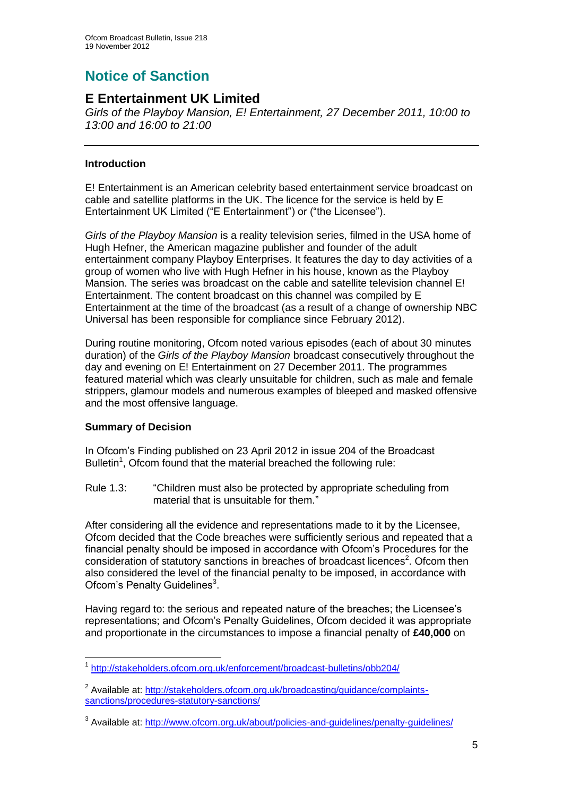# **Notice of Sanction**

## **E Entertainment UK Limited**

*Girls of the Playboy Mansion, E! Entertainment, 27 December 2011, 10:00 to 13:00 and 16:00 to 21:00*

#### **Introduction**

E! Entertainment is an American celebrity based entertainment service broadcast on cable and satellite platforms in the UK. The licence for the service is held by E Entertainment UK Limited ("E Entertainment") or ("the Licensee").

*Girls of the Playboy Mansion* is a reality television series, filmed in the USA home of Hugh Hefner, the American magazine publisher and founder of the adult entertainment company Playboy Enterprises. It features the day to day activities of a group of women who live with Hugh Hefner in his house, known as the Playboy Mansion. The series was broadcast on the cable and satellite television channel E! Entertainment. The content broadcast on this channel was compiled by E Entertainment at the time of the broadcast (as a result of a change of ownership NBC Universal has been responsible for compliance since February 2012).

During routine monitoring, Ofcom noted various episodes (each of about 30 minutes duration) of the *Girls of the Playboy Mansion* broadcast consecutively throughout the day and evening on E! Entertainment on 27 December 2011. The programmes featured material which was clearly unsuitable for children, such as male and female strippers, glamour models and numerous examples of bleeped and masked offensive and the most offensive language.

#### **Summary of Decision**

In Ofcom's Finding published on 23 April 2012 in issue 204 of the Broadcast Bulletin<sup>1</sup>, Ofcom found that the material breached the following rule:

Rule 1.3: "Children must also be protected by appropriate scheduling from material that is unsuitable for them."

After considering all the evidence and representations made to it by the Licensee, Ofcom decided that the Code breaches were sufficiently serious and repeated that a financial penalty should be imposed in accordance with Ofcom's Procedures for the consideration of statutory sanctions in breaches of broadcast licences<sup>2</sup>. Ofcom then also considered the level of the financial penalty to be imposed, in accordance with Ofcom's Penalty Guidelines<sup>3</sup>.

Having regard to: the serious and repeated nature of the breaches; the Licensee's representations; and Ofcom's Penalty Guidelines, Ofcom decided it was appropriate and proportionate in the circumstances to impose a financial penalty of **£40,000** on

<sup>1</sup> 1 <http://stakeholders.ofcom.org.uk/enforcement/broadcast-bulletins/obb204/>

<sup>&</sup>lt;sup>2</sup> Available at: [http://stakeholders.ofcom.org.uk/broadcasting/guidance/complaints](http://stakeholders.ofcom.org.uk/broadcasting/guidance/complaints-sanctions/procedures-statutory-sanctions/)[sanctions/procedures-statutory-sanctions/](http://stakeholders.ofcom.org.uk/broadcasting/guidance/complaints-sanctions/procedures-statutory-sanctions/)

<sup>&</sup>lt;sup>3</sup> Available at:<http://www.ofcom.org.uk/about/policies-and-guidelines/penalty-guidelines/>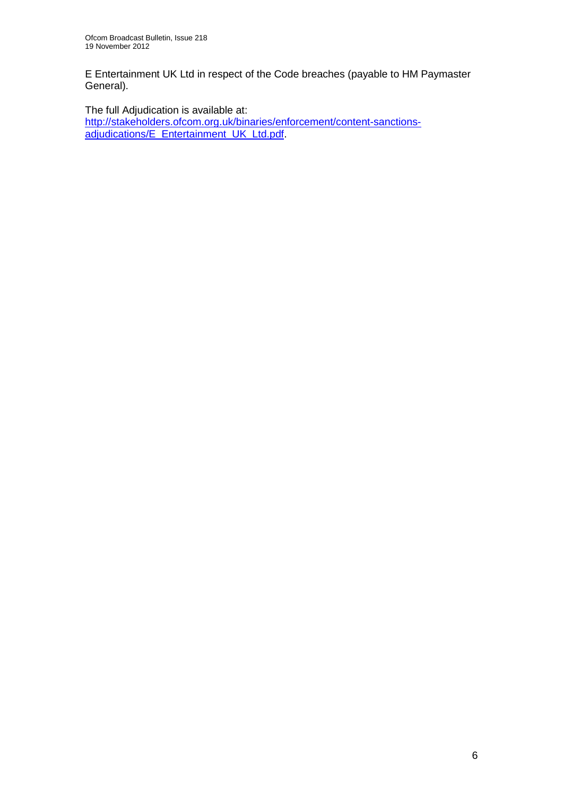E Entertainment UK Ltd in respect of the Code breaches (payable to HM Paymaster General).

The full Adjudication is available at:

[http://stakeholders.ofcom.org.uk/binaries/enforcement/content-sanctions](http://stakeholders.ofcom.org.uk/binaries/enforcement/content-sanctions-adjudications/E_Entertainment_UK_Ltd.pdf)[adjudications/E\\_Entertainment\\_UK\\_Ltd.pdf.](http://stakeholders.ofcom.org.uk/binaries/enforcement/content-sanctions-adjudications/E_Entertainment_UK_Ltd.pdf)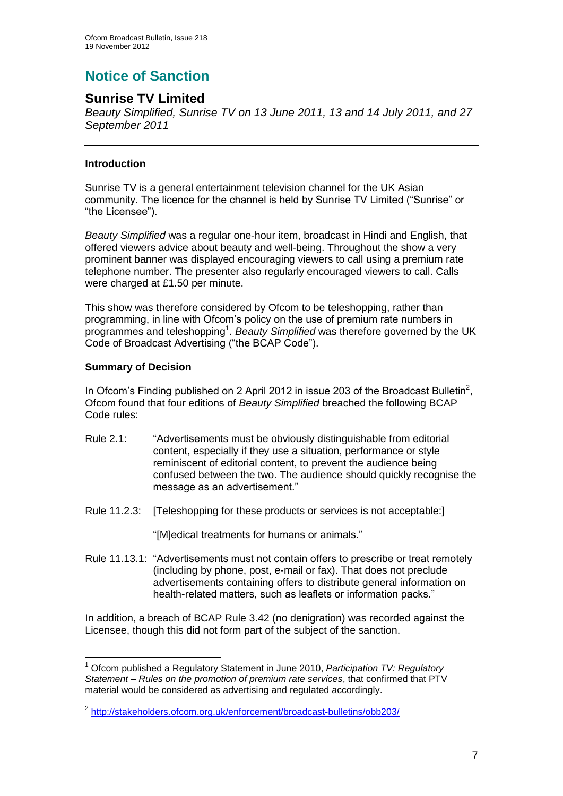# **Notice of Sanction**

## **Sunrise TV Limited**

*Beauty Simplified, Sunrise TV on 13 June 2011, 13 and 14 July 2011, and 27 September 2011*

#### **Introduction**

Sunrise TV is a general entertainment television channel for the UK Asian community. The licence for the channel is held by Sunrise TV Limited ("Sunrise" or "the Licensee").

*Beauty Simplified* was a regular one-hour item, broadcast in Hindi and English, that offered viewers advice about beauty and well-being. Throughout the show a very prominent banner was displayed encouraging viewers to call using a premium rate telephone number. The presenter also regularly encouraged viewers to call. Calls were charged at £1.50 per minute.

This show was therefore considered by Ofcom to be teleshopping, rather than programming, in line with Ofcom's policy on the use of premium rate numbers in programmes and teleshopping<sup>1</sup>. Beauty Simplified was therefore governed by the UK Code of Broadcast Advertising ("the BCAP Code").

#### **Summary of Decision**

In Ofcom's Finding published on 2 April 2012 in issue 203 of the Broadcast Bulletin<sup>2</sup>, Ofcom found that four editions of *Beauty Simplified* breached the following BCAP Code rules:

- Rule 2.1: "Advertisements must be obviously distinguishable from editorial content, especially if they use a situation, performance or style reminiscent of editorial content, to prevent the audience being confused between the two. The audience should quickly recognise the message as an advertisement."
- Rule 11.2.3: [Teleshopping for these products or services is not acceptable:]

"[M]edical treatments for humans or animals."

Rule 11.13.1: "Advertisements must not contain offers to prescribe or treat remotely (including by phone, post, e-mail or fax). That does not preclude advertisements containing offers to distribute general information on health-related matters, such as leaflets or information packs."

In addition, a breach of BCAP Rule 3.42 (no denigration) was recorded against the Licensee, though this did not form part of the subject of the sanction.

<sup>1</sup> <sup>1</sup> Ofcom published a Regulatory Statement in June 2010, *Participation TV: Regulatory Statement – Rules on the promotion of premium rate services*, that confirmed that PTV material would be considered as advertising and regulated accordingly.

<sup>&</sup>lt;sup>2</sup> <http://stakeholders.ofcom.org.uk/enforcement/broadcast-bulletins/obb203/>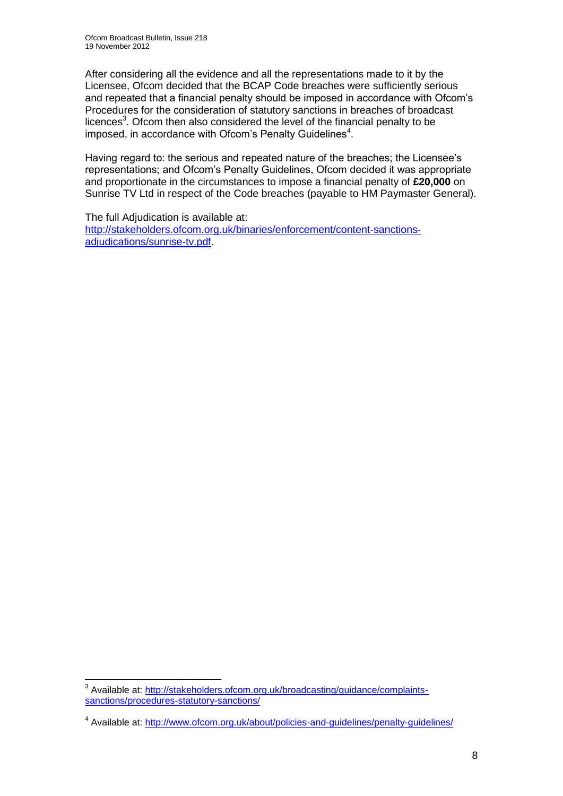After considering all the evidence and all the representations made to it by the Licensee, Ofcom decided that the BCAP Code breaches were sufficiently serious and repeated that a financial penalty should be imposed in accordance with Ofcom's Procedures for the consideration of statutory sanctions in breaches of broadcast licences<sup>3</sup>. Ofcom then also considered the level of the financial penalty to be imposed, in accordance with Ofcom's Penalty Guidelines<sup>4</sup>.

Having regard to: the serious and repeated nature of the breaches; the Licensee's representations; and Ofcom's Penalty Guidelines, Ofcom decided it was appropriate and proportionate in the circumstances to impose a financial penalty of **£20,000** on Sunrise TV Ltd in respect of the Code breaches (payable to HM Paymaster General).

The full Adjudication is available at: [http://stakeholders.ofcom.org.uk/binaries/enforcement/content-sanctions](http://stakeholders.ofcom.org.uk/binaries/enforcement/content-sanctions-adjudications/sunrise-tv.pdf)[adjudications/sunrise-tv.pdf.](http://stakeholders.ofcom.org.uk/binaries/enforcement/content-sanctions-adjudications/sunrise-tv.pdf)

<sup>1</sup> <sup>3</sup> Available at: [http://stakeholders.ofcom.org.uk/broadcasting/guidance/complaints](http://stakeholders.ofcom.org.uk/broadcasting/guidance/complaints-sanctions/procedures-statutory-sanctions/)[sanctions/procedures-statutory-sanctions/](http://stakeholders.ofcom.org.uk/broadcasting/guidance/complaints-sanctions/procedures-statutory-sanctions/)

<sup>&</sup>lt;sup>4</sup> Available at:<http://www.ofcom.org.uk/about/policies-and-guidelines/penalty-guidelines/>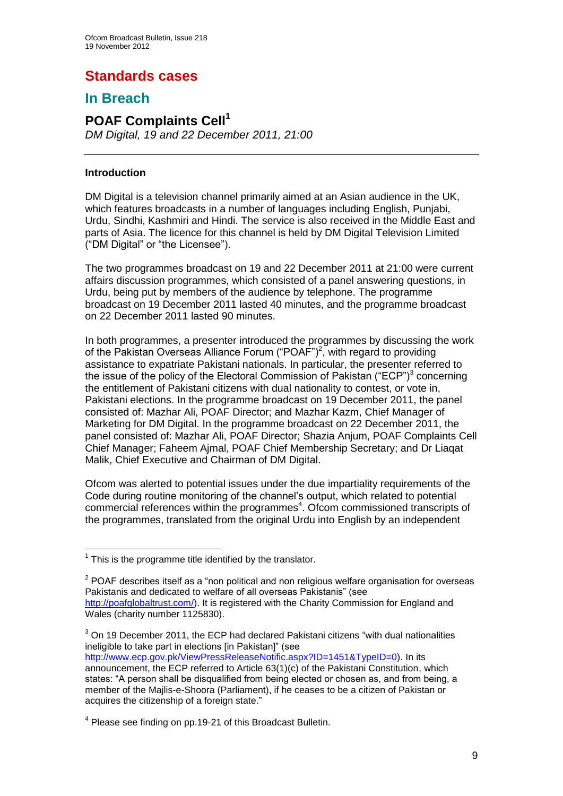# **Standards cases**

## **In Breach**

### **POAF Complaints Cell<sup>1</sup>** *DM Digital, 19 and 22 December 2011, 21:00*

#### **Introduction**

DM Digital is a television channel primarily aimed at an Asian audience in the UK, which features broadcasts in a number of languages including English, Punjabi, Urdu, Sindhi, Kashmiri and Hindi. The service is also received in the Middle East and parts of Asia. The licence for this channel is held by DM Digital Television Limited ("DM Digital" or "the Licensee").

The two programmes broadcast on 19 and 22 December 2011 at 21:00 were current affairs discussion programmes, which consisted of a panel answering questions, in Urdu, being put by members of the audience by telephone. The programme broadcast on 19 December 2011 lasted 40 minutes, and the programme broadcast on 22 December 2011 lasted 90 minutes.

In both programmes, a presenter introduced the programmes by discussing the work of the Pakistan Overseas Alliance Forum ("POAF")<sup>2</sup>, with regard to providing assistance to expatriate Pakistani nationals. In particular, the presenter referred to the issue of the policy of the Electoral Commission of Pakistan ("ECP")<sup>3</sup> concerning the entitlement of Pakistani citizens with dual nationality to contest, or vote in, Pakistani elections. In the programme broadcast on 19 December 2011, the panel consisted of: Mazhar Ali, POAF Director; and Mazhar Kazm, Chief Manager of Marketing for DM Digital. In the programme broadcast on 22 December 2011, the panel consisted of: Mazhar Ali, POAF Director; Shazia Anjum, POAF Complaints Cell Chief Manager; Faheem Ajmal, POAF Chief Membership Secretary; and Dr Liaqat Malik, Chief Executive and Chairman of DM Digital.

Ofcom was alerted to potential issues under the due impartiality requirements of the Code during routine monitoring of the channel's output, which related to potential commercial references within the programmes<sup>4</sup>. Ofcom commissioned transcripts of the programmes, translated from the original Urdu into English by an independent

<sup>1</sup>  $1$  This is the programme title identified by the translator.

 $2$  POAF describes itself as a "non political and non religious welfare organisation for overseas Pakistanis and dedicated to welfare of all overseas Pakistanis" (see [http://poafglobaltrust.com/\)](http://poafglobaltrust.com/). It is registered with the Charity Commission for England and Wales (charity number 1125830).

 $3$  On 19 December 2011, the ECP had declared Pakistani citizens "with dual nationalities ineligible to take part in elections [in Pakistan]" (see

[http://www.ecp.gov.pk/ViewPressReleaseNotific.aspx?ID=1451&TypeID=0\)](http://www.ecp.gov.pk/ViewPressReleaseNotific.aspx?ID=1451&TypeID=0). In its announcement, the ECP referred to Article 63(1)(c) of the Pakistani Constitution, which states: "A person shall be disqualified from being elected or chosen as, and from being, a member of the Majlis-e-Shoora (Parliament), if he ceases to be a citizen of Pakistan or acquires the citizenship of a foreign state."

<sup>&</sup>lt;sup>4</sup> Please see finding on pp.19-21 of this Broadcast Bulletin.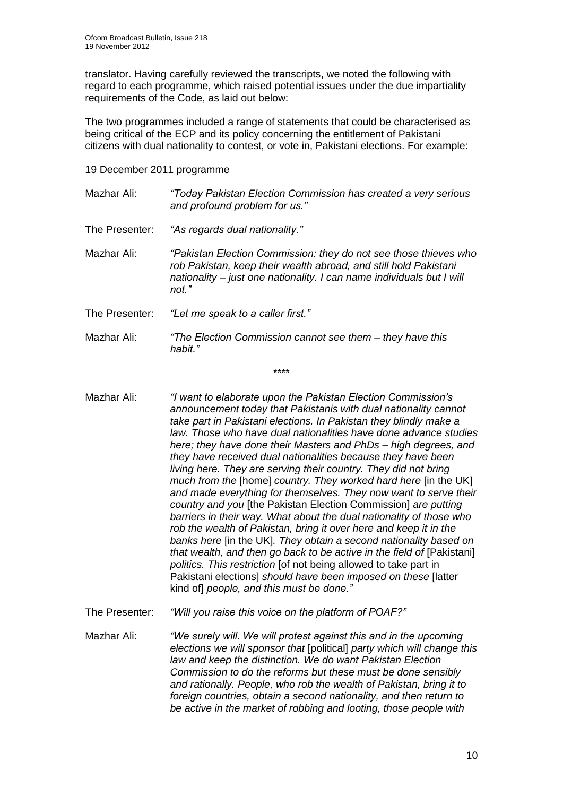translator. Having carefully reviewed the transcripts, we noted the following with regard to each programme, which raised potential issues under the due impartiality requirements of the Code, as laid out below:

The two programmes included a range of statements that could be characterised as being critical of the ECP and its policy concerning the entitlement of Pakistani citizens with dual nationality to contest, or vote in, Pakistani elections. For example:

#### 19 December 2011 programme

- Mazhar Ali: *"Today Pakistan Election Commission has created a very serious and profound problem for us."*
- The Presenter: *"As regards dual nationality."*
- Mazhar Ali: *"Pakistan Election Commission: they do not see those thieves who rob Pakistan, keep their wealth abroad, and still hold Pakistani nationality – just one nationality. I can name individuals but I will not."*
- The Presenter: *"Let me speak to a caller first."*
- Mazhar Ali: *"The Election Commission cannot see them – they have this habit."*

\*\*\*\*

- Mazhar Ali: *"I want to elaborate upon the Pakistan Election Commission's announcement today that Pakistanis with dual nationality cannot take part in Pakistani elections. In Pakistan they blindly make a law. Those who have dual nationalities have done advance studies here; they have done their Masters and PhDs – high degrees, and they have received dual nationalities because they have been living here. They are serving their country. They did not bring much from the* [home] *country. They worked hard here* [in the UK] *and made everything for themselves. They now want to serve their country and you* [the Pakistan Election Commission] *are putting barriers in their way. What about the dual nationality of those who rob the wealth of Pakistan, bring it over here and keep it in the banks here* [in the UK]*. They obtain a second nationality based on that wealth, and then go back to be active in the field of* [Pakistani] *politics. This restriction* [of not being allowed to take part in Pakistani elections] *should have been imposed on these* [latter kind of] *people, and this must be done."*
- The Presenter: *"Will you raise this voice on the platform of POAF?"*
- Mazhar Ali: *"We surely will. We will protest against this and in the upcoming elections we will sponsor that* [political] *party which will change this law and keep the distinction. We do want Pakistan Election Commission to do the reforms but these must be done sensibly and rationally. People, who rob the wealth of Pakistan, bring it to foreign countries, obtain a second nationality, and then return to be active in the market of robbing and looting, those people with*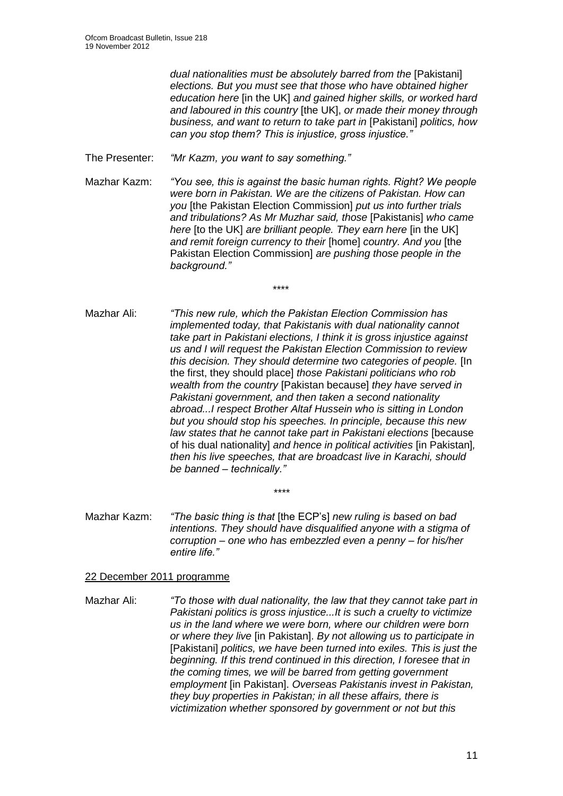*dual nationalities must be absolutely barred from the* [Pakistani] *elections. But you must see that those who have obtained higher education here* [in the UK] *and gained higher skills, or worked hard and laboured in this country* [the UK], *or made their money through business, and want to return to take part in* [Pakistani] *politics, how can you stop them? This is injustice, gross injustice."*

The Presenter: *"Mr Kazm, you want to say something."*

Mazhar Kazm: *"You see, this is against the basic human rights. Right? We people were born in Pakistan. We are the citizens of Pakistan. How can you* [the Pakistan Election Commission] *put us into further trials and tribulations? As Mr Muzhar said, those* [Pakistanis] *who came here* [to the UK] *are brilliant people. They earn here* [in the UK] *and remit foreign currency to their* [home] *country. And you* [the Pakistan Election Commission] *are pushing those people in the background."*

\*\*\*\*

- Mazhar Ali: *"This new rule, which the Pakistan Election Commission has implemented today, that Pakistanis with dual nationality cannot take part in Pakistani elections, I think it is gross injustice against us and I will request the Pakistan Election Commission to review this decision. They should determine two categories of people.* [In the first, they should place] *those Pakistani politicians who rob wealth from the country* [Pakistan because] *they have served in Pakistani government, and then taken a second nationality abroad...I respect Brother Altaf Hussein who is sitting in London but you should stop his speeches. In principle, because this new*  law states that he cannot take part in Pakistani elections [because of his dual nationality] *and hence in political activities* [in Pakistan]*, then his live speeches, that are broadcast live in Karachi, should be banned – technically."*
- Mazhar Kazm: *"The basic thing is that* [the ECP's] *new ruling is based on bad intentions. They should have disqualified anyone with a stigma of corruption – one who has embezzled even a penny – for his/her entire life."*

*\*\*\*\**

#### 22 December 2011 programme

Mazhar Ali: *"To those with dual nationality, the law that they cannot take part in Pakistani politics is gross injustice...It is such a cruelty to victimize us in the land where we were born, where our children were born or where they live* [in Pakistan]. *By not allowing us to participate in* [Pakistani] *politics, we have been turned into exiles. This is just the beginning. If this trend continued in this direction, I foresee that in the coming times, we will be barred from getting government employment* [in Pakistan]. *Overseas Pakistanis invest in Pakistan, they buy properties in Pakistan; in all these affairs, there is victimization whether sponsored by government or not but this*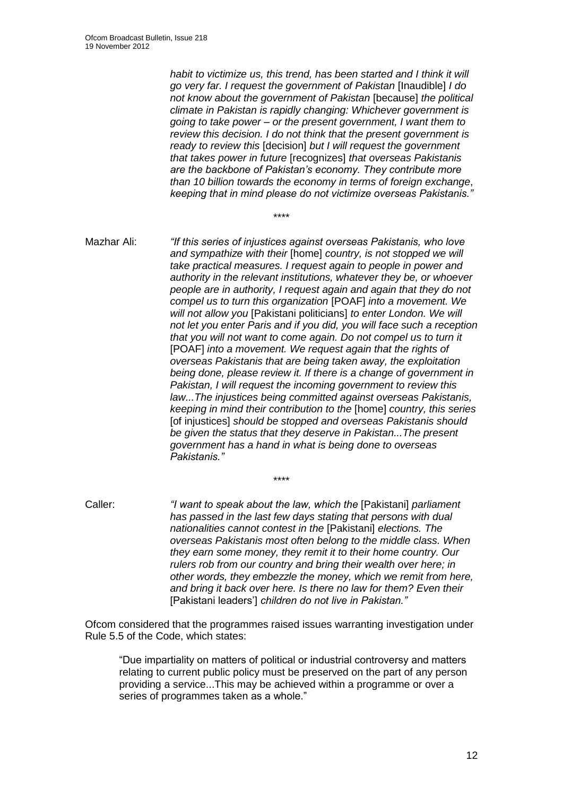*habit to victimize us, this trend, has been started and I think it will go very far. I request the government of Pakistan* [Inaudible] *I do not know about the government of Pakistan* [because] *the political climate in Pakistan is rapidly changing: Whichever government is going to take power – or the present government, I want them to review this decision. I do not think that the present government is ready to review this* [decision] *but I will request the government that takes power in future* [recognizes] *that overseas Pakistanis are the backbone of Pakistan's economy. They contribute more than 10 billion towards the economy in terms of foreign exchange*, *keeping that in mind please do not victimize overseas Pakistanis."*

Mazhar Ali: *"If this series of injustices against overseas Pakistanis, who love and sympathize with their* [home] *country, is not stopped we will take practical measures. I request again to people in power and authority in the relevant institutions, whatever they be, or whoever people are in authority, I request again and again that they do not compel us to turn this organization* [POAF] *into a movement. We will not allow you* [Pakistani politicians] *to enter London. We will not let you enter Paris and if you did, you will face such a reception that you will not want to come again. Do not compel us to turn it* [POAF] *into a movement. We request again that the rights of overseas Pakistanis that are being taken away, the exploitation being done, please review it. If there is a change of government in Pakistan, I will request the incoming government to review this law...The injustices being committed against overseas Pakistanis, keeping in mind their contribution to the* [home] *country, this series* [of injustices] *should be stopped and overseas Pakistanis should be given the status that they deserve in Pakistan...The present government has a hand in what is being done to overseas Pakistanis."*

\*\*\*\*

Caller: *"I want to speak about the law, which the* [Pakistani] *parliament has passed in the last few days stating that persons with dual nationalities cannot contest in the* [Pakistani] *elections. The overseas Pakistanis most often belong to the middle class. When they earn some money, they remit it to their home country. Our rulers rob from our country and bring their wealth over here; in other words, they embezzle the money, which we remit from here, and bring it back over here. Is there no law for them? Even their*  [Pakistani leaders'] *children do not live in Pakistan."*

\*\*\*\*

Ofcom considered that the programmes raised issues warranting investigation under Rule 5.5 of the Code, which states:

"Due impartiality on matters of political or industrial controversy and matters relating to current public policy must be preserved on the part of any person providing a service...This may be achieved within a programme or over a series of programmes taken as a whole."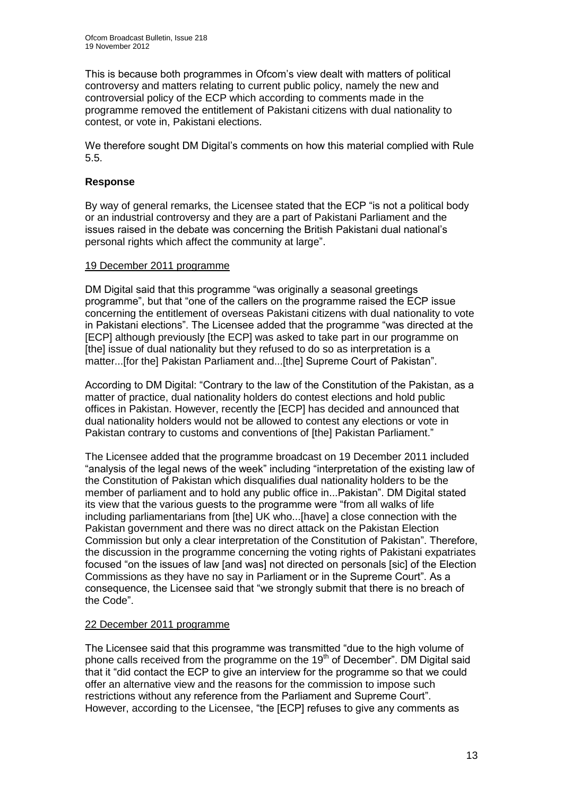This is because both programmes in Ofcom's view dealt with matters of political controversy and matters relating to current public policy, namely the new and controversial policy of the ECP which according to comments made in the programme removed the entitlement of Pakistani citizens with dual nationality to contest, or vote in, Pakistani elections.

We therefore sought DM Digital's comments on how this material complied with Rule 5.5.

#### **Response**

By way of general remarks, the Licensee stated that the ECP "is not a political body or an industrial controversy and they are a part of Pakistani Parliament and the issues raised in the debate was concerning the British Pakistani dual national's personal rights which affect the community at large".

#### 19 December 2011 programme

DM Digital said that this programme "was originally a seasonal greetings programme", but that "one of the callers on the programme raised the ECP issue concerning the entitlement of overseas Pakistani citizens with dual nationality to vote in Pakistani elections". The Licensee added that the programme "was directed at the [ECP] although previously [the ECP] was asked to take part in our programme on [the] issue of dual nationality but they refused to do so as interpretation is a matter...[for the] Pakistan Parliament and...[the] Supreme Court of Pakistan".

According to DM Digital: "Contrary to the law of the Constitution of the Pakistan, as a matter of practice, dual nationality holders do contest elections and hold public offices in Pakistan. However, recently the [ECP] has decided and announced that dual nationality holders would not be allowed to contest any elections or vote in Pakistan contrary to customs and conventions of [the] Pakistan Parliament."

The Licensee added that the programme broadcast on 19 December 2011 included "analysis of the legal news of the week" including "interpretation of the existing law of the Constitution of Pakistan which disqualifies dual nationality holders to be the member of parliament and to hold any public office in...Pakistan". DM Digital stated its view that the various guests to the programme were "from all walks of life including parliamentarians from [the] UK who...[have] a close connection with the Pakistan government and there was no direct attack on the Pakistan Election Commission but only a clear interpretation of the Constitution of Pakistan". Therefore, the discussion in the programme concerning the voting rights of Pakistani expatriates focused "on the issues of law [and was] not directed on personals [sic] of the Election Commissions as they have no say in Parliament or in the Supreme Court". As a consequence, the Licensee said that "we strongly submit that there is no breach of the Code".

#### 22 December 2011 programme

The Licensee said that this programme was transmitted "due to the high volume of phone calls received from the programme on the  $19<sup>th</sup>$  of December". DM Digital said that it "did contact the ECP to give an interview for the programme so that we could offer an alternative view and the reasons for the commission to impose such restrictions without any reference from the Parliament and Supreme Court". However, according to the Licensee, "the [ECP] refuses to give any comments as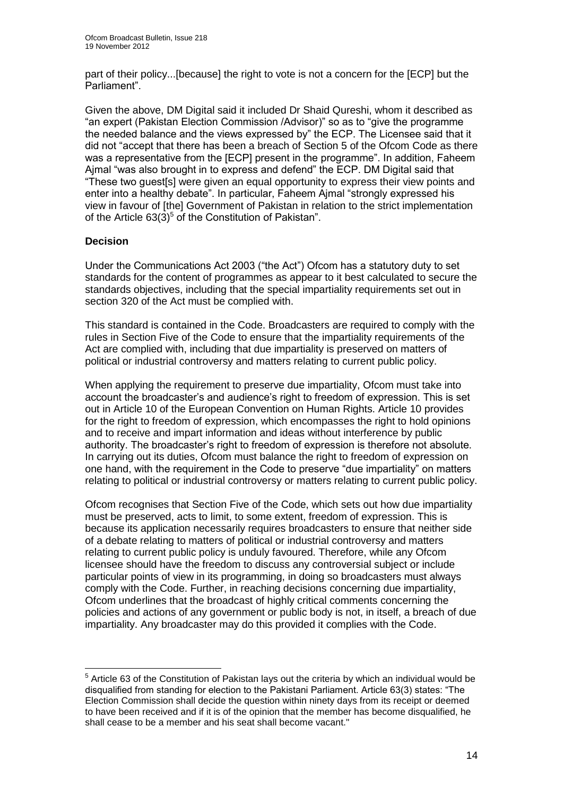part of their policy...[because] the right to vote is not a concern for the [ECP] but the Parliament".

Given the above, DM Digital said it included Dr Shaid Qureshi, whom it described as "an expert (Pakistan Election Commission /Advisor)" so as to "give the programme the needed balance and the views expressed by" the ECP. The Licensee said that it did not "accept that there has been a breach of Section 5 of the Ofcom Code as there was a representative from the [ECP] present in the programme". In addition, Faheem Ajmal "was also brought in to express and defend" the ECP. DM Digital said that "These two guest[s] were given an equal opportunity to express their view points and enter into a healthy debate". In particular, Faheem Ajmal "strongly expressed his view in favour of [the] Government of Pakistan in relation to the strict implementation of the Article  $63(3)^5$  of the Constitution of Pakistan".

#### **Decision**

1

Under the Communications Act 2003 ("the Act") Ofcom has a statutory duty to set standards for the content of programmes as appear to it best calculated to secure the standards objectives, including that the special impartiality requirements set out in section 320 of the Act must be complied with.

This standard is contained in the Code. Broadcasters are required to comply with the rules in Section Five of the Code to ensure that the impartiality requirements of the Act are complied with, including that due impartiality is preserved on matters of political or industrial controversy and matters relating to current public policy.

When applying the requirement to preserve due impartiality, Ofcom must take into account the broadcaster's and audience's right to freedom of expression. This is set out in Article 10 of the European Convention on Human Rights. Article 10 provides for the right to freedom of expression, which encompasses the right to hold opinions and to receive and impart information and ideas without interference by public authority. The broadcaster's right to freedom of expression is therefore not absolute. In carrying out its duties, Ofcom must balance the right to freedom of expression on one hand, with the requirement in the Code to preserve "due impartiality" on matters relating to political or industrial controversy or matters relating to current public policy.

Ofcom recognises that Section Five of the Code, which sets out how due impartiality must be preserved, acts to limit, to some extent, freedom of expression. This is because its application necessarily requires broadcasters to ensure that neither side of a debate relating to matters of political or industrial controversy and matters relating to current public policy is unduly favoured. Therefore, while any Ofcom licensee should have the freedom to discuss any controversial subject or include particular points of view in its programming, in doing so broadcasters must always comply with the Code. Further, in reaching decisions concerning due impartiality, Ofcom underlines that the broadcast of highly critical comments concerning the policies and actions of any government or public body is not, in itself, a breach of due impartiality. Any broadcaster may do this provided it complies with the Code.

 $<sup>5</sup>$  Article 63 of the Constitution of Pakistan lays out the criteria by which an individual would be</sup> disqualified from standing for election to the Pakistani Parliament. Article 63(3) states: "The Election Commission shall decide the question within ninety days from its receipt or deemed to have been received and if it is of the opinion that the member has become disqualified, he shall cease to be a member and his seat shall become vacant."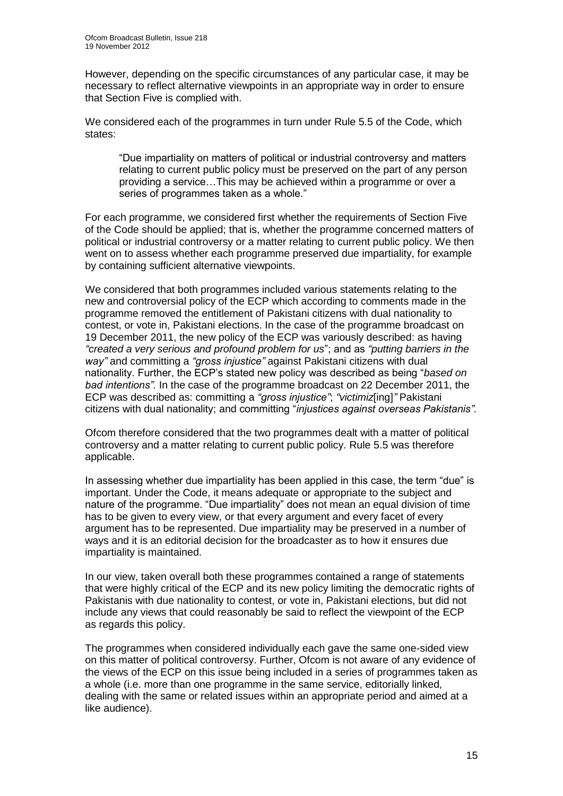However, depending on the specific circumstances of any particular case, it may be necessary to reflect alternative viewpoints in an appropriate way in order to ensure that Section Five is complied with.

We considered each of the programmes in turn under Rule 5.5 of the Code, which states:

"Due impartiality on matters of political or industrial controversy and matters relating to current public policy must be preserved on the part of any person providing a service…This may be achieved within a programme or over a series of programmes taken as a whole."

For each programme, we considered first whether the requirements of Section Five of the Code should be applied; that is, whether the programme concerned matters of political or industrial controversy or a matter relating to current public policy. We then went on to assess whether each programme preserved due impartiality, for example by containing sufficient alternative viewpoints.

We considered that both programmes included various statements relating to the new and controversial policy of the ECP which according to comments made in the programme removed the entitlement of Pakistani citizens with dual nationality to contest, or vote in, Pakistani elections. In the case of the programme broadcast on 19 December 2011, the new policy of the ECP was variously described: as having *"created a very serious and profound problem for us*"; and as *"putting barriers in the way"* and committing a *"gross injustice"* against Pakistani citizens with dual nationality. Further, the ECP's stated new policy was described as being "*based on bad intentions".* In the case of the programme broadcast on 22 December 2011, the ECP was described as: committing a *"gross injustice"*; *"victimiz*[ing]*"* Pakistani citizens with dual nationality; and committing "*injustices against overseas Pakistanis".*

Ofcom therefore considered that the two programmes dealt with a matter of political controversy and a matter relating to current public policy. Rule 5.5 was therefore applicable.

In assessing whether due impartiality has been applied in this case, the term "due" is important. Under the Code, it means adequate or appropriate to the subject and nature of the programme. "Due impartiality" does not mean an equal division of time has to be given to every view, or that every argument and every facet of every argument has to be represented. Due impartiality may be preserved in a number of ways and it is an editorial decision for the broadcaster as to how it ensures due impartiality is maintained.

In our view, taken overall both these programmes contained a range of statements that were highly critical of the ECP and its new policy limiting the democratic rights of Pakistanis with due nationality to contest, or vote in, Pakistani elections, but did not include any views that could reasonably be said to reflect the viewpoint of the ECP as regards this policy.

The programmes when considered individually each gave the same one-sided view on this matter of political controversy. Further, Ofcom is not aware of any evidence of the views of the ECP on this issue being included in a series of programmes taken as a whole (i.e. more than one programme in the same service, editorially linked, dealing with the same or related issues within an appropriate period and aimed at a like audience).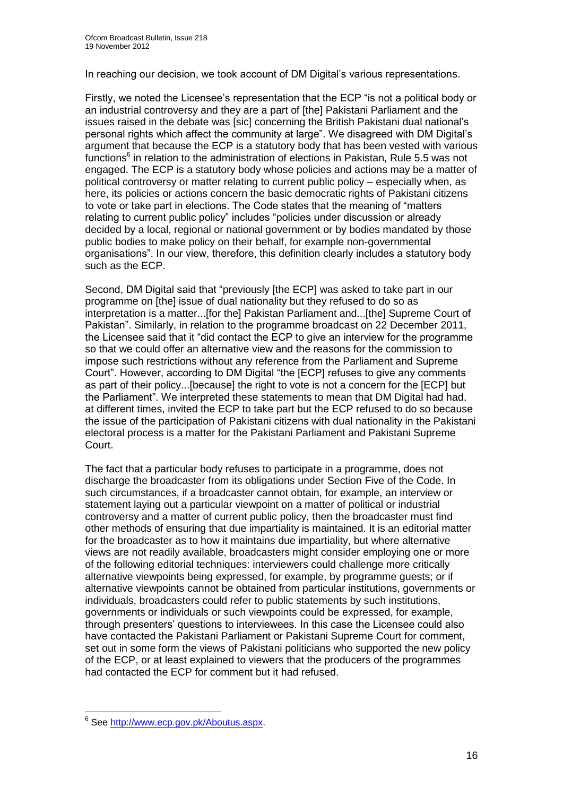In reaching our decision, we took account of DM Digital's various representations.

Firstly, we noted the Licensee's representation that the ECP "is not a political body or an industrial controversy and they are a part of [the] Pakistani Parliament and the issues raised in the debate was [sic] concerning the British Pakistani dual national's personal rights which affect the community at large". We disagreed with DM Digital's argument that because the ECP is a statutory body that has been vested with various functions<sup>6</sup> in relation to the administration of elections in Pakistan, Rule 5.5 was not engaged. The ECP is a statutory body whose policies and actions may be a matter of political controversy or matter relating to current public policy – especially when, as here, its policies or actions concern the basic democratic rights of Pakistani citizens to vote or take part in elections. The Code states that the meaning of "matters relating to current public policy" includes "policies under discussion or already decided by a local, regional or national government or by bodies mandated by those public bodies to make policy on their behalf, for example non-governmental organisations". In our view, therefore, this definition clearly includes a statutory body such as the ECP.

Second, DM Digital said that "previously [the ECP] was asked to take part in our programme on [the] issue of dual nationality but they refused to do so as interpretation is a matter...[for the] Pakistan Parliament and...[the] Supreme Court of Pakistan". Similarly, in relation to the programme broadcast on 22 December 2011, the Licensee said that it "did contact the ECP to give an interview for the programme so that we could offer an alternative view and the reasons for the commission to impose such restrictions without any reference from the Parliament and Supreme Court". However, according to DM Digital "the [ECP] refuses to give any comments as part of their policy...[because] the right to vote is not a concern for the [ECP] but the Parliament". We interpreted these statements to mean that DM Digital had had, at different times, invited the ECP to take part but the ECP refused to do so because the issue of the participation of Pakistani citizens with dual nationality in the Pakistani electoral process is a matter for the Pakistani Parliament and Pakistani Supreme Court.

The fact that a particular body refuses to participate in a programme, does not discharge the broadcaster from its obligations under Section Five of the Code. In such circumstances, if a broadcaster cannot obtain, for example, an interview or statement laying out a particular viewpoint on a matter of political or industrial controversy and a matter of current public policy, then the broadcaster must find other methods of ensuring that due impartiality is maintained. It is an editorial matter for the broadcaster as to how it maintains due impartiality, but where alternative views are not readily available, broadcasters might consider employing one or more of the following editorial techniques: interviewers could challenge more critically alternative viewpoints being expressed, for example, by programme guests; or if alternative viewpoints cannot be obtained from particular institutions, governments or individuals, broadcasters could refer to public statements by such institutions, governments or individuals or such viewpoints could be expressed, for example, through presenters' questions to interviewees. In this case the Licensee could also have contacted the Pakistani Parliament or Pakistani Supreme Court for comment, set out in some form the views of Pakistani politicians who supported the new policy of the ECP, or at least explained to viewers that the producers of the programmes had contacted the ECP for comment but it had refused.

 6 See [http://www.ecp.gov.pk/Aboutus.aspx.](http://www.ecp.gov.pk/Aboutus.aspx)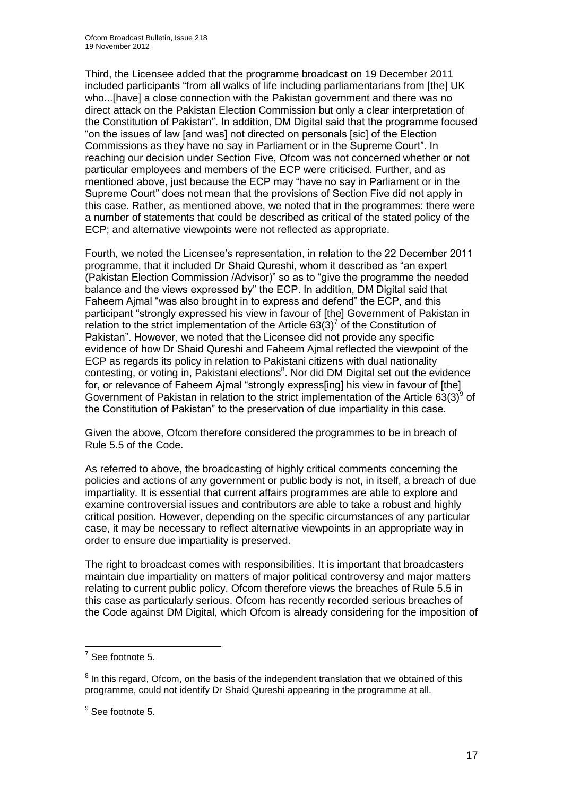Third, the Licensee added that the programme broadcast on 19 December 2011 included participants "from all walks of life including parliamentarians from [the] UK who...[have] a close connection with the Pakistan government and there was no direct attack on the Pakistan Election Commission but only a clear interpretation of the Constitution of Pakistan". In addition, DM Digital said that the programme focused "on the issues of law [and was] not directed on personals [sic] of the Election Commissions as they have no say in Parliament or in the Supreme Court". In reaching our decision under Section Five, Ofcom was not concerned whether or not particular employees and members of the ECP were criticised. Further, and as mentioned above, just because the ECP may "have no say in Parliament or in the Supreme Court" does not mean that the provisions of Section Five did not apply in this case. Rather, as mentioned above, we noted that in the programmes: there were a number of statements that could be described as critical of the stated policy of the ECP; and alternative viewpoints were not reflected as appropriate.

Fourth, we noted the Licensee's representation, in relation to the 22 December 2011 programme, that it included Dr Shaid Qureshi, whom it described as "an expert (Pakistan Election Commission /Advisor)" so as to "give the programme the needed balance and the views expressed by" the ECP. In addition, DM Digital said that Faheem Ajmal "was also brought in to express and defend" the ECP, and this participant "strongly expressed his view in favour of [the] Government of Pakistan in relation to the strict implementation of the Article  $63(3)^7$  of the Constitution of Pakistan". However, we noted that the Licensee did not provide any specific evidence of how Dr Shaid Qureshi and Faheem Ajmal reflected the viewpoint of the ECP as regards its policy in relation to Pakistani citizens with dual nationality contesting, or voting in, Pakistani elections<sup>8</sup>. Nor did DM Digital set out the evidence for, or relevance of Faheem Ajmal "strongly express[ing] his view in favour of [the] Government of Pakistan in relation to the strict implementation of the Article  $63(3)^9$  of the Constitution of Pakistan" to the preservation of due impartiality in this case.

Given the above, Ofcom therefore considered the programmes to be in breach of Rule 5.5 of the Code.

As referred to above, the broadcasting of highly critical comments concerning the policies and actions of any government or public body is not, in itself, a breach of due impartiality. It is essential that current affairs programmes are able to explore and examine controversial issues and contributors are able to take a robust and highly critical position. However, depending on the specific circumstances of any particular case, it may be necessary to reflect alternative viewpoints in an appropriate way in order to ensure due impartiality is preserved.

The right to broadcast comes with responsibilities. It is important that broadcasters maintain due impartiality on matters of major political controversy and major matters relating to current public policy. Ofcom therefore views the breaches of Rule 5.5 in this case as particularly serious. Ofcom has recently recorded serious breaches of the Code against DM Digital, which Ofcom is already considering for the imposition of

 $\frac{1}{7}$  See footnote 5.

 $8$  In this regard, Ofcom, on the basis of the independent translation that we obtained of this programme, could not identify Dr Shaid Qureshi appearing in the programme at all.

<sup>&</sup>lt;sup>9</sup> See footnote 5.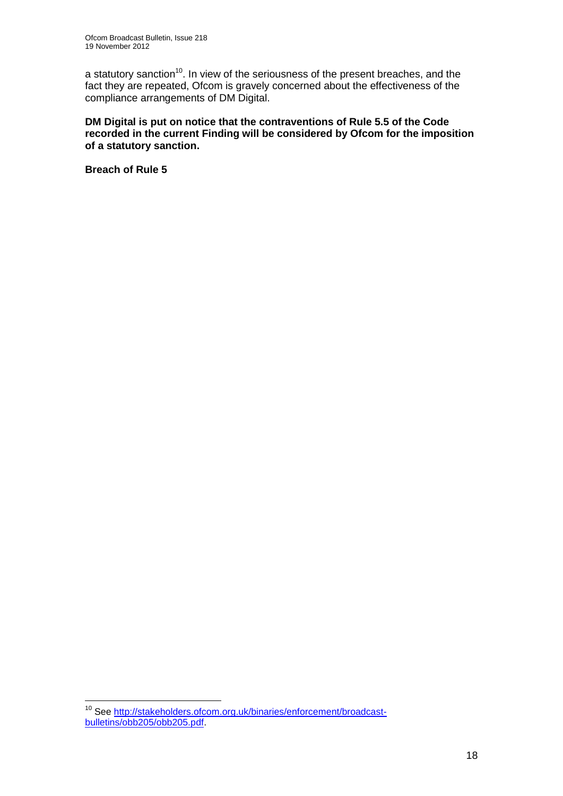a statutory sanction<sup>10</sup>. In view of the seriousness of the present breaches, and the fact they are repeated, Ofcom is gravely concerned about the effectiveness of the compliance arrangements of DM Digital.

**DM Digital is put on notice that the contraventions of Rule 5.5 of the Code recorded in the current Finding will be considered by Ofcom for the imposition of a statutory sanction.**

**Breach of Rule 5**

1

<sup>&</sup>lt;sup>10</sup> See [http://stakeholders.ofcom.org.uk/binaries/enforcement/broadcast](http://stakeholders.ofcom.org.uk/binaries/enforcement/broadcast-bulletins/obb205/obb205.pdf)[bulletins/obb205/obb205.pdf.](http://stakeholders.ofcom.org.uk/binaries/enforcement/broadcast-bulletins/obb205/obb205.pdf)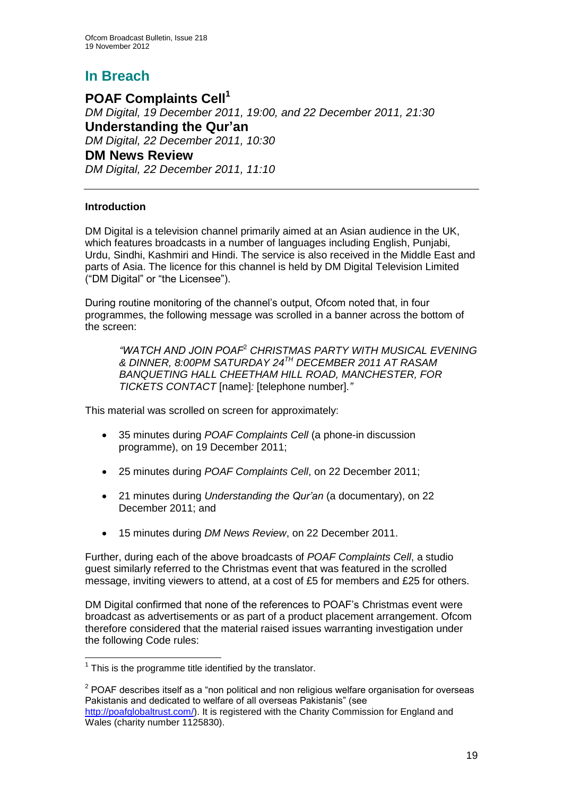## **In Breach**

**POAF Complaints Cell<sup>1</sup>** *DM Digital, 19 December 2011, 19:00, and 22 December 2011, 21:30* **Understanding the Qur'an** *DM Digital, 22 December 2011, 10:30* **DM News Review** *DM Digital, 22 December 2011, 11:10*

#### **Introduction**

DM Digital is a television channel primarily aimed at an Asian audience in the UK, which features broadcasts in a number of languages including English, Punjabi, Urdu, Sindhi, Kashmiri and Hindi. The service is also received in the Middle East and parts of Asia. The licence for this channel is held by DM Digital Television Limited ("DM Digital" or "the Licensee").

During routine monitoring of the channel's output, Ofcom noted that, in four programmes, the following message was scrolled in a banner across the bottom of the screen:

*"WATCH AND JOIN POAF*<sup>2</sup> *CHRISTMAS PARTY WITH MUSICAL EVENING & DINNER, 8:00PM SATURDAY 24TH DECEMBER 2011 AT RASAM BANQUETING HALL CHEETHAM HILL ROAD, MANCHESTER, FOR TICKETS CONTACT* [name]*:* [telephone number]*."*

This material was scrolled on screen for approximately:

- 35 minutes during *POAF Complaints Cell* (a phone-in discussion programme), on 19 December 2011;
- 25 minutes during *POAF Complaints Cell*, on 22 December 2011;
- 21 minutes during *Understanding the Qur'an* (a documentary), on 22 December 2011; and
- 15 minutes during *DM News Review*, on 22 December 2011.

Further, during each of the above broadcasts of *POAF Complaints Cell*, a studio guest similarly referred to the Christmas event that was featured in the scrolled message, inviting viewers to attend, at a cost of £5 for members and £25 for others.

DM Digital confirmed that none of the references to POAF's Christmas event were broadcast as advertisements or as part of a product placement arrangement. Ofcom therefore considered that the material raised issues warranting investigation under the following Code rules:

1

 $1$  This is the programme title identified by the translator.

 $2$  POAF describes itself as a "non political and non religious welfare organisation for overseas Pakistanis and dedicated to welfare of all overseas Pakistanis" (see

[http://poafglobaltrust.com/\)](http://poafglobaltrust.com/). It is registered with the Charity Commission for England and Wales (charity number 1125830).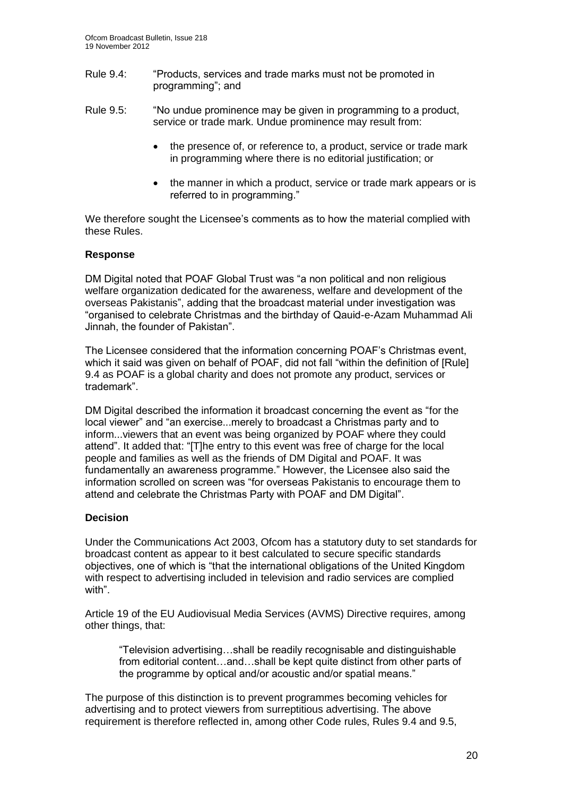- Rule 9.4: "Products, services and trade marks must not be promoted in programming"; and
- Rule 9.5: "No undue prominence may be given in programming to a product, service or trade mark. Undue prominence may result from:
	- the presence of, or reference to, a product, service or trade mark in programming where there is no editorial justification; or
	- the manner in which a product, service or trade mark appears or is referred to in programming."

We therefore sought the Licensee's comments as to how the material complied with these Rules.

#### **Response**

DM Digital noted that POAF Global Trust was "a non political and non religious welfare organization dedicated for the awareness, welfare and development of the overseas Pakistanis", adding that the broadcast material under investigation was "organised to celebrate Christmas and the birthday of Qauid-e-Azam Muhammad Ali Jinnah, the founder of Pakistan".

The Licensee considered that the information concerning POAF's Christmas event, which it said was given on behalf of POAF, did not fall "within the definition of [Rule] 9.4 as POAF is a global charity and does not promote any product, services or trademark".

DM Digital described the information it broadcast concerning the event as "for the local viewer" and "an exercise...merely to broadcast a Christmas party and to inform...viewers that an event was being organized by POAF where they could attend". It added that: "[T]he entry to this event was free of charge for the local people and families as well as the friends of DM Digital and POAF. It was fundamentally an awareness programme." However, the Licensee also said the information scrolled on screen was "for overseas Pakistanis to encourage them to attend and celebrate the Christmas Party with POAF and DM Digital".

#### **Decision**

Under the Communications Act 2003, Ofcom has a statutory duty to set standards for broadcast content as appear to it best calculated to secure specific standards objectives, one of which is "that the international obligations of the United Kingdom with respect to advertising included in television and radio services are complied with".

Article 19 of the EU Audiovisual Media Services (AVMS) Directive requires, among other things, that:

"Television advertising…shall be readily recognisable and distinguishable from editorial content…and…shall be kept quite distinct from other parts of the programme by optical and/or acoustic and/or spatial means."

The purpose of this distinction is to prevent programmes becoming vehicles for advertising and to protect viewers from surreptitious advertising. The above requirement is therefore reflected in, among other Code rules, Rules 9.4 and 9.5,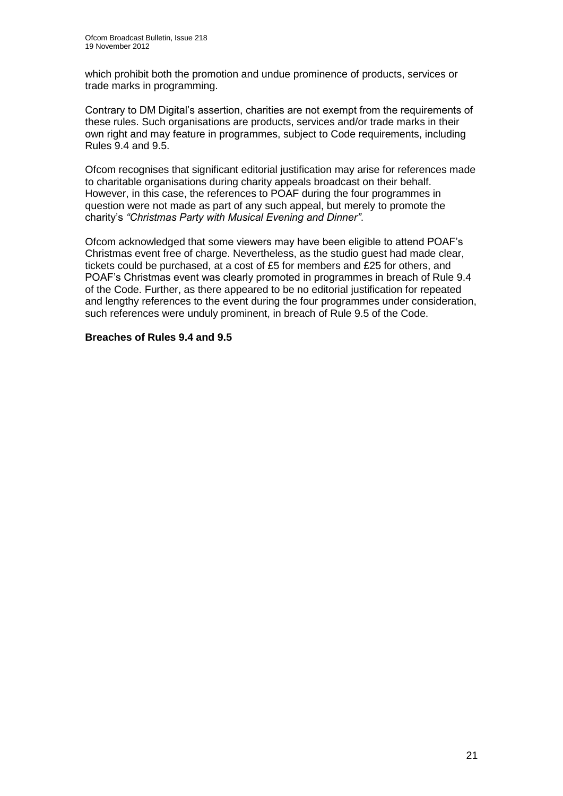which prohibit both the promotion and undue prominence of products, services or trade marks in programming.

Contrary to DM Digital's assertion, charities are not exempt from the requirements of these rules. Such organisations are products, services and/or trade marks in their own right and may feature in programmes, subject to Code requirements, including Rules 9.4 and 9.5.

Ofcom recognises that significant editorial justification may arise for references made to charitable organisations during charity appeals broadcast on their behalf. However, in this case, the references to POAF during the four programmes in question were not made as part of any such appeal, but merely to promote the charity's *"Christmas Party with Musical Evening and Dinner"*.

Ofcom acknowledged that some viewers may have been eligible to attend POAF's Christmas event free of charge. Nevertheless, as the studio guest had made clear, tickets could be purchased, at a cost of £5 for members and £25 for others, and POAF's Christmas event was clearly promoted in programmes in breach of Rule 9.4 of the Code. Further, as there appeared to be no editorial justification for repeated and lengthy references to the event during the four programmes under consideration, such references were unduly prominent, in breach of Rule 9.5 of the Code.

#### **Breaches of Rules 9.4 and 9.5**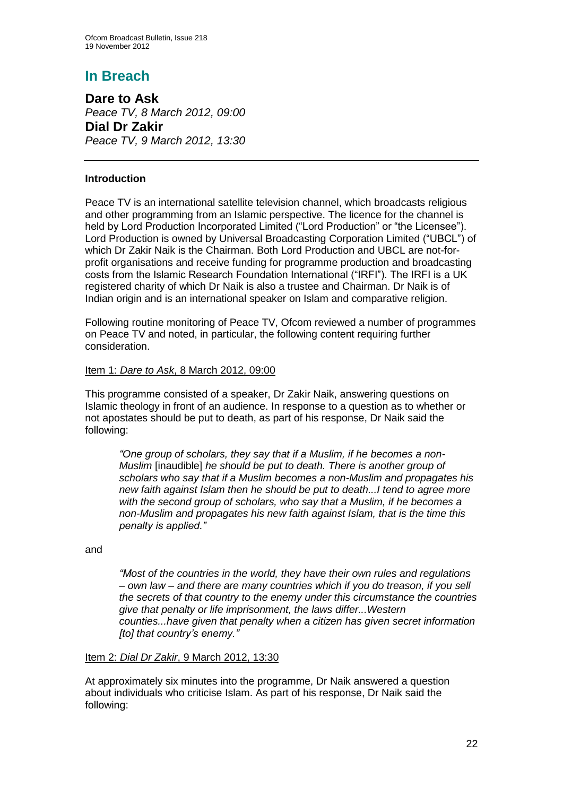## **In Breach**

**Dare to Ask** *Peace TV, 8 March 2012, 09:00* **Dial Dr Zakir** *Peace TV, 9 March 2012, 13:30*

#### **Introduction**

Peace TV is an international satellite television channel, which broadcasts religious and other programming from an Islamic perspective. The licence for the channel is held by Lord Production Incorporated Limited ("Lord Production" or "the Licensee"). Lord Production is owned by Universal Broadcasting Corporation Limited ("UBCL") of which Dr Zakir Naik is the Chairman. Both Lord Production and UBCL are not-forprofit organisations and receive funding for programme production and broadcasting costs from the Islamic Research Foundation International ("IRFI"). The IRFI is a UK registered charity of which Dr Naik is also a trustee and Chairman. Dr Naik is of Indian origin and is an international speaker on Islam and comparative religion.

Following routine monitoring of Peace TV, Ofcom reviewed a number of programmes on Peace TV and noted, in particular, the following content requiring further consideration.

#### Item 1: *Dare to Ask*, 8 March 2012, 09:00

This programme consisted of a speaker, Dr Zakir Naik, answering questions on Islamic theology in front of an audience. In response to a question as to whether or not apostates should be put to death, as part of his response, Dr Naik said the following:

*"One group of scholars, they say that if a Muslim, if he becomes a non-Muslim* [inaudible] *he should be put to death. There is another group of scholars who say that if a Muslim becomes a non-Muslim and propagates his new faith against Islam then he should be put to death...I tend to agree more with the second group of scholars, who say that a Muslim, if he becomes a non-Muslim and propagates his new faith against Islam, that is the time this penalty is applied."*

and

*"Most of the countries in the world, they have their own rules and regulations – own law – and there are many countries which if you do treason, if you sell the secrets of that country to the enemy under this circumstance the countries give that penalty or life imprisonment, the laws differ...Western counties...have given that penalty when a citizen has given secret information [to] that country's enemy."*

#### Item 2: *Dial Dr Zakir*, 9 March 2012, 13:30

At approximately six minutes into the programme, Dr Naik answered a question about individuals who criticise Islam. As part of his response, Dr Naik said the following: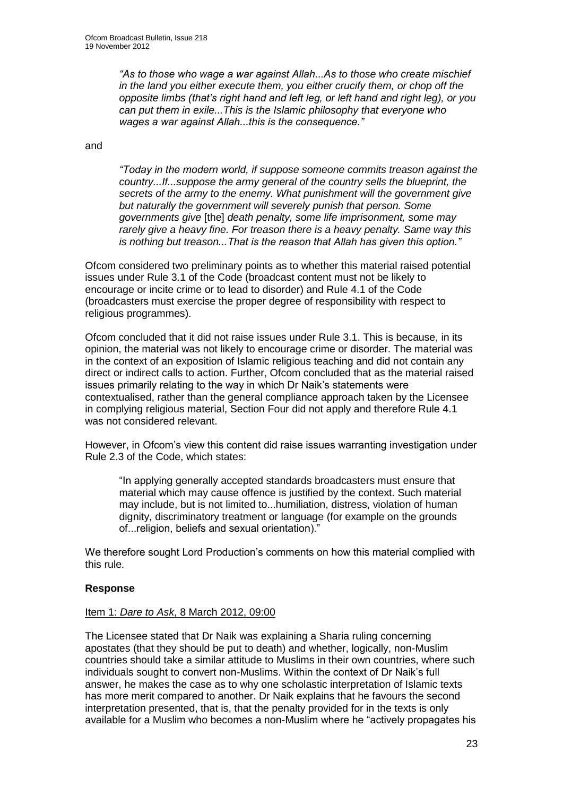*"As to those who wage a war against Allah...As to those who create mischief in the land you either execute them, you either crucify them, or chop off the opposite limbs (that's right hand and left leg, or left hand and right leg), or you can put them in exile...This is the Islamic philosophy that everyone who wages a war against Allah...this is the consequence."*

and

*"Today in the modern world, if suppose someone commits treason against the country...If...suppose the army general of the country sells the blueprint, the secrets of the army to the enemy. What punishment will the government give but naturally the government will severely punish that person. Some governments give* [the] *death penalty, some life imprisonment, some may rarely give a heavy fine. For treason there is a heavy penalty. Same way this is nothing but treason...That is the reason that Allah has given this option."*

Ofcom considered two preliminary points as to whether this material raised potential issues under Rule 3.1 of the Code (broadcast content must not be likely to encourage or incite crime or to lead to disorder) and Rule 4.1 of the Code (broadcasters must exercise the proper degree of responsibility with respect to religious programmes).

Ofcom concluded that it did not raise issues under Rule 3.1. This is because, in its opinion, the material was not likely to encourage crime or disorder. The material was in the context of an exposition of Islamic religious teaching and did not contain any direct or indirect calls to action. Further, Ofcom concluded that as the material raised issues primarily relating to the way in which Dr Naik's statements were contextualised, rather than the general compliance approach taken by the Licensee in complying religious material, Section Four did not apply and therefore Rule 4.1 was not considered relevant.

However, in Ofcom's view this content did raise issues warranting investigation under Rule 2.3 of the Code, which states:

"In applying generally accepted standards broadcasters must ensure that material which may cause offence is justified by the context. Such material may include, but is not limited to...humiliation, distress, violation of human dignity, discriminatory treatment or language (for example on the grounds of...religion, beliefs and sexual orientation)."

We therefore sought Lord Production's comments on how this material complied with this rule.

#### **Response**

#### Item 1: *Dare to Ask*, 8 March 2012, 09:00

The Licensee stated that Dr Naik was explaining a Sharia ruling concerning apostates (that they should be put to death) and whether, logically, non-Muslim countries should take a similar attitude to Muslims in their own countries, where such individuals sought to convert non-Muslims. Within the context of Dr Naik's full answer, he makes the case as to why one scholastic interpretation of Islamic texts has more merit compared to another. Dr Naik explains that he favours the second interpretation presented, that is, that the penalty provided for in the texts is only available for a Muslim who becomes a non-Muslim where he "actively propagates his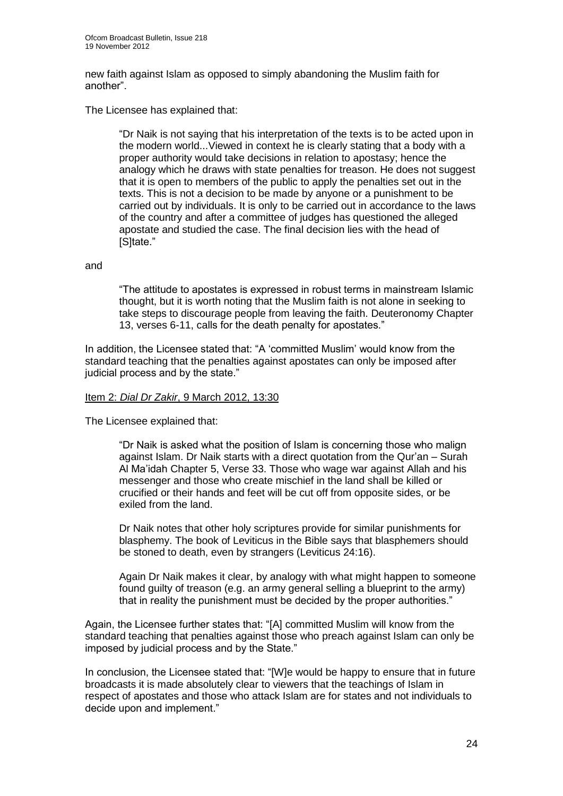new faith against Islam as opposed to simply abandoning the Muslim faith for another".

The Licensee has explained that:

"Dr Naik is not saying that his interpretation of the texts is to be acted upon in the modern world...Viewed in context he is clearly stating that a body with a proper authority would take decisions in relation to apostasy; hence the analogy which he draws with state penalties for treason. He does not suggest that it is open to members of the public to apply the penalties set out in the texts. This is not a decision to be made by anyone or a punishment to be carried out by individuals. It is only to be carried out in accordance to the laws of the country and after a committee of judges has questioned the alleged apostate and studied the case. The final decision lies with the head of [S]tate."

#### and

"The attitude to apostates is expressed in robust terms in mainstream Islamic thought, but it is worth noting that the Muslim faith is not alone in seeking to take steps to discourage people from leaving the faith. Deuteronomy Chapter 13, verses 6-11, calls for the death penalty for apostates."

In addition, the Licensee stated that: "A 'committed Muslim' would know from the standard teaching that the penalties against apostates can only be imposed after judicial process and by the state."

#### Item 2: *Dial Dr Zakir*, 9 March 2012, 13:30

The Licensee explained that:

"Dr Naik is asked what the position of Islam is concerning those who malign against Islam. Dr Naik starts with a direct quotation from the Qur'an – Surah Al Ma'idah Chapter 5, Verse 33. Those who wage war against Allah and his messenger and those who create mischief in the land shall be killed or crucified or their hands and feet will be cut off from opposite sides, or be exiled from the land.

Dr Naik notes that other holy scriptures provide for similar punishments for blasphemy. The book of Leviticus in the Bible says that blasphemers should be stoned to death, even by strangers (Leviticus 24:16).

Again Dr Naik makes it clear, by analogy with what might happen to someone found guilty of treason (e.g. an army general selling a blueprint to the army) that in reality the punishment must be decided by the proper authorities."

Again, the Licensee further states that: "[A] committed Muslim will know from the standard teaching that penalties against those who preach against Islam can only be imposed by judicial process and by the State."

In conclusion, the Licensee stated that: "[W]e would be happy to ensure that in future broadcasts it is made absolutely clear to viewers that the teachings of Islam in respect of apostates and those who attack Islam are for states and not individuals to decide upon and implement."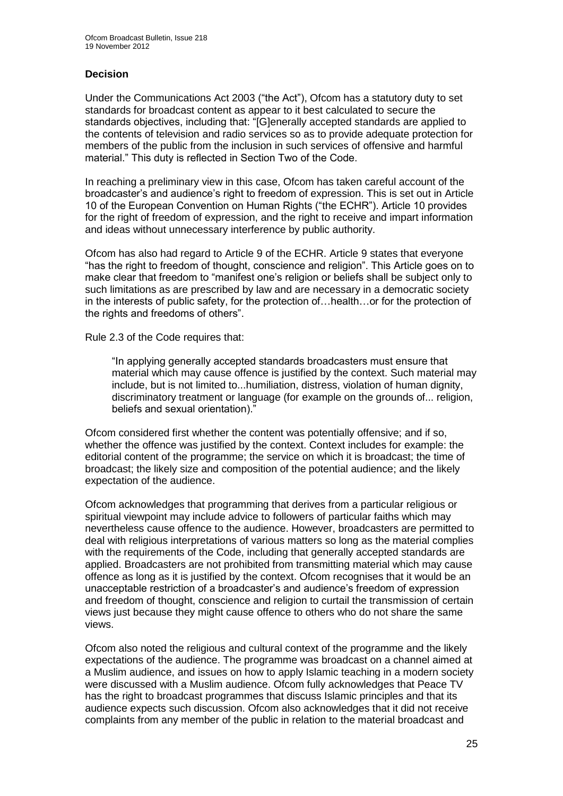#### **Decision**

Under the Communications Act 2003 ("the Act"), Ofcom has a statutory duty to set standards for broadcast content as appear to it best calculated to secure the standards objectives, including that: "[G]enerally accepted standards are applied to the contents of television and radio services so as to provide adequate protection for members of the public from the inclusion in such services of offensive and harmful material." This duty is reflected in Section Two of the Code.

In reaching a preliminary view in this case, Ofcom has taken careful account of the broadcaster's and audience's right to freedom of expression. This is set out in Article 10 of the European Convention on Human Rights ("the ECHR"). Article 10 provides for the right of freedom of expression, and the right to receive and impart information and ideas without unnecessary interference by public authority.

Ofcom has also had regard to Article 9 of the ECHR. Article 9 states that everyone "has the right to freedom of thought, conscience and religion". This Article goes on to make clear that freedom to "manifest one's religion or beliefs shall be subject only to such limitations as are prescribed by law and are necessary in a democratic society in the interests of public safety, for the protection of…health…or for the protection of the rights and freedoms of others".

Rule 2.3 of the Code requires that:

"In applying generally accepted standards broadcasters must ensure that material which may cause offence is justified by the context. Such material may include, but is not limited to...humiliation, distress, violation of human dignity, discriminatory treatment or language (for example on the grounds of... religion, beliefs and sexual orientation)."

Ofcom considered first whether the content was potentially offensive; and if so, whether the offence was justified by the context. Context includes for example: the editorial content of the programme; the service on which it is broadcast; the time of broadcast; the likely size and composition of the potential audience; and the likely expectation of the audience.

Ofcom acknowledges that programming that derives from a particular religious or spiritual viewpoint may include advice to followers of particular faiths which may nevertheless cause offence to the audience. However, broadcasters are permitted to deal with religious interpretations of various matters so long as the material complies with the requirements of the Code, including that generally accepted standards are applied. Broadcasters are not prohibited from transmitting material which may cause offence as long as it is justified by the context. Ofcom recognises that it would be an unacceptable restriction of a broadcaster's and audience's freedom of expression and freedom of thought, conscience and religion to curtail the transmission of certain views just because they might cause offence to others who do not share the same views.

Ofcom also noted the religious and cultural context of the programme and the likely expectations of the audience. The programme was broadcast on a channel aimed at a Muslim audience, and issues on how to apply Islamic teaching in a modern society were discussed with a Muslim audience. Ofcom fully acknowledges that Peace TV has the right to broadcast programmes that discuss Islamic principles and that its audience expects such discussion. Ofcom also acknowledges that it did not receive complaints from any member of the public in relation to the material broadcast and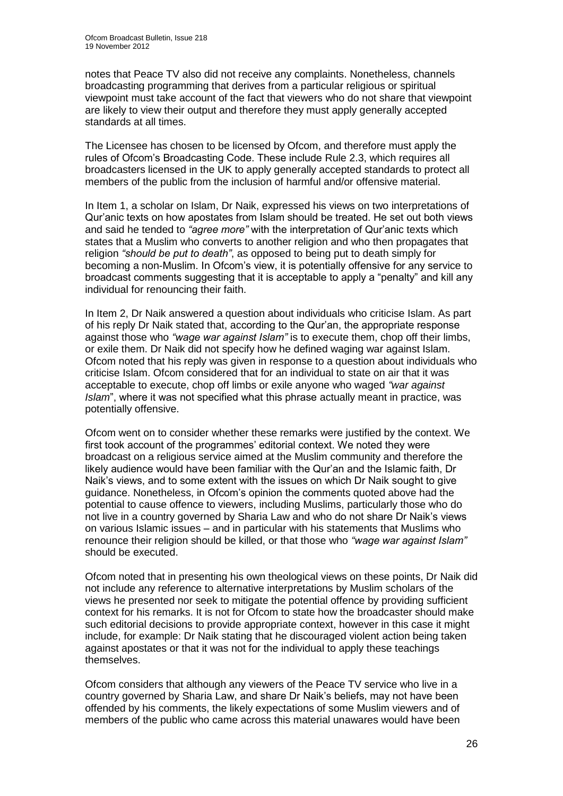notes that Peace TV also did not receive any complaints. Nonetheless, channels broadcasting programming that derives from a particular religious or spiritual viewpoint must take account of the fact that viewers who do not share that viewpoint are likely to view their output and therefore they must apply generally accepted standards at all times.

The Licensee has chosen to be licensed by Ofcom, and therefore must apply the rules of Ofcom's Broadcasting Code. These include Rule 2.3, which requires all broadcasters licensed in the UK to apply generally accepted standards to protect all members of the public from the inclusion of harmful and/or offensive material.

In Item 1, a scholar on Islam, Dr Naik, expressed his views on two interpretations of Qur'anic texts on how apostates from Islam should be treated. He set out both views and said he tended to *"agree more"* with the interpretation of Qur'anic texts which states that a Muslim who converts to another religion and who then propagates that religion *"should be put to death"*, as opposed to being put to death simply for becoming a non-Muslim. In Ofcom's view, it is potentially offensive for any service to broadcast comments suggesting that it is acceptable to apply a "penalty" and kill any individual for renouncing their faith.

In Item 2, Dr Naik answered a question about individuals who criticise Islam. As part of his reply Dr Naik stated that, according to the Qur'an, the appropriate response against those who *"wage war against Islam"* is to execute them, chop off their limbs, or exile them. Dr Naik did not specify how he defined waging war against Islam. Ofcom noted that his reply was given in response to a question about individuals who criticise Islam. Ofcom considered that for an individual to state on air that it was acceptable to execute, chop off limbs or exile anyone who waged *"war against Islam*", where it was not specified what this phrase actually meant in practice, was potentially offensive.

Ofcom went on to consider whether these remarks were justified by the context. We first took account of the programmes' editorial context. We noted they were broadcast on a religious service aimed at the Muslim community and therefore the likely audience would have been familiar with the Qur'an and the Islamic faith, Dr Naik's views, and to some extent with the issues on which Dr Naik sought to give guidance. Nonetheless, in Ofcom's opinion the comments quoted above had the potential to cause offence to viewers, including Muslims, particularly those who do not live in a country governed by Sharia Law and who do not share Dr Naik's views on various Islamic issues – and in particular with his statements that Muslims who renounce their religion should be killed, or that those who *"wage war against Islam"* should be executed.

Ofcom noted that in presenting his own theological views on these points, Dr Naik did not include any reference to alternative interpretations by Muslim scholars of the views he presented nor seek to mitigate the potential offence by providing sufficient context for his remarks. It is not for Ofcom to state how the broadcaster should make such editorial decisions to provide appropriate context, however in this case it might include, for example: Dr Naik stating that he discouraged violent action being taken against apostates or that it was not for the individual to apply these teachings themselves.

Ofcom considers that although any viewers of the Peace TV service who live in a country governed by Sharia Law, and share Dr Naik's beliefs, may not have been offended by his comments, the likely expectations of some Muslim viewers and of members of the public who came across this material unawares would have been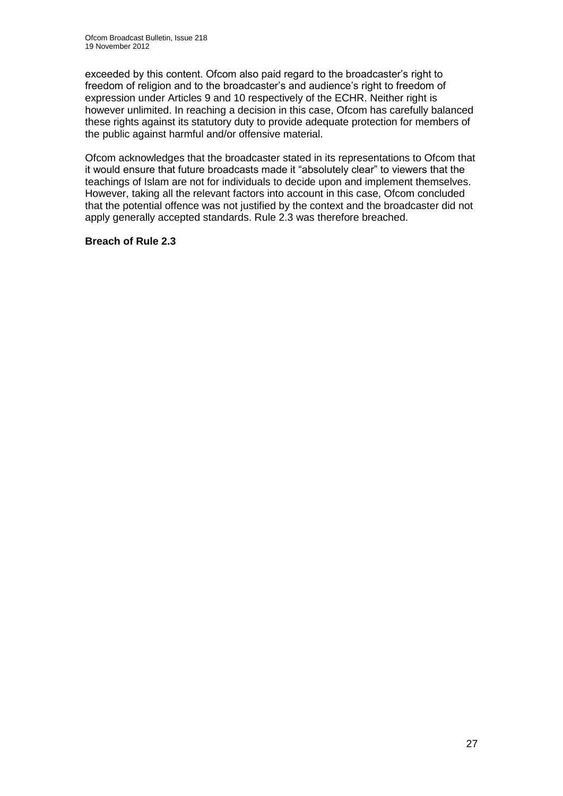exceeded by this content. Ofcom also paid regard to the broadcaster's right to freedom of religion and to the broadcaster's and audience's right to freedom of expression under Articles 9 and 10 respectively of the ECHR. Neither right is however unlimited. In reaching a decision in this case, Ofcom has carefully balanced these rights against its statutory duty to provide adequate protection for members of the public against harmful and/or offensive material.

Ofcom acknowledges that the broadcaster stated in its representations to Ofcom that it would ensure that future broadcasts made it "absolutely clear" to viewers that the teachings of Islam are not for individuals to decide upon and implement themselves. However, taking all the relevant factors into account in this case, Ofcom concluded that the potential offence was not justified by the context and the broadcaster did not apply generally accepted standards. Rule 2.3 was therefore breached.

#### **Breach of Rule 2.3**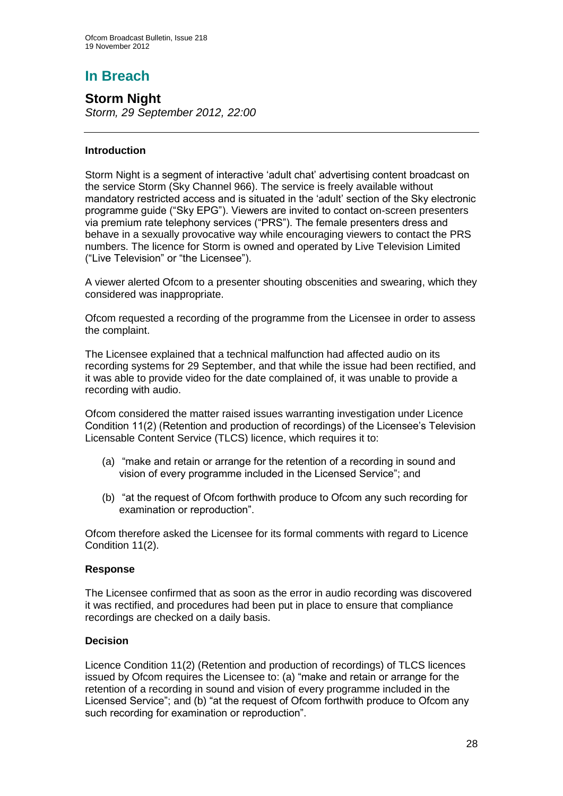# **In Breach**

## **Storm Night**

*Storm, 29 September 2012, 22:00*

#### **Introduction**

Storm Night is a segment of interactive 'adult chat' advertising content broadcast on the service Storm (Sky Channel 966). The service is freely available without mandatory restricted access and is situated in the 'adult' section of the Sky electronic programme guide ("Sky EPG"). Viewers are invited to contact on-screen presenters via premium rate telephony services ("PRS"). The female presenters dress and behave in a sexually provocative way while encouraging viewers to contact the PRS numbers. The licence for Storm is owned and operated by Live Television Limited ("Live Television" or "the Licensee").

A viewer alerted Ofcom to a presenter shouting obscenities and swearing, which they considered was inappropriate.

Ofcom requested a recording of the programme from the Licensee in order to assess the complaint.

The Licensee explained that a technical malfunction had affected audio on its recording systems for 29 September, and that while the issue had been rectified, and it was able to provide video for the date complained of, it was unable to provide a recording with audio.

Ofcom considered the matter raised issues warranting investigation under Licence Condition 11(2) (Retention and production of recordings) of the Licensee's Television Licensable Content Service (TLCS) licence, which requires it to:

- (a) "make and retain or arrange for the retention of a recording in sound and vision of every programme included in the Licensed Service"; and
- (b) "at the request of Ofcom forthwith produce to Ofcom any such recording for examination or reproduction".

Ofcom therefore asked the Licensee for its formal comments with regard to Licence Condition 11(2).

#### **Response**

The Licensee confirmed that as soon as the error in audio recording was discovered it was rectified, and procedures had been put in place to ensure that compliance recordings are checked on a daily basis.

#### **Decision**

Licence Condition 11(2) (Retention and production of recordings) of TLCS licences issued by Ofcom requires the Licensee to: (a) "make and retain or arrange for the retention of a recording in sound and vision of every programme included in the Licensed Service"; and (b) "at the request of Ofcom forthwith produce to Ofcom any such recording for examination or reproduction".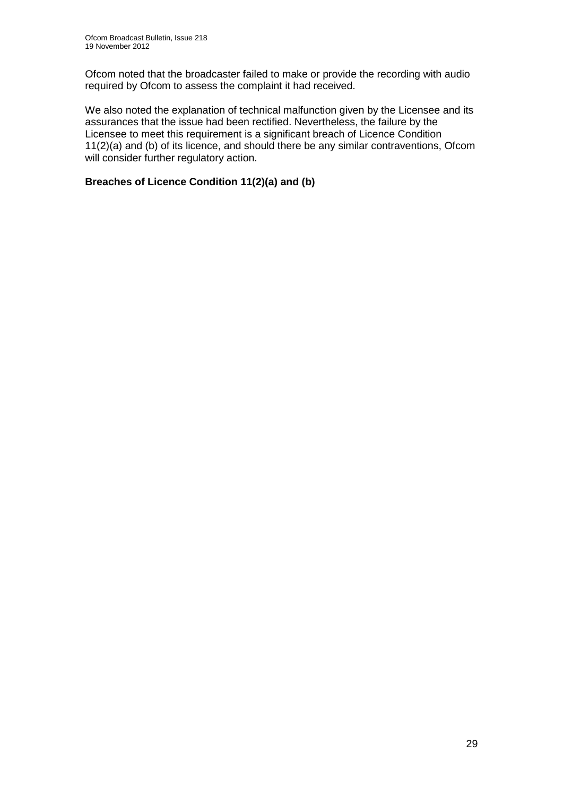Ofcom noted that the broadcaster failed to make or provide the recording with audio required by Ofcom to assess the complaint it had received.

We also noted the explanation of technical malfunction given by the Licensee and its assurances that the issue had been rectified. Nevertheless, the failure by the Licensee to meet this requirement is a significant breach of Licence Condition 11(2)(a) and (b) of its licence, and should there be any similar contraventions, Ofcom will consider further regulatory action.

#### **Breaches of Licence Condition 11(2)(a) and (b)**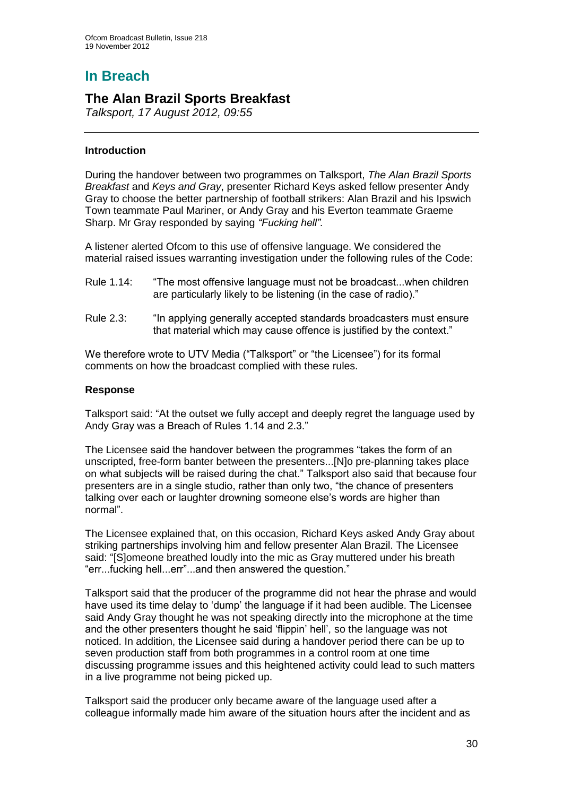# **In Breach**

## **The Alan Brazil Sports Breakfast**

*Talksport, 17 August 2012, 09:55*

#### **Introduction**

During the handover between two programmes on Talksport, *The Alan Brazil Sports Breakfast* and *Keys and Gray*, presenter Richard Keys asked fellow presenter Andy Gray to choose the better partnership of football strikers: Alan Brazil and his Ipswich Town teammate Paul Mariner, or Andy Gray and his Everton teammate Graeme Sharp. Mr Gray responded by saying *"Fucking hell".*

A listener alerted Ofcom to this use of offensive language. We considered the material raised issues warranting investigation under the following rules of the Code:

- Rule 1.14: "The most offensive language must not be broadcast...when children are particularly likely to be listening (in the case of radio)."
- Rule 2.3: "In applying generally accepted standards broadcasters must ensure that material which may cause offence is justified by the context."

We therefore wrote to UTV Media ("Talksport" or "the Licensee") for its formal comments on how the broadcast complied with these rules.

#### **Response**

Talksport said: "At the outset we fully accept and deeply regret the language used by Andy Gray was a Breach of Rules 1.14 and 2.3."

The Licensee said the handover between the programmes "takes the form of an unscripted, free-form banter between the presenters...[N]o pre-planning takes place on what subjects will be raised during the chat." Talksport also said that because four presenters are in a single studio, rather than only two, "the chance of presenters talking over each or laughter drowning someone else's words are higher than normal".

The Licensee explained that, on this occasion, Richard Keys asked Andy Gray about striking partnerships involving him and fellow presenter Alan Brazil. The Licensee said: "[S]omeone breathed loudly into the mic as Gray muttered under his breath "err...fucking hell...err"...and then answered the question."

Talksport said that the producer of the programme did not hear the phrase and would have used its time delay to 'dump' the language if it had been audible. The Licensee said Andy Gray thought he was not speaking directly into the microphone at the time and the other presenters thought he said 'flippin' hell', so the language was not noticed. In addition, the Licensee said during a handover period there can be up to seven production staff from both programmes in a control room at one time discussing programme issues and this heightened activity could lead to such matters in a live programme not being picked up.

Talksport said the producer only became aware of the language used after a colleague informally made him aware of the situation hours after the incident and as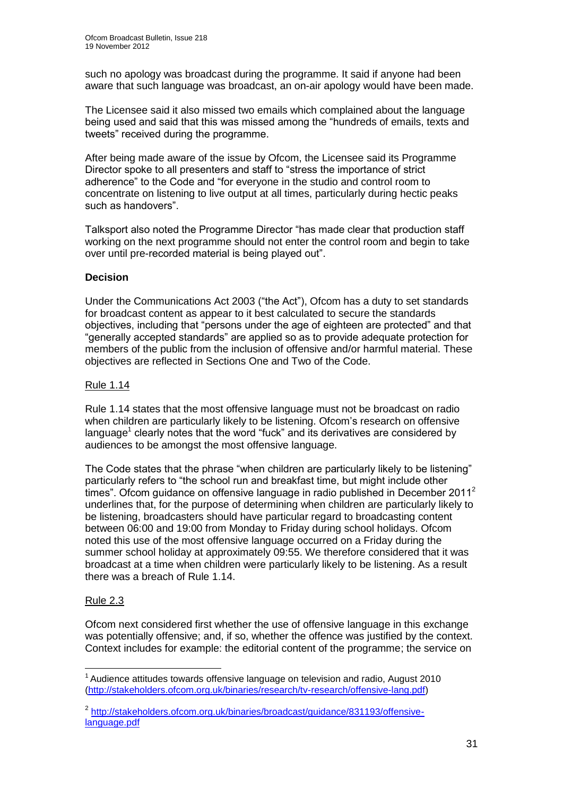such no apology was broadcast during the programme. It said if anyone had been aware that such language was broadcast, an on-air apology would have been made.

The Licensee said it also missed two emails which complained about the language being used and said that this was missed among the "hundreds of emails, texts and tweets" received during the programme.

After being made aware of the issue by Ofcom, the Licensee said its Programme Director spoke to all presenters and staff to "stress the importance of strict adherence" to the Code and "for everyone in the studio and control room to concentrate on listening to live output at all times, particularly during hectic peaks such as handovers".

Talksport also noted the Programme Director "has made clear that production staff working on the next programme should not enter the control room and begin to take over until pre-recorded material is being played out".

#### **Decision**

Under the Communications Act 2003 ("the Act"), Ofcom has a duty to set standards for broadcast content as appear to it best calculated to secure the standards objectives, including that "persons under the age of eighteen are protected" and that "generally accepted standards" are applied so as to provide adequate protection for members of the public from the inclusion of offensive and/or harmful material. These objectives are reflected in Sections One and Two of the Code.

#### Rule 1.14

Rule 1.14 states that the most offensive language must not be broadcast on radio when children are particularly likely to be listening. Ofcom's research on offensive language<sup>1</sup> clearly notes that the word "fuck" and its derivatives are considered by audiences to be amongst the most offensive language.

The Code states that the phrase "when children are particularly likely to be listening" particularly refers to "the school run and breakfast time, but might include other times". Ofcom guidance on offensive language in radio published in December 2011<sup>2</sup> underlines that, for the purpose of determining when children are particularly likely to be listening, broadcasters should have particular regard to broadcasting content between 06:00 and 19:00 from Monday to Friday during school holidays. Ofcom noted this use of the most offensive language occurred on a Friday during the summer school holiday at approximately 09:55. We therefore considered that it was broadcast at a time when children were particularly likely to be listening. As a result there was a breach of Rule 1.14.

#### Rule 2.3

Ofcom next considered first whether the use of offensive language in this exchange was potentially offensive; and, if so, whether the offence was justified by the context. Context includes for example: the editorial content of the programme; the service on

<sup>1</sup>  $1$  Audience attitudes towards offensive language on television and radio, August 2010 [\(http://stakeholders.ofcom.org.uk/binaries/research/tv-research/offensive-lang.pdf\)](http://stakeholders.ofcom.org.uk/binaries/research/tv-research/offensive-lang.pdf)

<sup>&</sup>lt;sup>2</sup> [http://stakeholders.ofcom.org.uk/binaries/broadcast/guidance/831193/offensive](http://stakeholders.ofcom.org.uk/binaries/broadcast/guidance/831193/offensive-language.pdf)[language.pdf](http://stakeholders.ofcom.org.uk/binaries/broadcast/guidance/831193/offensive-language.pdf)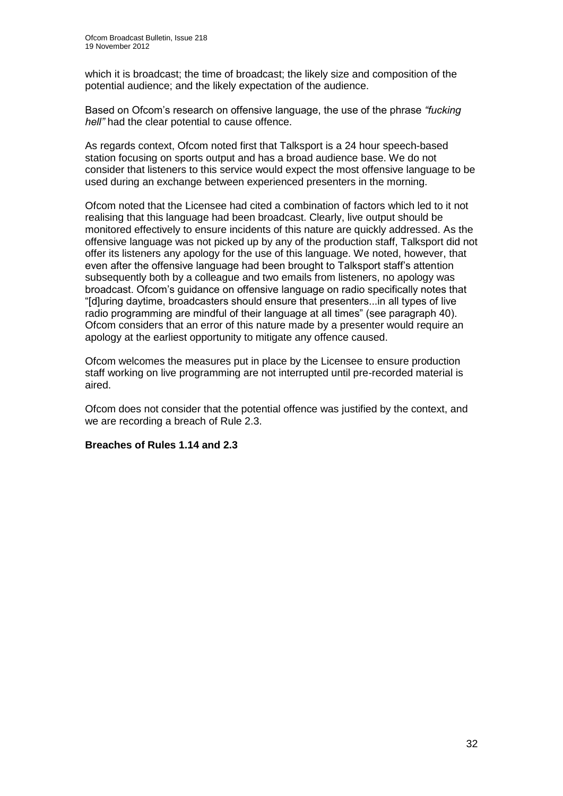which it is broadcast; the time of broadcast; the likely size and composition of the potential audience; and the likely expectation of the audience.

Based on Ofcom's research on offensive language, the use of the phrase *"fucking hell"* had the clear potential to cause offence.

As regards context, Ofcom noted first that Talksport is a 24 hour speech-based station focusing on sports output and has a broad audience base. We do not consider that listeners to this service would expect the most offensive language to be used during an exchange between experienced presenters in the morning.

Ofcom noted that the Licensee had cited a combination of factors which led to it not realising that this language had been broadcast. Clearly, live output should be monitored effectively to ensure incidents of this nature are quickly addressed. As the offensive language was not picked up by any of the production staff, Talksport did not offer its listeners any apology for the use of this language. We noted, however, that even after the offensive language had been brought to Talksport staff's attention subsequently both by a colleague and two emails from listeners, no apology was broadcast. Ofcom's guidance on offensive language on radio specifically notes that "[d]uring daytime, broadcasters should ensure that presenters...in all types of live radio programming are mindful of their language at all times" (see paragraph 40). Ofcom considers that an error of this nature made by a presenter would require an apology at the earliest opportunity to mitigate any offence caused.

Ofcom welcomes the measures put in place by the Licensee to ensure production staff working on live programming are not interrupted until pre-recorded material is aired.

Ofcom does not consider that the potential offence was justified by the context, and we are recording a breach of Rule 2.3.

#### **Breaches of Rules 1.14 and 2.3**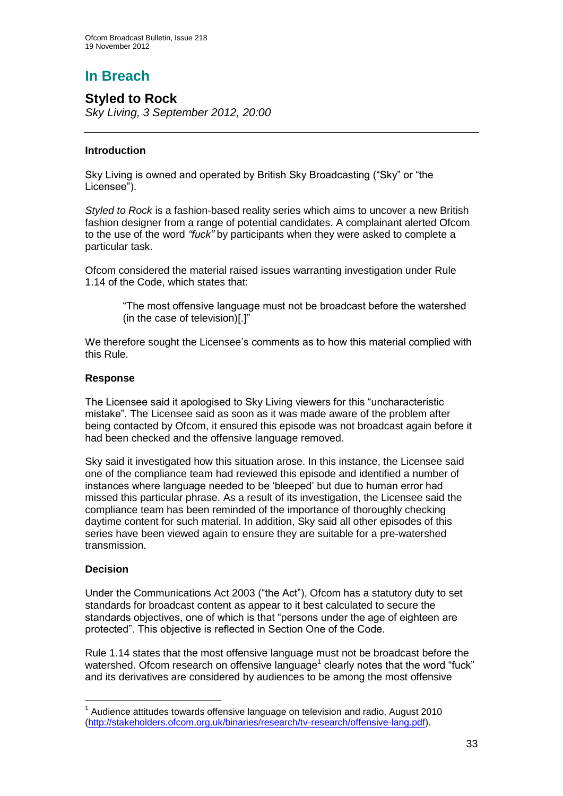# **In Breach**

## **Styled to Rock**

*Sky Living, 3 September 2012, 20:00*

#### **Introduction**

Sky Living is owned and operated by British Sky Broadcasting ("Sky" or "the Licensee").

*Styled to Rock* is a fashion-based reality series which aims to uncover a new British fashion designer from a range of potential candidates. A complainant alerted Ofcom to the use of the word *"fuck"* by participants when they were asked to complete a particular task.

Ofcom considered the material raised issues warranting investigation under Rule 1.14 of the Code, which states that:

> "The most offensive language must not be broadcast before the watershed (in the case of television)[.]"

We therefore sought the Licensee's comments as to how this material complied with this Rule.

#### **Response**

The Licensee said it apologised to Sky Living viewers for this "uncharacteristic mistake". The Licensee said as soon as it was made aware of the problem after being contacted by Ofcom, it ensured this episode was not broadcast again before it had been checked and the offensive language removed.

Sky said it investigated how this situation arose. In this instance, the Licensee said one of the compliance team had reviewed this episode and identified a number of instances where language needed to be 'bleeped' but due to human error had missed this particular phrase. As a result of its investigation, the Licensee said the compliance team has been reminded of the importance of thoroughly checking daytime content for such material. In addition, Sky said all other episodes of this series have been viewed again to ensure they are suitable for a pre-watershed transmission.

#### **Decision**

1

Under the Communications Act 2003 ("the Act"), Ofcom has a statutory duty to set standards for broadcast content as appear to it best calculated to secure the standards objectives, one of which is that "persons under the age of eighteen are protected". This objective is reflected in Section One of the Code.

Rule 1.14 states that the most offensive language must not be broadcast before the watershed. Ofcom research on offensive language<sup>1</sup> clearly notes that the word "fuck" and its derivatives are considered by audiences to be among the most offensive

 $1$  Audience attitudes towards offensive language on television and radio, August 2010 [\(http://stakeholders.ofcom.org.uk/binaries/research/tv-research/offensive-lang.pdf\)](http://stakeholders.ofcom.org.uk/binaries/research/tv-research/offensive-lang.pdf).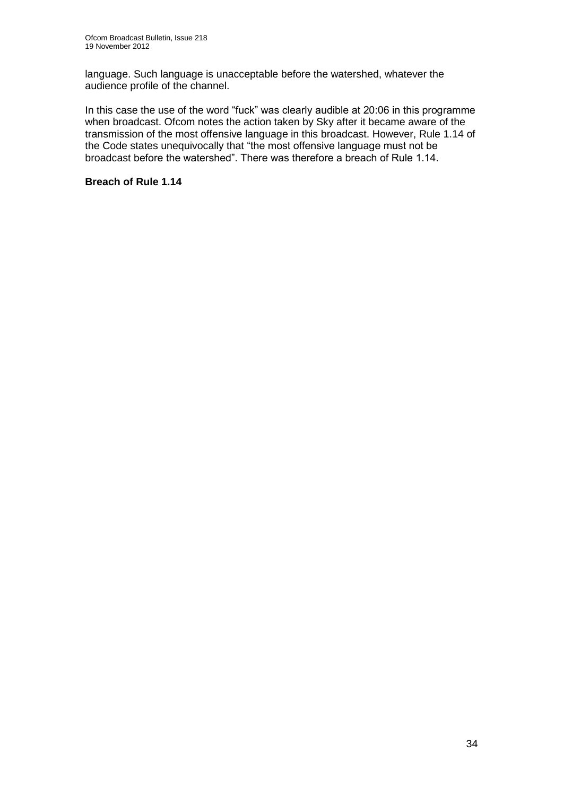language. Such language is unacceptable before the watershed, whatever the audience profile of the channel.

In this case the use of the word "fuck" was clearly audible at 20:06 in this programme when broadcast. Ofcom notes the action taken by Sky after it became aware of the transmission of the most offensive language in this broadcast. However, Rule 1.14 of the Code states unequivocally that "the most offensive language must not be broadcast before the watershed". There was therefore a breach of Rule 1.14.

#### **Breach of Rule 1.14**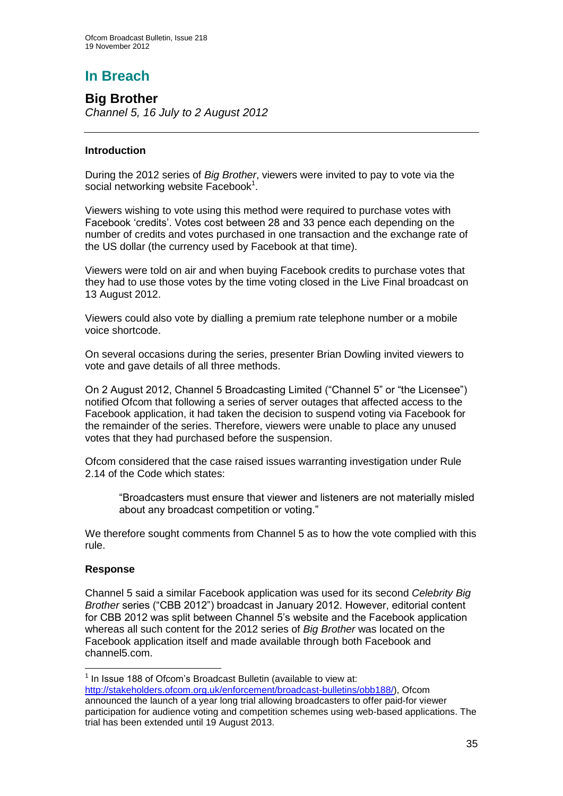# **In Breach**

**Big Brother** *Channel 5, 16 July to 2 August 2012*

#### **Introduction**

During the 2012 series of *Big Brother*, viewers were invited to pay to vote via the social networking website Facebook<sup>1</sup>.

Viewers wishing to vote using this method were required to purchase votes with Facebook 'credits'. Votes cost between 28 and 33 pence each depending on the number of credits and votes purchased in one transaction and the exchange rate of the US dollar (the currency used by Facebook at that time).

Viewers were told on air and when buying Facebook credits to purchase votes that they had to use those votes by the time voting closed in the Live Final broadcast on 13 August 2012.

Viewers could also vote by dialling a premium rate telephone number or a mobile voice shortcode.

On several occasions during the series, presenter Brian Dowling invited viewers to vote and gave details of all three methods.

On 2 August 2012, Channel 5 Broadcasting Limited ("Channel 5" or "the Licensee") notified Ofcom that following a series of server outages that affected access to the Facebook application, it had taken the decision to suspend voting via Facebook for the remainder of the series. Therefore, viewers were unable to place any unused votes that they had purchased before the suspension.

Ofcom considered that the case raised issues warranting investigation under Rule 2.14 of the Code which states:

"Broadcasters must ensure that viewer and listeners are not materially misled about any broadcast competition or voting."

We therefore sought comments from Channel 5 as to how the vote complied with this rule.

#### **Response**

1

Channel 5 said a similar Facebook application was used for its second *Celebrity Big Brother* series ("CBB 2012") broadcast in January 2012. However, editorial content for CBB 2012 was split between Channel 5's website and the Facebook application whereas all such content for the 2012 series of *Big Brother* was located on the Facebook application itself and made available through both Facebook and channel5.com.

 $1$  In Issue 188 of Ofcom's Broadcast Bulletin (available to view at: [http://stakeholders.ofcom.org.uk/enforcement/broadcast-bulletins/obb188/\)](http://stakeholders.ofcom.org.uk/enforcement/broadcast-bulletins/obb188/), Ofcom announced the launch of a year long trial allowing broadcasters to offer paid-for viewer participation for audience voting and competition schemes using web-based applications. The trial has been extended until 19 August 2013.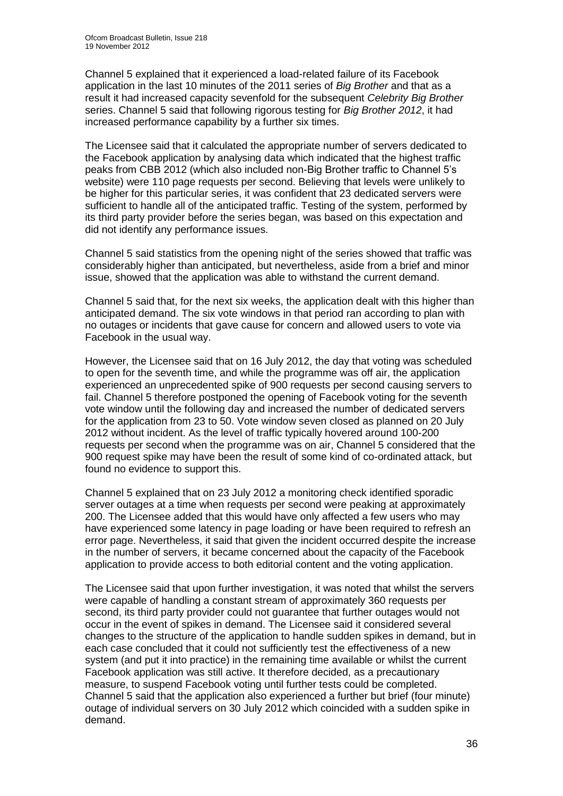Channel 5 explained that it experienced a load-related failure of its Facebook application in the last 10 minutes of the 2011 series of *Big Brother* and that as a result it had increased capacity sevenfold for the subsequent *Celebrity Big Brother*  series. Channel 5 said that following rigorous testing for *Big Brother 2012*, it had increased performance capability by a further six times.

The Licensee said that it calculated the appropriate number of servers dedicated to the Facebook application by analysing data which indicated that the highest traffic peaks from CBB 2012 (which also included non-Big Brother traffic to Channel 5's website) were 110 page requests per second. Believing that levels were unlikely to be higher for this particular series, it was confident that 23 dedicated servers were sufficient to handle all of the anticipated traffic. Testing of the system, performed by its third party provider before the series began, was based on this expectation and did not identify any performance issues.

Channel 5 said statistics from the opening night of the series showed that traffic was considerably higher than anticipated, but nevertheless, aside from a brief and minor issue, showed that the application was able to withstand the current demand.

Channel 5 said that, for the next six weeks, the application dealt with this higher than anticipated demand. The six vote windows in that period ran according to plan with no outages or incidents that gave cause for concern and allowed users to vote via Facebook in the usual way.

However, the Licensee said that on 16 July 2012, the day that voting was scheduled to open for the seventh time, and while the programme was off air, the application experienced an unprecedented spike of 900 requests per second causing servers to fail. Channel 5 therefore postponed the opening of Facebook voting for the seventh vote window until the following day and increased the number of dedicated servers for the application from 23 to 50. Vote window seven closed as planned on 20 July 2012 without incident. As the level of traffic typically hovered around 100-200 requests per second when the programme was on air, Channel 5 considered that the 900 request spike may have been the result of some kind of co-ordinated attack, but found no evidence to support this.

Channel 5 explained that on 23 July 2012 a monitoring check identified sporadic server outages at a time when requests per second were peaking at approximately 200. The Licensee added that this would have only affected a few users who may have experienced some latency in page loading or have been required to refresh an error page. Nevertheless, it said that given the incident occurred despite the increase in the number of servers, it became concerned about the capacity of the Facebook application to provide access to both editorial content and the voting application.

The Licensee said that upon further investigation, it was noted that whilst the servers were capable of handling a constant stream of approximately 360 requests per second, its third party provider could not guarantee that further outages would not occur in the event of spikes in demand. The Licensee said it considered several changes to the structure of the application to handle sudden spikes in demand, but in each case concluded that it could not sufficiently test the effectiveness of a new system (and put it into practice) in the remaining time available or whilst the current Facebook application was still active. It therefore decided, as a precautionary measure, to suspend Facebook voting until further tests could be completed. Channel 5 said that the application also experienced a further but brief (four minute) outage of individual servers on 30 July 2012 which coincided with a sudden spike in demand.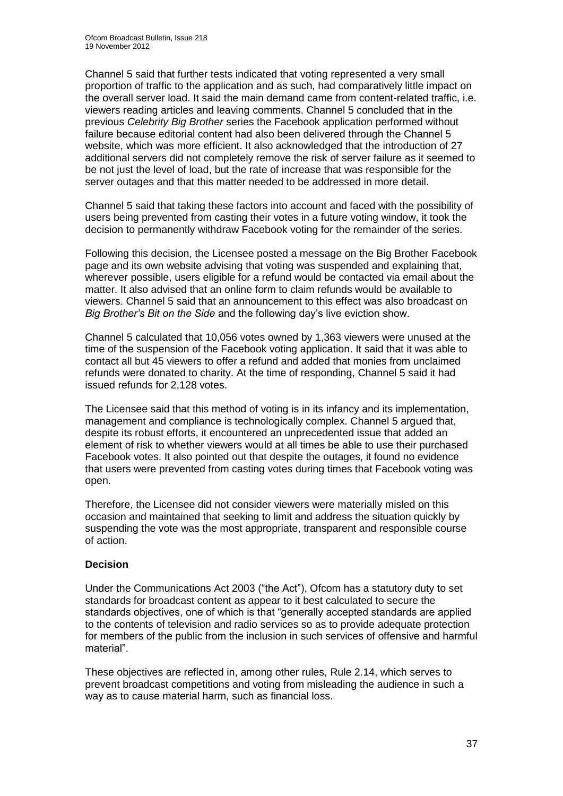Channel 5 said that further tests indicated that voting represented a very small proportion of traffic to the application and as such, had comparatively little impact on the overall server load. It said the main demand came from content-related traffic, i.e. viewers reading articles and leaving comments. Channel 5 concluded that in the previous *Celebrity Big Brother* series the Facebook application performed without failure because editorial content had also been delivered through the Channel 5 website, which was more efficient. It also acknowledged that the introduction of 27 additional servers did not completely remove the risk of server failure as it seemed to be not just the level of load, but the rate of increase that was responsible for the server outages and that this matter needed to be addressed in more detail.

Channel 5 said that taking these factors into account and faced with the possibility of users being prevented from casting their votes in a future voting window, it took the decision to permanently withdraw Facebook voting for the remainder of the series.

Following this decision, the Licensee posted a message on the Big Brother Facebook page and its own website advising that voting was suspended and explaining that, wherever possible, users eligible for a refund would be contacted via email about the matter. It also advised that an online form to claim refunds would be available to viewers. Channel 5 said that an announcement to this effect was also broadcast on *Big Brother's Bit on the Side* and the following day's live eviction show.

Channel 5 calculated that 10,056 votes owned by 1,363 viewers were unused at the time of the suspension of the Facebook voting application. It said that it was able to contact all but 45 viewers to offer a refund and added that monies from unclaimed refunds were donated to charity. At the time of responding, Channel 5 said it had issued refunds for 2,128 votes.

The Licensee said that this method of voting is in its infancy and its implementation, management and compliance is technologically complex. Channel 5 argued that, despite its robust efforts, it encountered an unprecedented issue that added an element of risk to whether viewers would at all times be able to use their purchased Facebook votes. It also pointed out that despite the outages, it found no evidence that users were prevented from casting votes during times that Facebook voting was open.

Therefore, the Licensee did not consider viewers were materially misled on this occasion and maintained that seeking to limit and address the situation quickly by suspending the vote was the most appropriate, transparent and responsible course of action.

#### **Decision**

Under the Communications Act 2003 ("the Act"), Ofcom has a statutory duty to set standards for broadcast content as appear to it best calculated to secure the standards objectives, one of which is that "generally accepted standards are applied to the contents of television and radio services so as to provide adequate protection for members of the public from the inclusion in such services of offensive and harmful material".

These objectives are reflected in, among other rules, Rule 2.14, which serves to prevent broadcast competitions and voting from misleading the audience in such a way as to cause material harm, such as financial loss.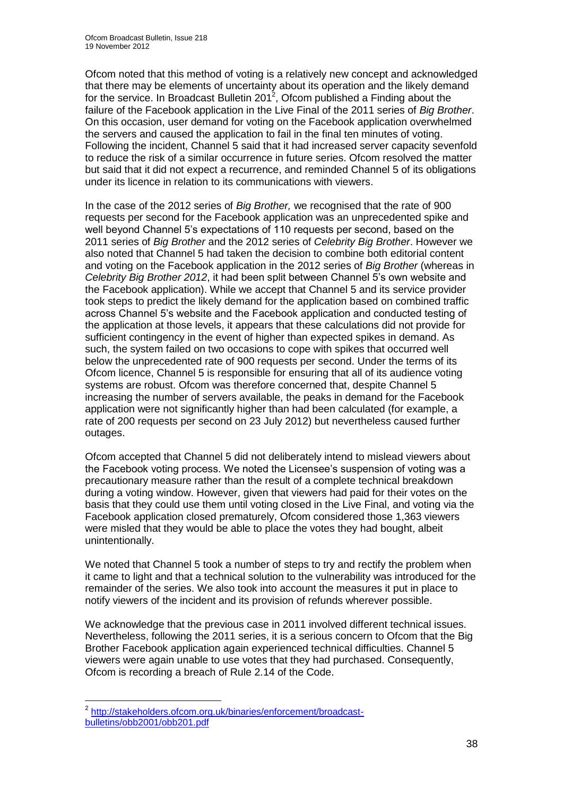Ofcom noted that this method of voting is a relatively new concept and acknowledged that there may be elements of uncertainty about its operation and the likely demand for the service. In Broadcast Bulletin 201<sup>2</sup>, Ofcom published a Finding about the failure of the Facebook application in the Live Final of the 2011 series of *Big Brother*. On this occasion, user demand for voting on the Facebook application overwhelmed the servers and caused the application to fail in the final ten minutes of voting. Following the incident, Channel 5 said that it had increased server capacity sevenfold to reduce the risk of a similar occurrence in future series. Ofcom resolved the matter but said that it did not expect a recurrence, and reminded Channel 5 of its obligations under its licence in relation to its communications with viewers.

In the case of the 2012 series of *Big Brother,* we recognised that the rate of 900 requests per second for the Facebook application was an unprecedented spike and well beyond Channel 5's expectations of 110 requests per second, based on the 2011 series of *Big Brother* and the 2012 series of *Celebrity Big Brother*. However we also noted that Channel 5 had taken the decision to combine both editorial content and voting on the Facebook application in the 2012 series of *Big Brother* (whereas in *Celebrity Big Brother 2012*, it had been split between Channel 5's own website and the Facebook application). While we accept that Channel 5 and its service provider took steps to predict the likely demand for the application based on combined traffic across Channel 5's website and the Facebook application and conducted testing of the application at those levels, it appears that these calculations did not provide for sufficient contingency in the event of higher than expected spikes in demand. As such, the system failed on two occasions to cope with spikes that occurred well below the unprecedented rate of 900 requests per second. Under the terms of its Ofcom licence, Channel 5 is responsible for ensuring that all of its audience voting systems are robust. Ofcom was therefore concerned that, despite Channel 5 increasing the number of servers available, the peaks in demand for the Facebook application were not significantly higher than had been calculated (for example, a rate of 200 requests per second on 23 July 2012) but nevertheless caused further outages.

Ofcom accepted that Channel 5 did not deliberately intend to mislead viewers about the Facebook voting process. We noted the Licensee's suspension of voting was a precautionary measure rather than the result of a complete technical breakdown during a voting window. However, given that viewers had paid for their votes on the basis that they could use them until voting closed in the Live Final, and voting via the Facebook application closed prematurely, Ofcom considered those 1,363 viewers were misled that they would be able to place the votes they had bought, albeit unintentionally.

We noted that Channel 5 took a number of steps to try and rectify the problem when it came to light and that a technical solution to the vulnerability was introduced for the remainder of the series. We also took into account the measures it put in place to notify viewers of the incident and its provision of refunds wherever possible.

We acknowledge that the previous case in 2011 involved different technical issues. Nevertheless, following the 2011 series, it is a serious concern to Ofcom that the Big Brother Facebook application again experienced technical difficulties. Channel 5 viewers were again unable to use votes that they had purchased. Consequently, Ofcom is recording a breach of Rule 2.14 of the Code.

1

<sup>&</sup>lt;sup>2</sup> [http://stakeholders.ofcom.org.uk/binaries/enforcement/broadcast](http://stakeholders.ofcom.org.uk/binaries/enforcement/broadcast-bulletins/obb2001/obb201.pdf)[bulletins/obb2001/obb201.pdf](http://stakeholders.ofcom.org.uk/binaries/enforcement/broadcast-bulletins/obb2001/obb201.pdf)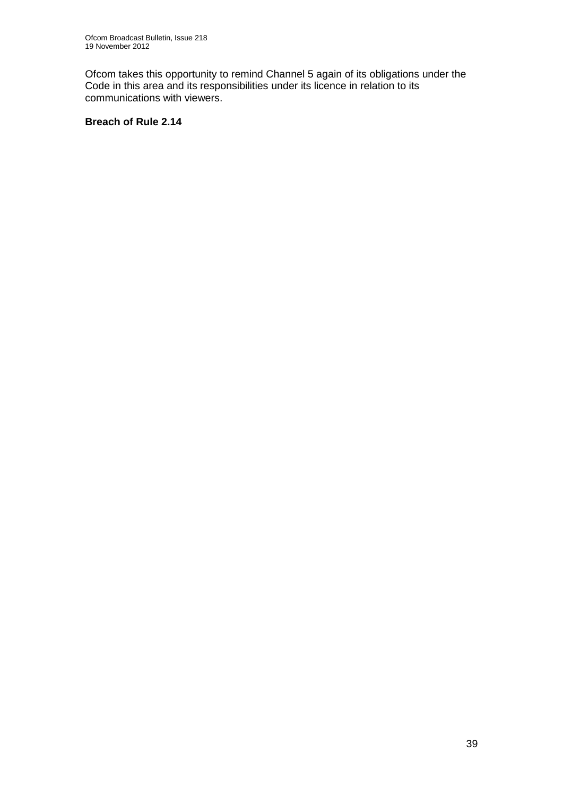Ofcom takes this opportunity to remind Channel 5 again of its obligations under the Code in this area and its responsibilities under its licence in relation to its communications with viewers.

#### **Breach of Rule 2.14**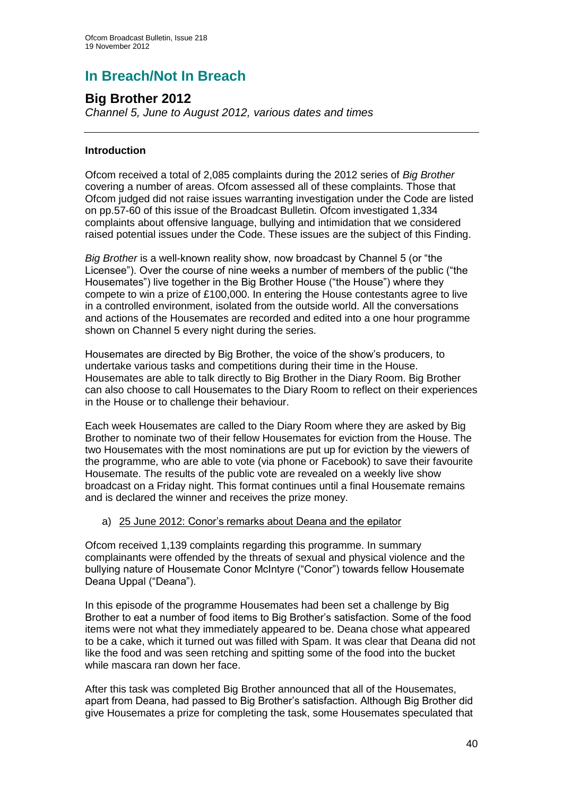# **In Breach/Not In Breach**

## **Big Brother 2012**

*Channel 5, June to August 2012, various dates and times* 

#### **Introduction**

Ofcom received a total of 2,085 complaints during the 2012 series of *Big Brother* covering a number of areas. Ofcom assessed all of these complaints. Those that Ofcom judged did not raise issues warranting investigation under the Code are listed on pp.57-60 of this issue of the Broadcast Bulletin. Ofcom investigated 1,334 complaints about offensive language, bullying and intimidation that we considered raised potential issues under the Code. These issues are the subject of this Finding.

*Big Brother* is a well-known reality show, now broadcast by Channel 5 (or "the Licensee"). Over the course of nine weeks a number of members of the public ("the Housemates") live together in the Big Brother House ("the House") where they compete to win a prize of £100,000. In entering the House contestants agree to live in a controlled environment, isolated from the outside world. All the conversations and actions of the Housemates are recorded and edited into a one hour programme shown on Channel 5 every night during the series.

Housemates are directed by Big Brother, the voice of the show's producers, to undertake various tasks and competitions during their time in the House. Housemates are able to talk directly to Big Brother in the Diary Room. Big Brother can also choose to call Housemates to the Diary Room to reflect on their experiences in the House or to challenge their behaviour.

Each week Housemates are called to the Diary Room where they are asked by Big Brother to nominate two of their fellow Housemates for eviction from the House. The two Housemates with the most nominations are put up for eviction by the viewers of the programme, who are able to vote (via phone or Facebook) to save their favourite Housemate. The results of the public vote are revealed on a weekly live show broadcast on a Friday night. This format continues until a final Housemate remains and is declared the winner and receives the prize money.

#### a) 25 June 2012: Conor's remarks about Deana and the epilator

Ofcom received 1,139 complaints regarding this programme. In summary complainants were offended by the threats of sexual and physical violence and the bullying nature of Housemate Conor McIntyre ("Conor") towards fellow Housemate Deana Uppal ("Deana").

In this episode of the programme Housemates had been set a challenge by Big Brother to eat a number of food items to Big Brother's satisfaction. Some of the food items were not what they immediately appeared to be. Deana chose what appeared to be a cake, which it turned out was filled with Spam. It was clear that Deana did not like the food and was seen retching and spitting some of the food into the bucket while mascara ran down her face.

After this task was completed Big Brother announced that all of the Housemates, apart from Deana, had passed to Big Brother's satisfaction. Although Big Brother did give Housemates a prize for completing the task, some Housemates speculated that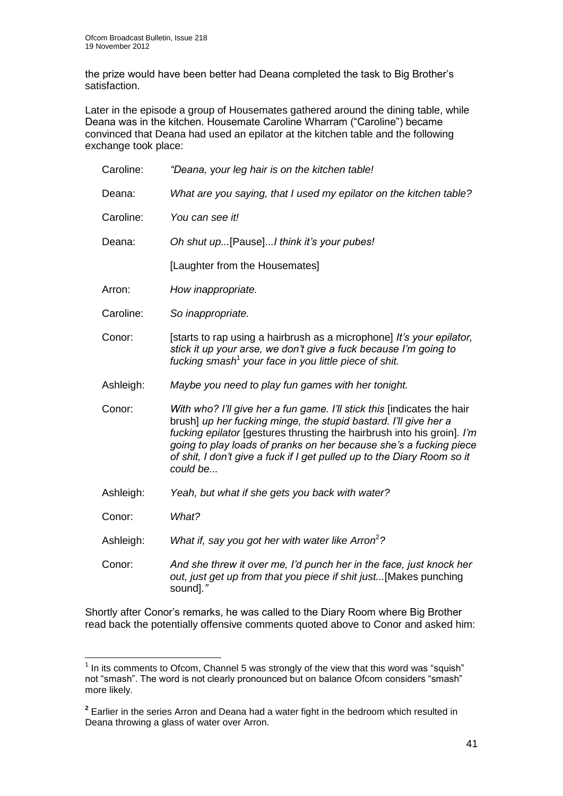the prize would have been better had Deana completed the task to Big Brother's satisfaction.

Later in the episode a group of Housemates gathered around the dining table, while Deana was in the kitchen. Housemate Caroline Wharram ("Caroline") became convinced that Deana had used an epilator at the kitchen table and the following exchange took place:

| Caroline: | "Deana, your leg hair is on the kitchen table!                                                                                                                                                                                                                                                                                                                                      |  |  |  |
|-----------|-------------------------------------------------------------------------------------------------------------------------------------------------------------------------------------------------------------------------------------------------------------------------------------------------------------------------------------------------------------------------------------|--|--|--|
| Deana:    | What are you saying, that I used my epilator on the kitchen table?                                                                                                                                                                                                                                                                                                                  |  |  |  |
| Caroline: | You can see it!                                                                                                                                                                                                                                                                                                                                                                     |  |  |  |
| Deana:    | Oh shut up[Pause]I think it's your pubes!                                                                                                                                                                                                                                                                                                                                           |  |  |  |
|           | [Laughter from the Housemates]                                                                                                                                                                                                                                                                                                                                                      |  |  |  |
| Arron:    | How inappropriate.                                                                                                                                                                                                                                                                                                                                                                  |  |  |  |
| Caroline: | So inappropriate.                                                                                                                                                                                                                                                                                                                                                                   |  |  |  |
| Conor:    | [starts to rap using a hairbrush as a microphone] It's your epilator,<br>stick it up your arse, we don't give a fuck because I'm going to<br>fucking smash <sup>1</sup> your face in you little piece of shit.                                                                                                                                                                      |  |  |  |
| Ashleigh: | Maybe you need to play fun games with her tonight.                                                                                                                                                                                                                                                                                                                                  |  |  |  |
| Conor:    | With who? I'll give her a fun game. I'll stick this [indicates the hair<br>brush] up her fucking minge, the stupid bastard. I'll give her a<br>fucking epilator [gestures thrusting the hairbrush into his groin]. I'm<br>going to play loads of pranks on her because she's a fucking piece<br>of shit, I don't give a fuck if I get pulled up to the Diary Room so it<br>could be |  |  |  |
| Ashleigh: | Yeah, but what if she gets you back with water?                                                                                                                                                                                                                                                                                                                                     |  |  |  |
| Conor:    | What?                                                                                                                                                                                                                                                                                                                                                                               |  |  |  |
| Ashleigh: | What if, say you got her with water like Arron <sup>2</sup> ?                                                                                                                                                                                                                                                                                                                       |  |  |  |
| Conor:    | And she threw it over me, I'd punch her in the face, just knock her<br>out, just get up from that you piece if shit just[Makes punching<br>sound]."                                                                                                                                                                                                                                 |  |  |  |

Shortly after Conor's remarks, he was called to the Diary Room where Big Brother read back the potentially offensive comments quoted above to Conor and asked him:

<sup>1</sup>  $1$  In its comments to Ofcom, Channel 5 was strongly of the view that this word was "squish" not "smash". The word is not clearly pronounced but on balance Ofcom considers "smash" more likely.

**<sup>2</sup>** Earlier in the series Arron and Deana had a water fight in the bedroom which resulted in Deana throwing a glass of water over Arron.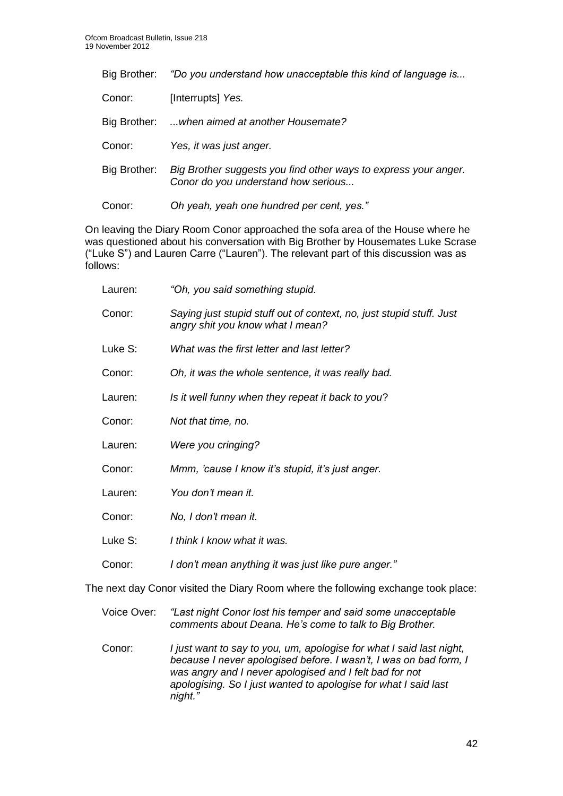| Big Brother: | "Do you understand how unacceptable this kind of language is                                           |
|--------------|--------------------------------------------------------------------------------------------------------|
| Conor:       | [Interrupts] Yes.                                                                                      |
| Big Brother: | when aimed at another Housemate?                                                                       |
| Conor:       | Yes, it was just anger.                                                                                |
| Big Brother: | Big Brother suggests you find other ways to express your anger.<br>Conor do you understand how serious |
| Conor:       | Oh yeah, yeah one hundred per cent, yes."                                                              |

On leaving the Diary Room Conor approached the sofa area of the House where he was questioned about his conversation with Big Brother by Housemates Luke Scrase ("Luke S") and Lauren Carre ("Lauren"). The relevant part of this discussion was as follows:

| Lauren: | "Oh, you said something stupid.                                                                          |
|---------|----------------------------------------------------------------------------------------------------------|
| Conor:  | Saying just stupid stuff out of context, no, just stupid stuff. Just<br>angry shit you know what I mean? |
| Luke S: | What was the first letter and last letter?                                                               |
| Conor:  | Oh, it was the whole sentence, it was really bad.                                                        |
| Lauren: | Is it well funny when they repeat it back to you?                                                        |
| Conor:  | Not that time, no.                                                                                       |
| Lauren: | Were you cringing?                                                                                       |
| Conor:  | Mmm, 'cause I know it's stupid, it's just anger.                                                         |
| Lauren: | You don't mean it.                                                                                       |
| Conor:  | No, I don't mean it.                                                                                     |
| Luke S: | I think I know what it was.                                                                              |
| Conor:  | I don't mean anything it was just like pure anger."                                                      |

The next day Conor visited the Diary Room where the following exchange took place:

- Voice Over: *"Last night Conor lost his temper and said some unacceptable comments about Deana. He's come to talk to Big Brother.*
- Conor: *I just want to say to you, um, apologise for what I said last night, because I never apologised before. I wasn't, I was on bad form, I was angry and I never apologised and I felt bad for not apologising. So I just wanted to apologise for what I said last night."*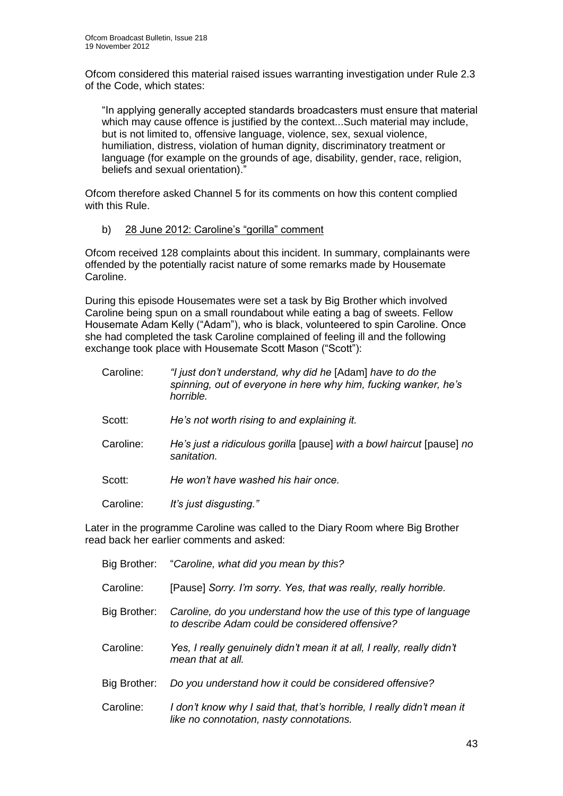Ofcom considered this material raised issues warranting investigation under Rule 2.3 of the Code, which states:

"In applying generally accepted standards broadcasters must ensure that material which may cause offence is justified by the context...Such material may include, but is not limited to, offensive language, violence, sex, sexual violence, humiliation, distress, violation of human dignity, discriminatory treatment or language (for example on the grounds of age, disability, gender, race, religion, beliefs and sexual orientation)."

Ofcom therefore asked Channel 5 for its comments on how this content complied with this Rule.

b) 28 June 2012: Caroline's "gorilla" comment

Ofcom received 128 complaints about this incident. In summary, complainants were offended by the potentially racist nature of some remarks made by Housemate Caroline.

During this episode Housemates were set a task by Big Brother which involved Caroline being spun on a small roundabout while eating a bag of sweets. Fellow Housemate Adam Kelly ("Adam"), who is black, volunteered to spin Caroline. Once she had completed the task Caroline complained of feeling ill and the following exchange took place with Housemate Scott Mason ("Scott"):

- Caroline: *"I just don't understand, why did he* [Adam] *have to do the spinning, out of everyone in here why him, fucking wanker, he's horrible.*
- Scott: *He's not worth rising to and explaining it.*
- Caroline: *He's just a ridiculous gorilla* [pause] *with a bowl haircut* [pause] *no sanitation.*

Scott: *He won't have washed his hair once.*

Caroline: *It's just disgusting."*

Later in the programme Caroline was called to the Diary Room where Big Brother read back her earlier comments and asked:

| Big Brother: | "Caroline, what did you mean by this?                                                                               |
|--------------|---------------------------------------------------------------------------------------------------------------------|
| Caroline:    | [Pause] Sorry. I'm sorry. Yes, that was really, really horrible.                                                    |
| Big Brother: | Caroline, do you understand how the use of this type of language<br>to describe Adam could be considered offensive? |
| Caroline:    | Yes, I really genuinely didn't mean it at all, I really, really didn't<br>mean that at all.                         |
| Big Brother: | Do you understand how it could be considered offensive?                                                             |
| Caroline:    | I don't know why I said that, that's horrible, I really didn't mean it<br>like no connotation, nasty connotations.  |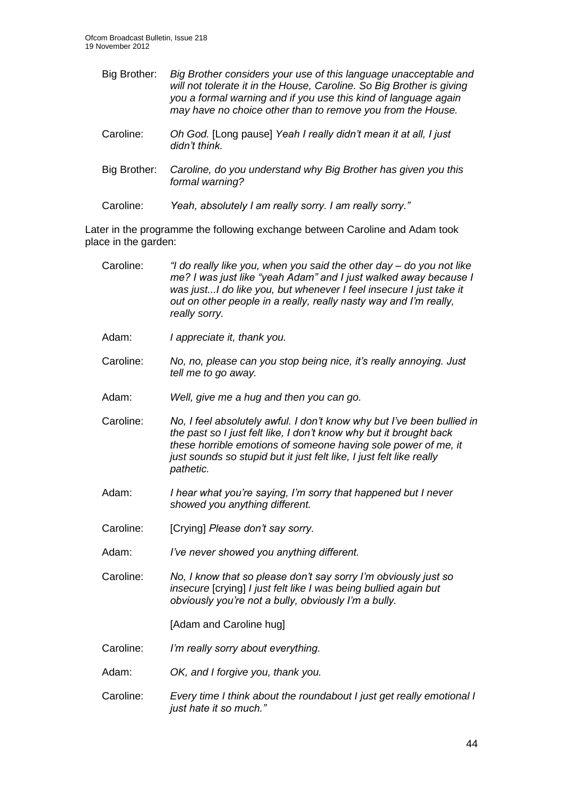- Big Brother: *Big Brother considers your use of this language unacceptable and will not tolerate it in the House, Caroline. So Big Brother is giving you a formal warning and if you use this kind of language again may have no choice other than to remove you from the House.*
- Caroline: *Oh God.* [Long pause] *Yeah I really didn't mean it at all, I just didn't think.*
- Big Brother: *Caroline, do you understand why Big Brother has given you this formal warning?*
- Caroline: *Yeah, absolutely I am really sorry. I am really sorry."*

Later in the programme the following exchange between Caroline and Adam took place in the garden:

| Caroline: | "I do really like you, when you said the other day - do you not like<br>me? I was just like "yeah Adam" and I just walked away because I<br>was justI do like you, but whenever I feel insecure I just take it<br>out on other people in a really, really nasty way and I'm really,<br>really sorry. |  |  |
|-----------|------------------------------------------------------------------------------------------------------------------------------------------------------------------------------------------------------------------------------------------------------------------------------------------------------|--|--|
| Adam:     | I appreciate it, thank you.                                                                                                                                                                                                                                                                          |  |  |
| Caroline: | No, no, please can you stop being nice, it's really annoying. Just<br>tell me to go away.                                                                                                                                                                                                            |  |  |
| Adam:     | Well, give me a hug and then you can go.                                                                                                                                                                                                                                                             |  |  |
| Caroline: | No, I feel absolutely awful. I don't know why but I've been bullied in<br>the past so I just felt like, I don't know why but it brought back<br>these horrible emotions of someone having sole power of me, it<br>just sounds so stupid but it just felt like, I just felt like really<br>pathetic.  |  |  |
| Adam:     | I hear what you're saying, I'm sorry that happened but I never<br>showed you anything different.                                                                                                                                                                                                     |  |  |
| Caroline: | [Crying] Please don't say sorry.                                                                                                                                                                                                                                                                     |  |  |
| Adam:     | I've never showed you anything different.                                                                                                                                                                                                                                                            |  |  |
| Caroline: | No, I know that so please don't say sorry I'm obviously just so<br>insecure [crying] I just felt like I was being bullied again but<br>obviously you're not a bully, obviously I'm a bully.                                                                                                          |  |  |
|           | [Adam and Caroline hug]                                                                                                                                                                                                                                                                              |  |  |
| Caroline: | I'm really sorry about everything.                                                                                                                                                                                                                                                                   |  |  |
| Adam:     | OK, and I forgive you, thank you.                                                                                                                                                                                                                                                                    |  |  |
| Caroline: | Every time I think about the roundabout I just get really emotional I<br>just hate it so much."                                                                                                                                                                                                      |  |  |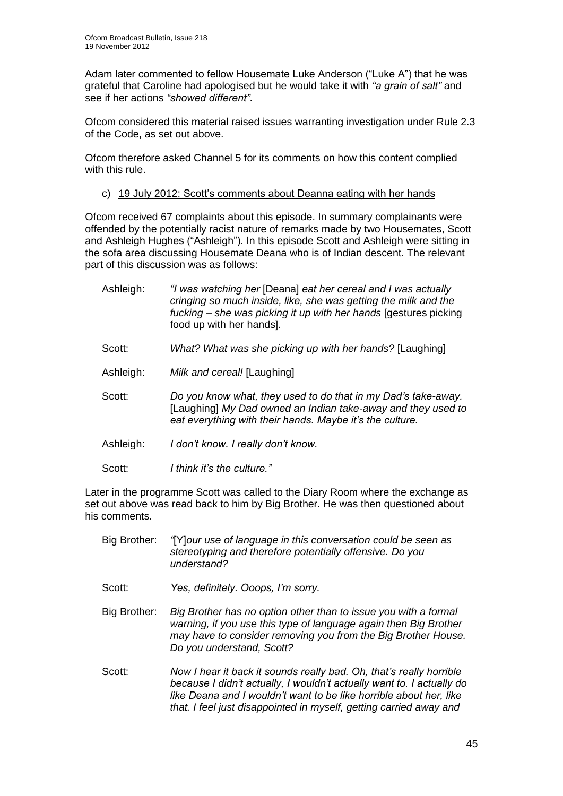Adam later commented to fellow Housemate Luke Anderson ("Luke A") that he was grateful that Caroline had apologised but he would take it with *"a grain of salt"* and see if her actions *"showed different"*.

Ofcom considered this material raised issues warranting investigation under Rule 2.3 of the Code, as set out above.

Ofcom therefore asked Channel 5 for its comments on how this content complied with this rule.

c) 19 July 2012: Scott's comments about Deanna eating with her hands

Ofcom received 67 complaints about this episode. In summary complainants were offended by the potentially racist nature of remarks made by two Housemates, Scott and Ashleigh Hughes ("Ashleigh"). In this episode Scott and Ashleigh were sitting in the sofa area discussing Housemate Deana who is of Indian descent. The relevant part of this discussion was as follows:

| Ashleigh: | "I was watching her [Deana] eat her cereal and I was actually<br>cringing so much inside, like, she was getting the milk and the<br>fucking – she was picking it up with her hands [gestures picking]<br>food up with her hands]. |
|-----------|-----------------------------------------------------------------------------------------------------------------------------------------------------------------------------------------------------------------------------------|
| Scott:    | What? What was she picking up with her hands? [Laughing]                                                                                                                                                                          |
| Ashleigh: | Milk and cereal! [Laughing]                                                                                                                                                                                                       |
| Scott:    | Do you know what, they used to do that in my Dad's take-away.<br>[Laughing] My Dad owned an Indian take-away and they used to<br>eat everything with their hands. Maybe it's the culture.                                         |
| Ashleigh: | I don't know. I really don't know.                                                                                                                                                                                                |
| Scott:    | I think it's the culture."                                                                                                                                                                                                        |

Later in the programme Scott was called to the Diary Room where the exchange as set out above was read back to him by Big Brother. He was then questioned about his comments.

| Big Brother: | "[Y] our use of language in this conversation could be seen as<br>stereotyping and therefore potentially offensive. Do you<br>understand?                                                                                                                                                |
|--------------|------------------------------------------------------------------------------------------------------------------------------------------------------------------------------------------------------------------------------------------------------------------------------------------|
| Scott:       | Yes, definitely. Ooops, I'm sorry.                                                                                                                                                                                                                                                       |
| Big Brother: | Big Brother has no option other than to issue you with a formal<br>warning, if you use this type of language again then Big Brother<br>may have to consider removing you from the Big Brother House.<br>Do you understand, Scott?                                                        |
| Scott:       | Now I hear it back it sounds really bad. Oh, that's really horrible<br>because I didn't actually, I wouldn't actually want to. I actually do<br>like Deana and I wouldn't want to be like horrible about her, like<br>that. I feel just disappointed in myself, getting carried away and |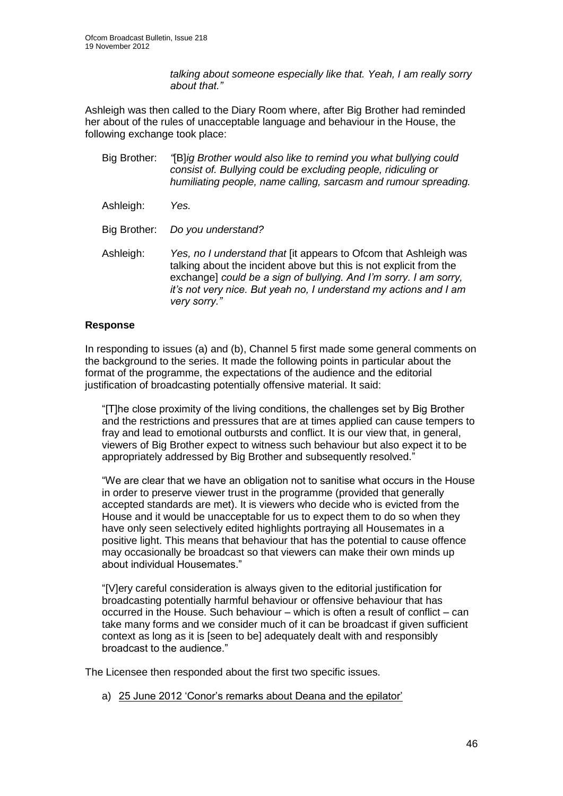*talking about someone especially like that. Yeah, I am really sorry about that."* 

Ashleigh was then called to the Diary Room where, after Big Brother had reminded her about of the rules of unacceptable language and behaviour in the House, the following exchange took place:

- Big Brother: *"*[B]*ig Brother would also like to remind you what bullying could consist of. Bullying could be excluding people, ridiculing or humiliating people, name calling, sarcasm and rumour spreading.*
- Ashleigh: *Yes.*
- Big Brother: *Do you understand?*
- Ashleigh: *Yes, no I understand that* [it appears to Ofcom that Ashleigh was talking about the incident above but this is not explicit from the exchange] *could be a sign of bullying. And I'm sorry. I am sorry, it's not very nice. But yeah no, I understand my actions and I am very sorry."*

#### **Response**

In responding to issues (a) and (b), Channel 5 first made some general comments on the background to the series. It made the following points in particular about the format of the programme, the expectations of the audience and the editorial justification of broadcasting potentially offensive material. It said:

"[T]he close proximity of the living conditions, the challenges set by Big Brother and the restrictions and pressures that are at times applied can cause tempers to fray and lead to emotional outbursts and conflict. It is our view that, in general, viewers of Big Brother expect to witness such behaviour but also expect it to be appropriately addressed by Big Brother and subsequently resolved."

"We are clear that we have an obligation not to sanitise what occurs in the House in order to preserve viewer trust in the programme (provided that generally accepted standards are met). It is viewers who decide who is evicted from the House and it would be unacceptable for us to expect them to do so when they have only seen selectively edited highlights portraying all Housemates in a positive light. This means that behaviour that has the potential to cause offence may occasionally be broadcast so that viewers can make their own minds up about individual Housemates."

"[V]ery careful consideration is always given to the editorial justification for broadcasting potentially harmful behaviour or offensive behaviour that has occurred in the House. Such behaviour – which is often a result of conflict – can take many forms and we consider much of it can be broadcast if given sufficient context as long as it is [seen to be] adequately dealt with and responsibly broadcast to the audience."

The Licensee then responded about the first two specific issues.

a) 25 June 2012 'Conor's remarks about Deana and the epilator'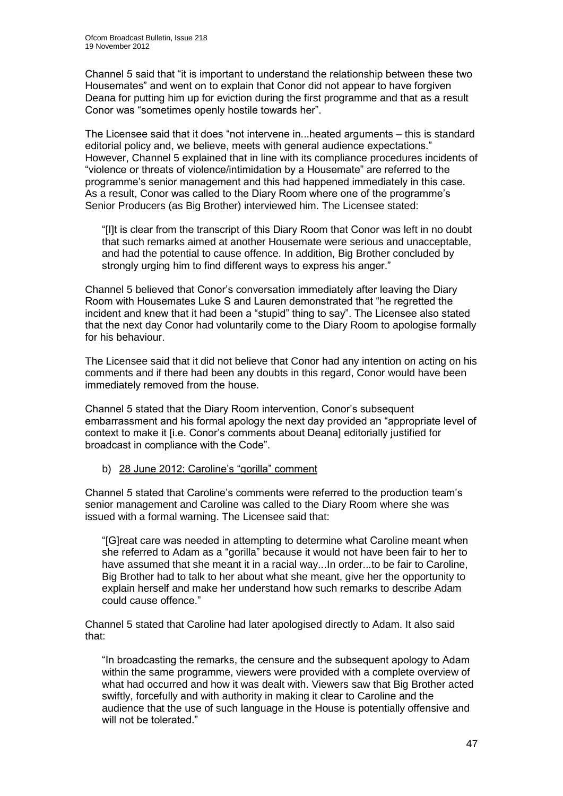Channel 5 said that "it is important to understand the relationship between these two Housemates" and went on to explain that Conor did not appear to have forgiven Deana for putting him up for eviction during the first programme and that as a result Conor was "sometimes openly hostile towards her".

The Licensee said that it does "not intervene in...heated arguments – this is standard editorial policy and, we believe, meets with general audience expectations." However, Channel 5 explained that in line with its compliance procedures incidents of "violence or threats of violence/intimidation by a Housemate" are referred to the programme's senior management and this had happened immediately in this case. As a result, Conor was called to the Diary Room where one of the programme's Senior Producers (as Big Brother) interviewed him. The Licensee stated:

"[I]t is clear from the transcript of this Diary Room that Conor was left in no doubt that such remarks aimed at another Housemate were serious and unacceptable, and had the potential to cause offence. In addition, Big Brother concluded by strongly urging him to find different ways to express his anger."

Channel 5 believed that Conor's conversation immediately after leaving the Diary Room with Housemates Luke S and Lauren demonstrated that "he regretted the incident and knew that it had been a "stupid" thing to say". The Licensee also stated that the next day Conor had voluntarily come to the Diary Room to apologise formally for his behaviour.

The Licensee said that it did not believe that Conor had any intention on acting on his comments and if there had been any doubts in this regard, Conor would have been immediately removed from the house.

Channel 5 stated that the Diary Room intervention, Conor's subsequent embarrassment and his formal apology the next day provided an "appropriate level of context to make it [i.e. Conor's comments about Deana] editorially justified for broadcast in compliance with the Code".

b) 28 June 2012: Caroline's "gorilla" comment

Channel 5 stated that Caroline's comments were referred to the production team's senior management and Caroline was called to the Diary Room where she was issued with a formal warning. The Licensee said that:

"[G]reat care was needed in attempting to determine what Caroline meant when she referred to Adam as a "gorilla" because it would not have been fair to her to have assumed that she meant it in a racial way...In order...to be fair to Caroline, Big Brother had to talk to her about what she meant, give her the opportunity to explain herself and make her understand how such remarks to describe Adam could cause offence."

Channel 5 stated that Caroline had later apologised directly to Adam. It also said that:

"In broadcasting the remarks, the censure and the subsequent apology to Adam within the same programme, viewers were provided with a complete overview of what had occurred and how it was dealt with. Viewers saw that Big Brother acted swiftly, forcefully and with authority in making it clear to Caroline and the audience that the use of such language in the House is potentially offensive and will not be tolerated."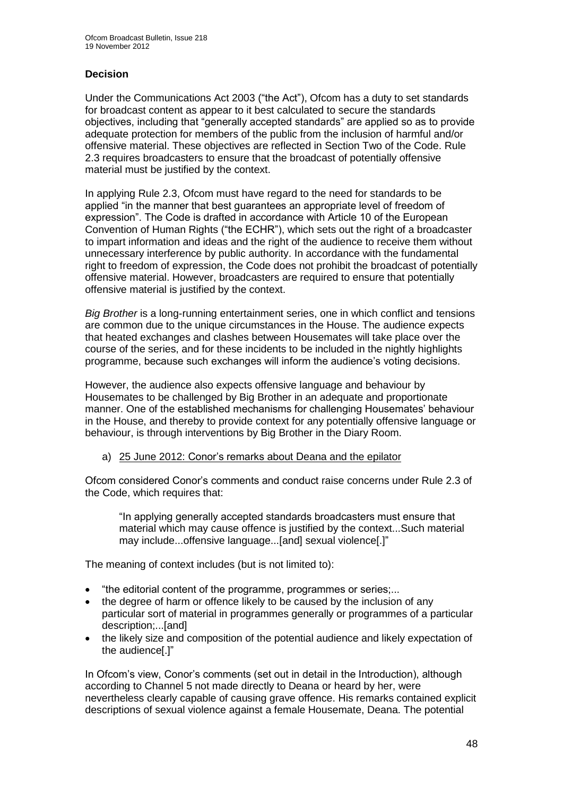#### **Decision**

Under the Communications Act 2003 ("the Act"), Ofcom has a duty to set standards for broadcast content as appear to it best calculated to secure the standards objectives, including that "generally accepted standards" are applied so as to provide adequate protection for members of the public from the inclusion of harmful and/or offensive material. These objectives are reflected in Section Two of the Code. Rule 2.3 requires broadcasters to ensure that the broadcast of potentially offensive material must be justified by the context.

In applying Rule 2.3, Ofcom must have regard to the need for standards to be applied "in the manner that best guarantees an appropriate level of freedom of expression". The Code is drafted in accordance with Article 10 of the European Convention of Human Rights ("the ECHR"), which sets out the right of a broadcaster to impart information and ideas and the right of the audience to receive them without unnecessary interference by public authority. In accordance with the fundamental right to freedom of expression, the Code does not prohibit the broadcast of potentially offensive material. However, broadcasters are required to ensure that potentially offensive material is justified by the context.

*Big Brother* is a long-running entertainment series, one in which conflict and tensions are common due to the unique circumstances in the House. The audience expects that heated exchanges and clashes between Housemates will take place over the course of the series, and for these incidents to be included in the nightly highlights programme, because such exchanges will inform the audience's voting decisions.

However, the audience also expects offensive language and behaviour by Housemates to be challenged by Big Brother in an adequate and proportionate manner. One of the established mechanisms for challenging Housemates' behaviour in the House, and thereby to provide context for any potentially offensive language or behaviour, is through interventions by Big Brother in the Diary Room.

#### a) 25 June 2012: Conor's remarks about Deana and the epilator

Ofcom considered Conor's comments and conduct raise concerns under Rule 2.3 of the Code, which requires that:

"In applying generally accepted standards broadcasters must ensure that material which may cause offence is justified by the context...Such material may include...offensive language...[and] sexual violence[.]"

The meaning of context includes (but is not limited to):

- "the editorial content of the programme, programmes or series;...
- the degree of harm or offence likely to be caused by the inclusion of any particular sort of material in programmes generally or programmes of a particular description;...[and]
- the likely size and composition of the potential audience and likely expectation of the audience[.]"

In Ofcom's view, Conor's comments (set out in detail in the Introduction), although according to Channel 5 not made directly to Deana or heard by her, were nevertheless clearly capable of causing grave offence. His remarks contained explicit descriptions of sexual violence against a female Housemate, Deana. The potential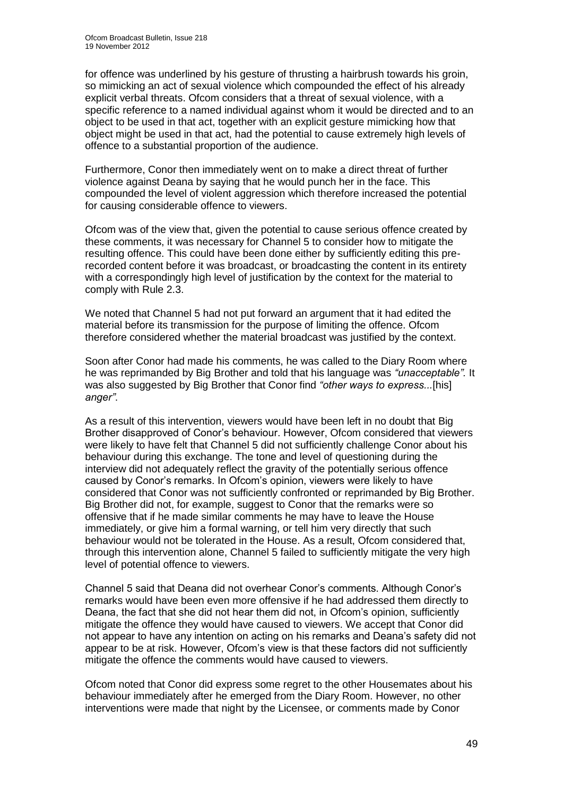for offence was underlined by his gesture of thrusting a hairbrush towards his groin, so mimicking an act of sexual violence which compounded the effect of his already explicit verbal threats. Ofcom considers that a threat of sexual violence, with a specific reference to a named individual against whom it would be directed and to an object to be used in that act, together with an explicit gesture mimicking how that object might be used in that act, had the potential to cause extremely high levels of offence to a substantial proportion of the audience.

Furthermore, Conor then immediately went on to make a direct threat of further violence against Deana by saying that he would punch her in the face. This compounded the level of violent aggression which therefore increased the potential for causing considerable offence to viewers.

Ofcom was of the view that, given the potential to cause serious offence created by these comments, it was necessary for Channel 5 to consider how to mitigate the resulting offence. This could have been done either by sufficiently editing this prerecorded content before it was broadcast, or broadcasting the content in its entirety with a correspondingly high level of justification by the context for the material to comply with Rule 2.3.

We noted that Channel 5 had not put forward an argument that it had edited the material before its transmission for the purpose of limiting the offence. Ofcom therefore considered whether the material broadcast was justified by the context.

Soon after Conor had made his comments, he was called to the Diary Room where he was reprimanded by Big Brother and told that his language was *"unacceptable".* It was also suggested by Big Brother that Conor find *"other ways to express...*[his] *anger"*.

As a result of this intervention, viewers would have been left in no doubt that Big Brother disapproved of Conor's behaviour. However, Ofcom considered that viewers were likely to have felt that Channel 5 did not sufficiently challenge Conor about his behaviour during this exchange. The tone and level of questioning during the interview did not adequately reflect the gravity of the potentially serious offence caused by Conor's remarks. In Ofcom's opinion, viewers were likely to have considered that Conor was not sufficiently confronted or reprimanded by Big Brother. Big Brother did not, for example, suggest to Conor that the remarks were so offensive that if he made similar comments he may have to leave the House immediately, or give him a formal warning, or tell him very directly that such behaviour would not be tolerated in the House. As a result, Ofcom considered that, through this intervention alone, Channel 5 failed to sufficiently mitigate the very high level of potential offence to viewers.

Channel 5 said that Deana did not overhear Conor's comments. Although Conor's remarks would have been even more offensive if he had addressed them directly to Deana, the fact that she did not hear them did not, in Ofcom's opinion, sufficiently mitigate the offence they would have caused to viewers. We accept that Conor did not appear to have any intention on acting on his remarks and Deana's safety did not appear to be at risk. However, Ofcom's view is that these factors did not sufficiently mitigate the offence the comments would have caused to viewers.

Ofcom noted that Conor did express some regret to the other Housemates about his behaviour immediately after he emerged from the Diary Room. However, no other interventions were made that night by the Licensee, or comments made by Conor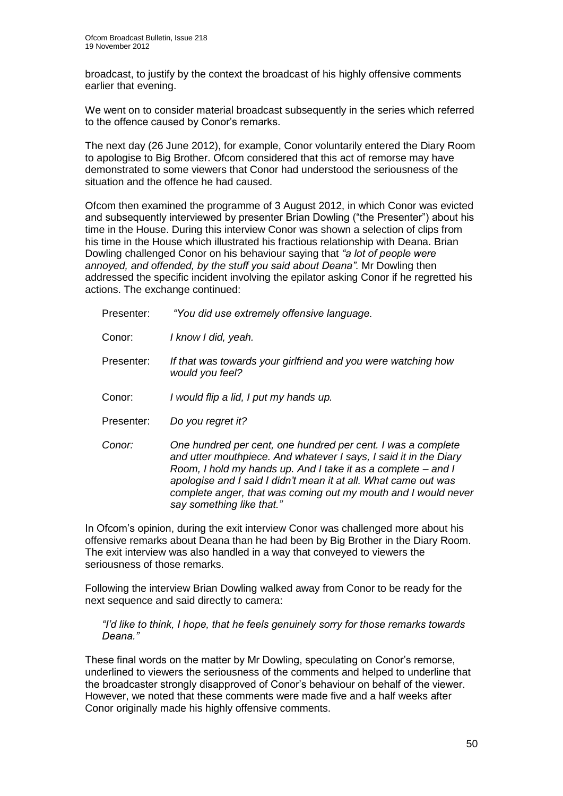broadcast, to justify by the context the broadcast of his highly offensive comments earlier that evening.

We went on to consider material broadcast subsequently in the series which referred to the offence caused by Conor's remarks.

The next day (26 June 2012), for example, Conor voluntarily entered the Diary Room to apologise to Big Brother. Ofcom considered that this act of remorse may have demonstrated to some viewers that Conor had understood the seriousness of the situation and the offence he had caused.

Ofcom then examined the programme of 3 August 2012, in which Conor was evicted and subsequently interviewed by presenter Brian Dowling ("the Presenter") about his time in the House. During this interview Conor was shown a selection of clips from his time in the House which illustrated his fractious relationship with Deana. Brian Dowling challenged Conor on his behaviour saying that *"a lot of people were annoyed, and offended, by the stuff you said about Deana".* Mr Dowling then addressed the specific incident involving the epilator asking Conor if he regretted his actions. The exchange continued:

Presenter: *"You did use extremely offensive language.*

Conor: *I know I did, yeah.*

- Presenter: *If that was towards your girlfriend and you were watching how would you feel?*
- Conor: *I would flip a lid, I put my hands up.*
- Presenter: *Do you regret it?*
- *Conor: One hundred per cent, one hundred per cent. I was a complete and utter mouthpiece. And whatever I says, I said it in the Diary Room, I hold my hands up. And I take it as a complete – and I apologise and I said I didn't mean it at all. What came out was complete anger, that was coming out my mouth and I would never say something like that."*

In Ofcom's opinion, during the exit interview Conor was challenged more about his offensive remarks about Deana than he had been by Big Brother in the Diary Room. The exit interview was also handled in a way that conveyed to viewers the seriousness of those remarks.

Following the interview Brian Dowling walked away from Conor to be ready for the next sequence and said directly to camera:

*"I'd like to think, I hope, that he feels genuinely sorry for those remarks towards Deana."*

These final words on the matter by Mr Dowling, speculating on Conor's remorse, underlined to viewers the seriousness of the comments and helped to underline that the broadcaster strongly disapproved of Conor's behaviour on behalf of the viewer. However, we noted that these comments were made five and a half weeks after Conor originally made his highly offensive comments.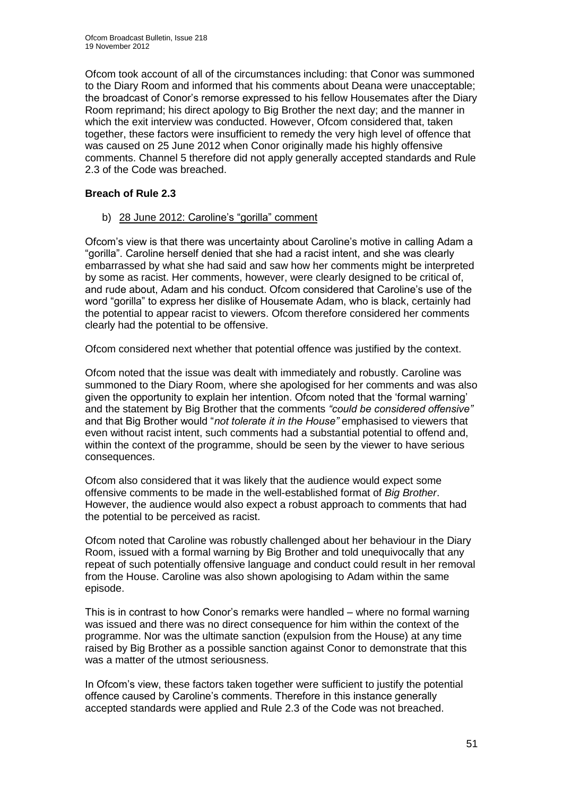Ofcom took account of all of the circumstances including: that Conor was summoned to the Diary Room and informed that his comments about Deana were unacceptable; the broadcast of Conor's remorse expressed to his fellow Housemates after the Diary Room reprimand; his direct apology to Big Brother the next day; and the manner in which the exit interview was conducted. However, Ofcom considered that, taken together, these factors were insufficient to remedy the very high level of offence that was caused on 25 June 2012 when Conor originally made his highly offensive comments. Channel 5 therefore did not apply generally accepted standards and Rule 2.3 of the Code was breached.

#### **Breach of Rule 2.3**

b) 28 June 2012: Caroline's "gorilla" comment

Ofcom's view is that there was uncertainty about Caroline's motive in calling Adam a "gorilla". Caroline herself denied that she had a racist intent, and she was clearly embarrassed by what she had said and saw how her comments might be interpreted by some as racist. Her comments, however, were clearly designed to be critical of, and rude about, Adam and his conduct. Ofcom considered that Caroline's use of the word "gorilla" to express her dislike of Housemate Adam, who is black, certainly had the potential to appear racist to viewers. Ofcom therefore considered her comments clearly had the potential to be offensive.

Ofcom considered next whether that potential offence was justified by the context.

Ofcom noted that the issue was dealt with immediately and robustly. Caroline was summoned to the Diary Room, where she apologised for her comments and was also given the opportunity to explain her intention. Ofcom noted that the 'formal warning' and the statement by Big Brother that the comments *"could be considered offensive"*  and that Big Brother would "*not tolerate it in the House"* emphasised to viewers that even without racist intent, such comments had a substantial potential to offend and, within the context of the programme, should be seen by the viewer to have serious consequences.

Ofcom also considered that it was likely that the audience would expect some offensive comments to be made in the well-established format of *Big Brother*. However, the audience would also expect a robust approach to comments that had the potential to be perceived as racist.

Ofcom noted that Caroline was robustly challenged about her behaviour in the Diary Room, issued with a formal warning by Big Brother and told unequivocally that any repeat of such potentially offensive language and conduct could result in her removal from the House. Caroline was also shown apologising to Adam within the same episode.

This is in contrast to how Conor's remarks were handled – where no formal warning was issued and there was no direct consequence for him within the context of the programme. Nor was the ultimate sanction (expulsion from the House) at any time raised by Big Brother as a possible sanction against Conor to demonstrate that this was a matter of the utmost seriousness.

In Ofcom's view, these factors taken together were sufficient to justify the potential offence caused by Caroline's comments. Therefore in this instance generally accepted standards were applied and Rule 2.3 of the Code was not breached.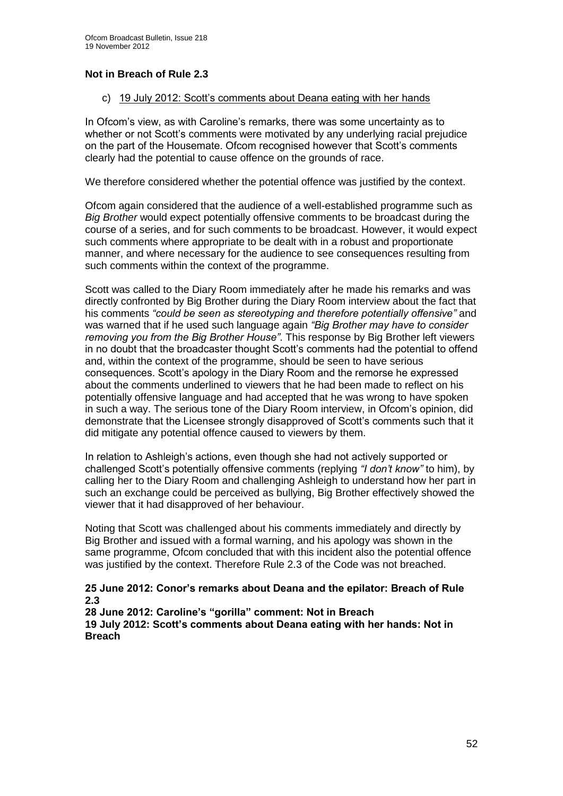#### **Not in Breach of Rule 2.3**

#### c) 19 July 2012: Scott's comments about Deana eating with her hands

In Ofcom's view, as with Caroline's remarks, there was some uncertainty as to whether or not Scott's comments were motivated by any underlying racial prejudice on the part of the Housemate. Ofcom recognised however that Scott's comments clearly had the potential to cause offence on the grounds of race.

We therefore considered whether the potential offence was justified by the context.

Ofcom again considered that the audience of a well-established programme such as *Big Brother* would expect potentially offensive comments to be broadcast during the course of a series, and for such comments to be broadcast. However, it would expect such comments where appropriate to be dealt with in a robust and proportionate manner, and where necessary for the audience to see consequences resulting from such comments within the context of the programme.

Scott was called to the Diary Room immediately after he made his remarks and was directly confronted by Big Brother during the Diary Room interview about the fact that his comments *"could be seen as stereotyping and therefore potentially offensive"* and was warned that if he used such language again *"Big Brother may have to consider removing you from the Big Brother House"*. This response by Big Brother left viewers in no doubt that the broadcaster thought Scott's comments had the potential to offend and, within the context of the programme, should be seen to have serious consequences. Scott's apology in the Diary Room and the remorse he expressed about the comments underlined to viewers that he had been made to reflect on his potentially offensive language and had accepted that he was wrong to have spoken in such a way. The serious tone of the Diary Room interview, in Ofcom's opinion, did demonstrate that the Licensee strongly disapproved of Scott's comments such that it did mitigate any potential offence caused to viewers by them.

In relation to Ashleigh's actions, even though she had not actively supported or challenged Scott's potentially offensive comments (replying *"I don't know"* to him), by calling her to the Diary Room and challenging Ashleigh to understand how her part in such an exchange could be perceived as bullying, Big Brother effectively showed the viewer that it had disapproved of her behaviour.

Noting that Scott was challenged about his comments immediately and directly by Big Brother and issued with a formal warning, and his apology was shown in the same programme, Ofcom concluded that with this incident also the potential offence was justified by the context. Therefore Rule 2.3 of the Code was not breached.

#### **25 June 2012: Conor's remarks about Deana and the epilator: Breach of Rule 2.3**

**28 June 2012: Caroline's "gorilla" comment: Not in Breach 19 July 2012: Scott's comments about Deana eating with her hands: Not in Breach**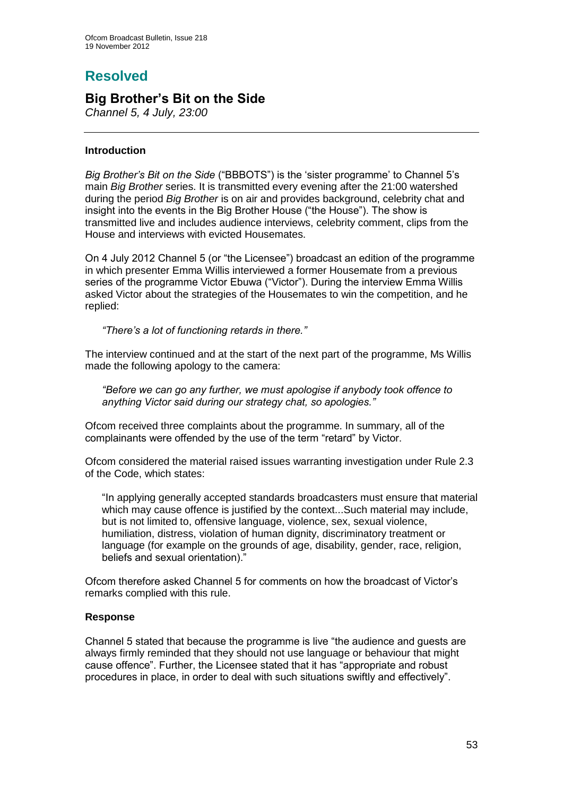# **Resolved**

## **Big Brother's Bit on the Side**

*Channel 5, 4 July, 23:00*

#### **Introduction**

*Big Brother's Bit on the Side* ("BBBOTS") is the 'sister programme' to Channel 5's main *Big Brother* series. It is transmitted every evening after the 21:00 watershed during the period *Big Brother* is on air and provides background, celebrity chat and insight into the events in the Big Brother House ("the House"). The show is transmitted live and includes audience interviews, celebrity comment, clips from the House and interviews with evicted Housemates.

On 4 July 2012 Channel 5 (or "the Licensee") broadcast an edition of the programme in which presenter Emma Willis interviewed a former Housemate from a previous series of the programme Victor Ebuwa ("Victor"). During the interview Emma Willis asked Victor about the strategies of the Housemates to win the competition, and he replied:

*"There's a lot of functioning retards in there."* 

The interview continued and at the start of the next part of the programme, Ms Willis made the following apology to the camera:

*"Before we can go any further, we must apologise if anybody took offence to anything Victor said during our strategy chat, so apologies."* 

Ofcom received three complaints about the programme. In summary, all of the complainants were offended by the use of the term "retard" by Victor.

Ofcom considered the material raised issues warranting investigation under Rule 2.3 of the Code, which states:

"In applying generally accepted standards broadcasters must ensure that material which may cause offence is justified by the context...Such material may include, but is not limited to, offensive language, violence, sex, sexual violence, humiliation, distress, violation of human dignity, discriminatory treatment or language (for example on the grounds of age, disability, gender, race, religion, beliefs and sexual orientation)."

Ofcom therefore asked Channel 5 for comments on how the broadcast of Victor's remarks complied with this rule.

#### **Response**

Channel 5 stated that because the programme is live "the audience and guests are always firmly reminded that they should not use language or behaviour that might cause offence". Further, the Licensee stated that it has "appropriate and robust procedures in place, in order to deal with such situations swiftly and effectively".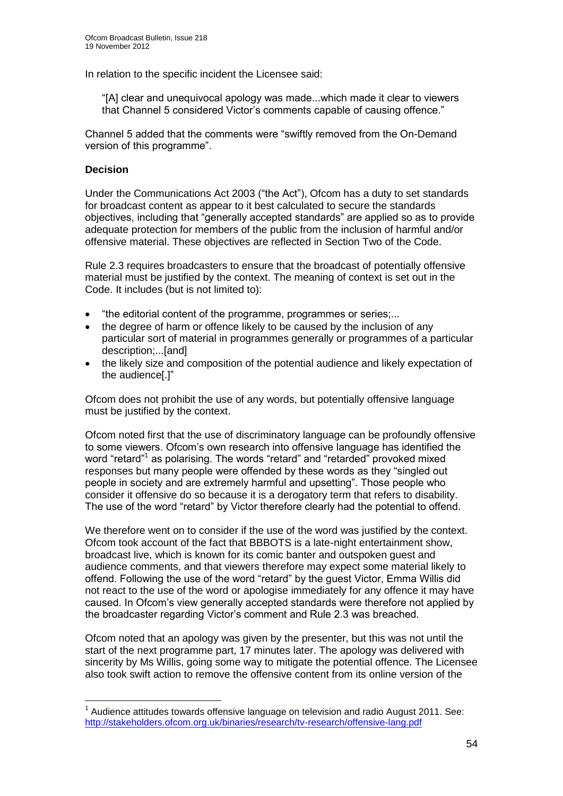In relation to the specific incident the Licensee said:

"[A] clear and unequivocal apology was made...which made it clear to viewers that Channel 5 considered Victor's comments capable of causing offence."

Channel 5 added that the comments were "swiftly removed from the On-Demand version of this programme".

#### **Decision**

1

Under the Communications Act 2003 ("the Act"), Ofcom has a duty to set standards for broadcast content as appear to it best calculated to secure the standards objectives, including that "generally accepted standards" are applied so as to provide adequate protection for members of the public from the inclusion of harmful and/or offensive material. These objectives are reflected in Section Two of the Code.

Rule 2.3 requires broadcasters to ensure that the broadcast of potentially offensive material must be justified by the context. The meaning of context is set out in the Code. It includes (but is not limited to):

- "the editorial content of the programme, programmes or series;...
- the degree of harm or offence likely to be caused by the inclusion of any particular sort of material in programmes generally or programmes of a particular description;...[and]
- the likely size and composition of the potential audience and likely expectation of the audience[.]"

Ofcom does not prohibit the use of any words, but potentially offensive language must be justified by the context.

Ofcom noted first that the use of discriminatory language can be profoundly offensive to some viewers. Ofcom's own research into offensive language has identified the word "retard"<sup>1</sup> as polarising. The words "retard" and "retarded" provoked mixed responses but many people were offended by these words as they "singled out people in society and are extremely harmful and upsetting". Those people who consider it offensive do so because it is a derogatory term that refers to disability. The use of the word "retard" by Victor therefore clearly had the potential to offend.

We therefore went on to consider if the use of the word was justified by the context. Ofcom took account of the fact that BBBOTS is a late-night entertainment show, broadcast live, which is known for its comic banter and outspoken guest and audience comments, and that viewers therefore may expect some material likely to offend. Following the use of the word "retard" by the guest Victor, Emma Willis did not react to the use of the word or apologise immediately for any offence it may have caused. In Ofcom's view generally accepted standards were therefore not applied by the broadcaster regarding Victor's comment and Rule 2.3 was breached.

Ofcom noted that an apology was given by the presenter, but this was not until the start of the next programme part, 17 minutes later. The apology was delivered with sincerity by Ms Willis, going some way to mitigate the potential offence. The Licensee also took swift action to remove the offensive content from its online version of the

 $1$  Audience attitudes towards offensive language on television and radio August 2011. See: <http://stakeholders.ofcom.org.uk/binaries/research/tv-research/offensive-lang.pdf>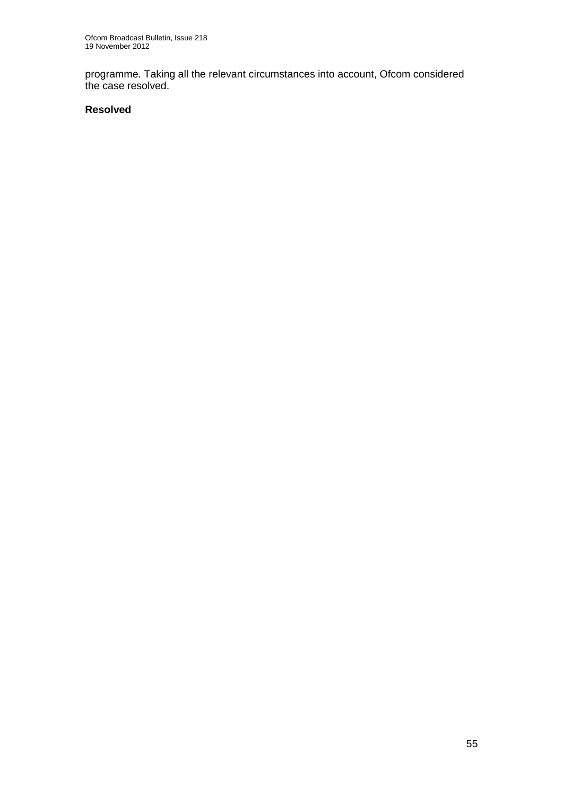programme. Taking all the relevant circumstances into account, Ofcom considered the case resolved.

#### **Resolved**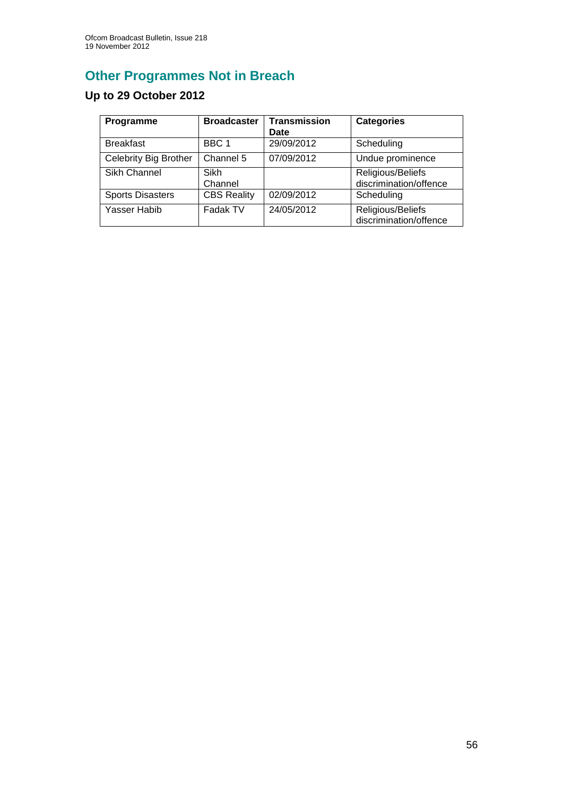# **Other Programmes Not in Breach**

## **Up to 29 October 2012**

| Programme               | <b>Broadcaster</b> | <b>Transmission</b><br>Date | <b>Categories</b>                           |
|-------------------------|--------------------|-----------------------------|---------------------------------------------|
| <b>Breakfast</b>        | BBC <sub>1</sub>   | 29/09/2012                  | Scheduling                                  |
| Celebrity Big Brother   | Channel 5          | 07/09/2012                  | Undue prominence                            |
| Sikh Channel            | Sikh<br>Channel    |                             | Religious/Beliefs<br>discrimination/offence |
| <b>Sports Disasters</b> | <b>CBS Reality</b> | 02/09/2012                  | Scheduling                                  |
| Yasser Habib            | Fadak TV           | 24/05/2012                  | Religious/Beliefs<br>discrimination/offence |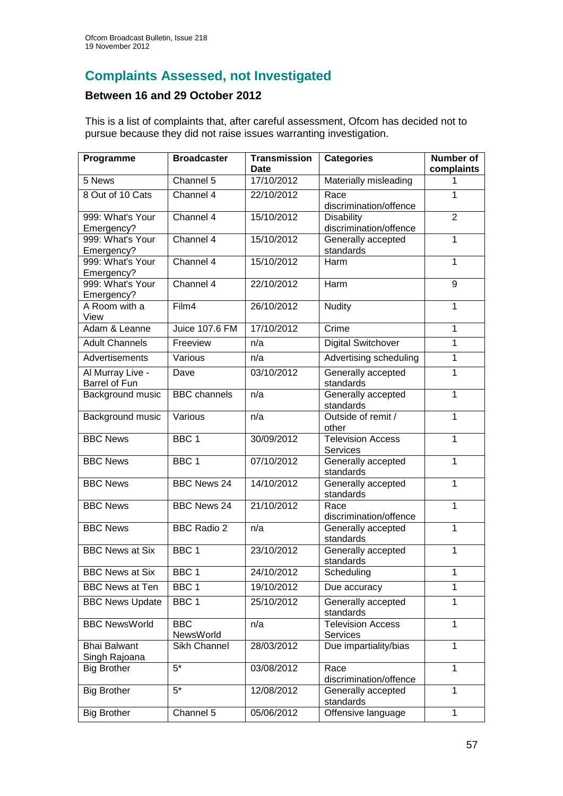## **Complaints Assessed, not Investigated**

## **Between 16 and 29 October 2012**

This is a list of complaints that, after careful assessment, Ofcom has decided not to pursue because they did not raise issues warranting investigation.

| Programme              | <b>Broadcaster</b>  | <b>Transmission</b><br>Date | <b>Categories</b>               | Number of<br>complaints |
|------------------------|---------------------|-----------------------------|---------------------------------|-------------------------|
| 5 News                 | Channel 5           | 17/10/2012                  | Materially misleading           | 1.                      |
| 8 Out of 10 Cats       | Channel 4           | 22/10/2012                  | Race                            | 1                       |
|                        |                     |                             | discrimination/offence          |                         |
| 999: What's Your       | Channel 4           | 15/10/2012                  | <b>Disability</b>               | $\overline{2}$          |
| Emergency?             |                     |                             | discrimination/offence          |                         |
| 999: What's Your       | Channel 4           | 15/10/2012                  | Generally accepted              | 1                       |
| Emergency?             |                     |                             | standards                       |                         |
| 999: What's Your       | Channel 4           | 15/10/2012                  | Harm                            | 1                       |
| Emergency?             |                     |                             |                                 |                         |
| 999: What's Your       | Channel 4           | 22/10/2012                  | Harm                            | 9                       |
| Emergency?             |                     |                             |                                 |                         |
| A Room with a<br>View  | Film4               | 26/10/2012                  | <b>Nudity</b>                   | 1                       |
| Adam & Leanne          | Juice 107.6 FM      | 17/10/2012                  | Crime                           | $\mathbf{1}$            |
| <b>Adult Channels</b>  | Freeview            | n/a                         | <b>Digital Switchover</b>       | $\overline{1}$          |
|                        |                     |                             |                                 |                         |
| Advertisements         | Various             | n/a                         | Advertising scheduling          | $\mathbf{1}$            |
| Al Murray Live -       | Dave                | 03/10/2012                  | Generally accepted              | 1                       |
| <b>Barrel of Fun</b>   |                     |                             | standards                       |                         |
| Background music       | <b>BBC</b> channels | n/a                         | Generally accepted              | 1                       |
|                        | Various             | n/a                         | standards<br>Outside of remit / | $\mathbf 1$             |
| Background music       |                     |                             | other                           |                         |
| <b>BBC News</b>        | BBC <sub>1</sub>    | 30/09/2012                  | <b>Television Access</b>        | 1                       |
|                        |                     |                             | Services                        |                         |
| <b>BBC News</b>        | BBC <sub>1</sub>    | 07/10/2012                  | Generally accepted              | $\mathbf{1}$            |
|                        |                     |                             | standards                       |                         |
| <b>BBC News</b>        | <b>BBC News 24</b>  | 14/10/2012                  | Generally accepted              | $\mathbf{1}$            |
|                        |                     |                             | standards                       |                         |
| <b>BBC News</b>        | <b>BBC News 24</b>  | 21/10/2012                  | Race                            | 1                       |
|                        |                     |                             | discrimination/offence          |                         |
| <b>BBC News</b>        | <b>BBC Radio 2</b>  | n/a                         | Generally accepted<br>standards | $\mathbf{1}$            |
| <b>BBC News at Six</b> | BBC <sub>1</sub>    | 23/10/2012                  | Generally accepted              | $\mathbf{1}$            |
|                        |                     |                             | standards                       |                         |
| <b>BBC News at Six</b> | BBC 1               | 24/10/2012                  | Scheduling                      | 1.                      |
| <b>BBC News at Ten</b> | BBC <sub>1</sub>    | 19/10/2012                  | Due accuracy                    | 1                       |
| <b>BBC News Update</b> | BBC <sub>1</sub>    | 25/10/2012                  | Generally accepted              | $\mathbf{1}$            |
|                        |                     |                             | standards                       |                         |
| <b>BBC NewsWorld</b>   | <b>BBC</b>          | n/a                         | <b>Television Access</b>        | $\mathbf{1}$            |
|                        | NewsWorld           |                             | Services                        |                         |
| <b>Bhai Balwant</b>    | Sikh Channel        | 28/03/2012                  | Due impartiality/bias           | 1                       |
| Singh Rajoana          |                     |                             |                                 |                         |
| <b>Big Brother</b>     | $5*$                | 03/08/2012                  | Race                            | $\mathbf{1}$            |
|                        |                     |                             | discrimination/offence          |                         |
| <b>Big Brother</b>     | $5*$                | 12/08/2012                  | Generally accepted              | 1                       |
|                        |                     |                             | standards                       |                         |
| <b>Big Brother</b>     | Channel 5           | 05/06/2012                  | Offensive language              | 1                       |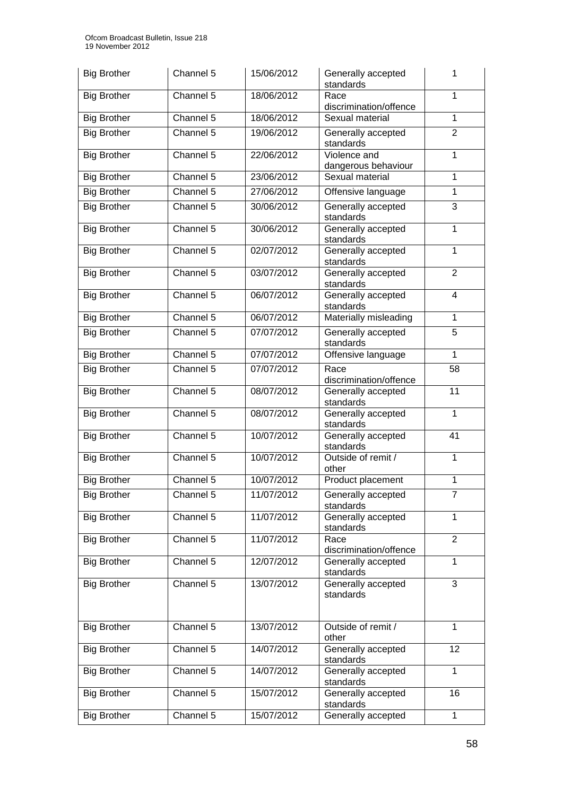| <b>Big Brother</b> | Channel 5              | 15/06/2012 | Generally accepted<br>standards     | 1              |
|--------------------|------------------------|------------|-------------------------------------|----------------|
| <b>Big Brother</b> | Channel 5              | 18/06/2012 | Race<br>discrimination/offence      | 1              |
| <b>Big Brother</b> | Channel 5              | 18/06/2012 | Sexual material                     | $\mathbf{1}$   |
| <b>Big Brother</b> | Channel 5              | 19/06/2012 | Generally accepted<br>standards     | $\overline{2}$ |
| <b>Big Brother</b> | Channel 5              | 22/06/2012 | Violence and<br>dangerous behaviour | 1              |
| <b>Big Brother</b> | Channel 5              | 23/06/2012 | Sexual material                     | $\mathbf{1}$   |
| <b>Big Brother</b> | Channel 5              | 27/06/2012 | Offensive language                  | $\mathbf{1}$   |
| <b>Big Brother</b> | Channel 5              | 30/06/2012 | Generally accepted<br>standards     | 3              |
| <b>Big Brother</b> | Channel 5              | 30/06/2012 | Generally accepted<br>standards     | 1              |
| <b>Big Brother</b> | Channel 5              | 02/07/2012 | Generally accepted<br>standards     | 1              |
| <b>Big Brother</b> | Channel 5              | 03/07/2012 | Generally accepted<br>standards     | $\overline{2}$ |
| <b>Big Brother</b> | Channel 5              | 06/07/2012 | Generally accepted<br>standards     | $\overline{4}$ |
| <b>Big Brother</b> | Channel 5              | 06/07/2012 | Materially misleading               | $\mathbf{1}$   |
| <b>Big Brother</b> | Channel 5              | 07/07/2012 | Generally accepted<br>standards     | 5              |
| <b>Big Brother</b> | Channel 5              | 07/07/2012 | Offensive language                  | 1              |
| <b>Big Brother</b> | Channel $\overline{5}$ | 07/07/2012 | Race<br>discrimination/offence      | 58             |
| <b>Big Brother</b> | Channel 5              | 08/07/2012 | Generally accepted<br>standards     | 11             |
| <b>Big Brother</b> | Channel 5              | 08/07/2012 | Generally accepted<br>standards     | $\mathbf{1}$   |
| <b>Big Brother</b> | Channel 5              | 10/07/2012 | Generally accepted<br>standards     | 41             |
| <b>Big Brother</b> | Channel 5              | 10/07/2012 | Outside of remit /<br>other         | 1              |
| <b>Big Brother</b> | Channel 5              | 10/07/2012 | Product placement                   | $\mathbf{1}$   |
| <b>Big Brother</b> | Channel 5              | 11/07/2012 | Generally accepted<br>standards     | 7              |
| <b>Big Brother</b> | Channel 5              | 11/07/2012 | Generally accepted<br>standards     | $\mathbf{1}$   |
| <b>Big Brother</b> | Channel 5              | 11/07/2012 | Race<br>discrimination/offence      | $\overline{2}$ |
| <b>Big Brother</b> | Channel 5              | 12/07/2012 | Generally accepted<br>standards     | $\mathbf{1}$   |
| <b>Big Brother</b> | Channel 5              | 13/07/2012 | Generally accepted<br>standards     | $\overline{3}$ |
| <b>Big Brother</b> | Channel 5              | 13/07/2012 | Outside of remit /<br>other         | 1              |
| <b>Big Brother</b> | Channel 5              | 14/07/2012 | Generally accepted<br>standards     | 12             |
| <b>Big Brother</b> | Channel 5              | 14/07/2012 | Generally accepted<br>standards     | 1              |
| <b>Big Brother</b> | Channel 5              | 15/07/2012 | Generally accepted<br>standards     | 16             |
| <b>Big Brother</b> | Channel 5              | 15/07/2012 | Generally accepted                  | $\mathbf{1}$   |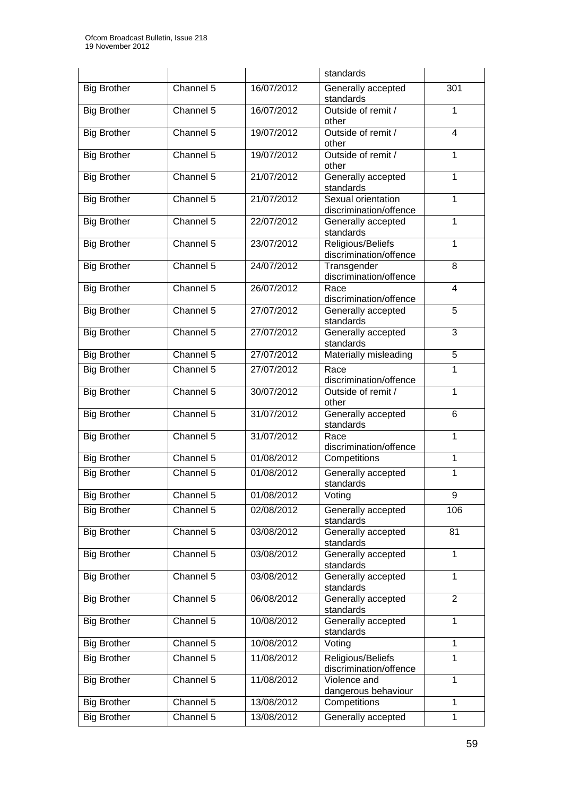|                    |           |            | standards                                    |                         |  |
|--------------------|-----------|------------|----------------------------------------------|-------------------------|--|
| <b>Big Brother</b> | Channel 5 | 16/07/2012 | Generally accepted<br>301<br>standards       |                         |  |
| <b>Big Brother</b> | Channel 5 | 16/07/2012 | Outside of remit /<br>other                  | 1                       |  |
| <b>Big Brother</b> | Channel 5 | 19/07/2012 | Outside of remit /<br>other                  | $\overline{\mathbf{4}}$ |  |
| <b>Big Brother</b> | Channel 5 | 19/07/2012 | Outside of remit /<br>other                  | 1                       |  |
| <b>Big Brother</b> | Channel 5 | 21/07/2012 | Generally accepted<br>standards              | $\mathbf{1}$            |  |
| <b>Big Brother</b> | Channel 5 | 21/07/2012 | Sexual orientation<br>discrimination/offence | $\mathbf{1}$            |  |
| <b>Big Brother</b> | Channel 5 | 22/07/2012 | Generally accepted<br>standards              | $\mathbf{1}$            |  |
| <b>Big Brother</b> | Channel 5 | 23/07/2012 | Religious/Beliefs<br>discrimination/offence  | 1                       |  |
| <b>Big Brother</b> | Channel 5 | 24/07/2012 | Transgender<br>discrimination/offence        | 8                       |  |
| <b>Big Brother</b> | Channel 5 | 26/07/2012 | Race<br>discrimination/offence               | $\overline{4}$          |  |
| <b>Big Brother</b> | Channel 5 | 27/07/2012 | Generally accepted<br>standards              | $\overline{5}$          |  |
| <b>Big Brother</b> | Channel 5 | 27/07/2012 | Generally accepted<br>standards              | 3                       |  |
| <b>Big Brother</b> | Channel 5 | 27/07/2012 | Materially misleading                        | 5                       |  |
| <b>Big Brother</b> | Channel 5 | 27/07/2012 | Race<br>discrimination/offence               | 1                       |  |
| <b>Big Brother</b> | Channel 5 | 30/07/2012 | Outside of remit /<br>other                  | $\mathbf{1}$            |  |
| <b>Big Brother</b> | Channel 5 | 31/07/2012 | Generally accepted<br>standards              | 6                       |  |
| <b>Big Brother</b> | Channel 5 | 31/07/2012 | 1<br>Race<br>discrimination/offence          |                         |  |
| <b>Big Brother</b> | Channel 5 | 01/08/2012 | Competitions                                 | 1                       |  |
| <b>Big Brother</b> | Channel 5 | 01/08/2012 | Generally accepted<br>standards              | 1                       |  |
| <b>Big Brother</b> | Channel 5 | 01/08/2012 | Voting                                       | 9                       |  |
| <b>Big Brother</b> | Channel 5 | 02/08/2012 | Generally accepted<br>standards              | 106                     |  |
| <b>Big Brother</b> | Channel 5 | 03/08/2012 | Generally accepted<br>standards              | 81                      |  |
| <b>Big Brother</b> | Channel 5 | 03/08/2012 | Generally accepted<br>standards              | $\mathbf 1$             |  |
| <b>Big Brother</b> | Channel 5 | 03/08/2012 | Generally accepted<br>standards              | 1                       |  |
| <b>Big Brother</b> | Channel 5 | 06/08/2012 | Generally accepted<br>standards              | $\overline{2}$          |  |
| <b>Big Brother</b> | Channel 5 | 10/08/2012 | Generally accepted<br>standards              | $\mathbf{1}$            |  |
| <b>Big Brother</b> | Channel 5 | 10/08/2012 | Voting                                       | $\mathbf{1}$            |  |
| <b>Big Brother</b> | Channel 5 | 11/08/2012 | Religious/Beliefs<br>discrimination/offence  | $\mathbf{1}$            |  |
| <b>Big Brother</b> | Channel 5 | 11/08/2012 | Violence and<br>dangerous behaviour          | 1                       |  |
| <b>Big Brother</b> | Channel 5 | 13/08/2012 | Competitions                                 | 1                       |  |
| <b>Big Brother</b> | Channel 5 | 13/08/2012 | Generally accepted                           | $\mathbf{1}$            |  |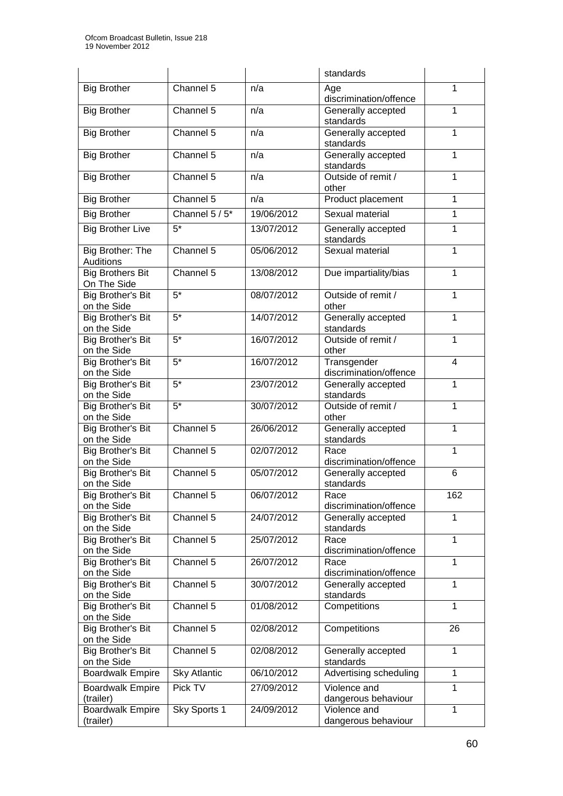|                          |                     |            | standards                          |              |  |
|--------------------------|---------------------|------------|------------------------------------|--------------|--|
| <b>Big Brother</b>       | Channel 5           | n/a        | Age                                | 1            |  |
|                          |                     |            | discrimination/offence             |              |  |
| <b>Big Brother</b>       | Channel 5           | n/a        | Generally accepted                 | 1            |  |
|                          |                     |            | standards                          |              |  |
| <b>Big Brother</b>       | Channel 5           | n/a        | Generally accepted                 | $\mathbf{1}$ |  |
|                          |                     |            | standards                          |              |  |
| <b>Big Brother</b>       | Channel 5           | n/a        | Generally accepted                 | 1            |  |
|                          |                     |            | standards                          |              |  |
| <b>Big Brother</b>       | Channel 5           | n/a        | Outside of remit /                 | 1            |  |
|                          |                     |            | other                              |              |  |
| <b>Big Brother</b>       | Channel 5           | n/a        | Product placement                  | 1            |  |
| <b>Big Brother</b>       | Channel 5 / 5*      | 19/06/2012 | Sexual material                    | 1            |  |
| <b>Big Brother Live</b>  | $5*$                | 13/07/2012 | Generally accepted                 | 1            |  |
|                          |                     |            | standards                          |              |  |
| Big Brother: The         | Channel 5           | 05/06/2012 | Sexual material                    | 1            |  |
| Auditions                |                     |            |                                    |              |  |
| <b>Big Brothers Bit</b>  | Channel 5           | 13/08/2012 | Due impartiality/bias              | 1            |  |
| On The Side              |                     |            |                                    |              |  |
| <b>Big Brother's Bit</b> | $\overline{5^*}$    | 08/07/2012 | Outside of remit /                 | 1            |  |
| on the Side              |                     |            | other                              |              |  |
| <b>Big Brother's Bit</b> | $\overline{5^*}$    | 14/07/2012 | Generally accepted                 | 1            |  |
| on the Side              |                     |            | standards                          |              |  |
| Big Brother's Bit        | $5*$                | 16/07/2012 | Outside of remit /                 | 1            |  |
| on the Side              |                     |            | other                              |              |  |
| Big Brother's Bit        | $5*$                | 16/07/2012 | Transgender<br>4                   |              |  |
| on the Side              |                     |            | discrimination/offence             |              |  |
| Big Brother's Bit        | $\overline{5^*}$    | 23/07/2012 | Generally accepted                 | 1            |  |
| on the Side              |                     |            | standards                          |              |  |
| Big Brother's Bit        | $\overline{5^*}$    | 30/07/2012 | Outside of remit /                 | 1            |  |
| on the Side              |                     |            | other                              |              |  |
| Big Brother's Bit        | Channel 5           | 26/06/2012 | Generally accepted<br>$\mathbf{1}$ |              |  |
| on the Side              |                     |            | standards                          |              |  |
| <b>Big Brother's Bit</b> | Channel 5           | 02/07/2012 | 1<br>Race                          |              |  |
| on the Side              |                     |            | discrimination/offence             |              |  |
| Big Brother's Bit        | Channel 5           | 05/07/2012 | Generally accepted                 | 6            |  |
| on the Side              |                     |            | standards                          |              |  |
| Big Brother's Bit        | Channel 5           | 06/07/2012 | Race                               | 162          |  |
| on the Side              |                     |            | discrimination/offence             |              |  |
| <b>Big Brother's Bit</b> | Channel 5           | 24/07/2012 | Generally accepted                 | 1            |  |
| on the Side              |                     |            | standards                          |              |  |
| <b>Big Brother's Bit</b> | Channel 5           | 25/07/2012 | Race                               | 1            |  |
| on the Side              |                     |            | discrimination/offence             |              |  |
| <b>Big Brother's Bit</b> | Channel 5           | 26/07/2012 | Race                               | 1            |  |
| on the Side              |                     |            | discrimination/offence             |              |  |
| <b>Big Brother's Bit</b> | Channel 5           | 30/07/2012 | Generally accepted                 | 1            |  |
| on the Side              |                     |            | standards                          |              |  |
| <b>Big Brother's Bit</b> | Channel 5           | 01/08/2012 | Competitions<br>1                  |              |  |
| on the Side              |                     |            |                                    |              |  |
| <b>Big Brother's Bit</b> | Channel 5           | 02/08/2012 | Competitions                       | 26           |  |
| on the Side              |                     |            |                                    |              |  |
| <b>Big Brother's Bit</b> | Channel 5           | 02/08/2012 | Generally accepted                 | 1            |  |
| on the Side              |                     |            | standards                          |              |  |
| <b>Boardwalk Empire</b>  | <b>Sky Atlantic</b> | 06/10/2012 | Advertising scheduling             | $\mathbf{1}$ |  |
| <b>Boardwalk Empire</b>  | Pick TV             | 27/09/2012 | Violence and                       | $\mathbf{1}$ |  |
| (trailer)                |                     |            | dangerous behaviour                |              |  |
| <b>Boardwalk Empire</b>  | Sky Sports 1        | 24/09/2012 | Violence and                       | 1            |  |
| (trailer)                |                     |            | dangerous behaviour                |              |  |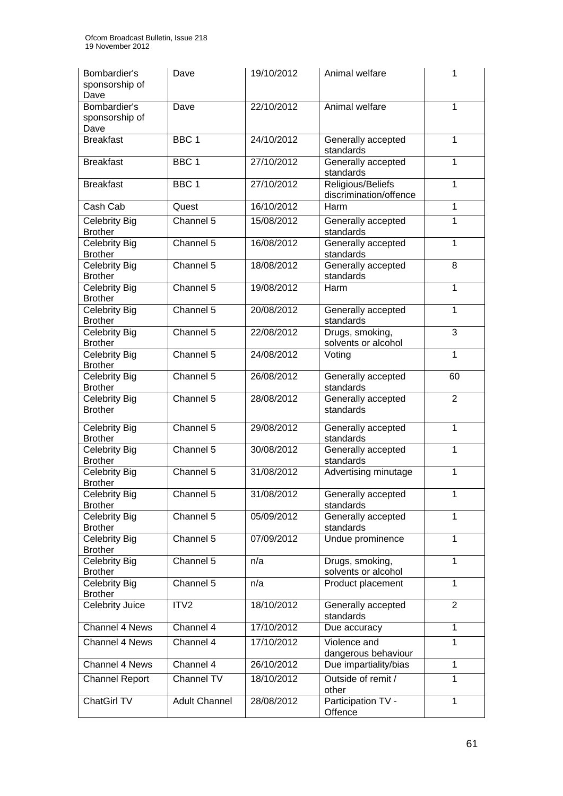| Bombardier's<br>sponsorship of<br>Dave | Dave                   | 19/10/2012 | Animal welfare                              | 1              |
|----------------------------------------|------------------------|------------|---------------------------------------------|----------------|
| Bombardier's<br>sponsorship of<br>Dave | Dave                   | 22/10/2012 | Animal welfare                              | $\mathbf{1}$   |
| <b>Breakfast</b>                       | BBC <sub>1</sub>       | 24/10/2012 | Generally accepted<br>standards             | 1              |
| <b>Breakfast</b>                       | BBC <sub>1</sub>       | 27/10/2012 | Generally accepted<br>standards             | 1              |
| <b>Breakfast</b>                       | BBC <sub>1</sub>       | 27/10/2012 | Religious/Beliefs<br>discrimination/offence | 1              |
| Cash Cab                               | Quest                  | 16/10/2012 | Harm                                        | 1              |
| Celebrity Big<br><b>Brother</b>        | Channel 5              | 15/08/2012 | Generally accepted<br>standards             | $\mathbf{1}$   |
| <b>Celebrity Big</b><br><b>Brother</b> | Channel 5              | 16/08/2012 | Generally accepted<br>standards             | 1              |
| <b>Celebrity Big</b><br><b>Brother</b> | Channel 5              | 18/08/2012 | Generally accepted<br>standards             | 8              |
| <b>Celebrity Big</b><br><b>Brother</b> | Channel 5              | 19/08/2012 | Harm                                        | $\mathbf{1}$   |
| Celebrity Big<br><b>Brother</b>        | Channel 5              | 20/08/2012 | Generally accepted<br>standards             | $\mathbf{1}$   |
| <b>Celebrity Big</b><br><b>Brother</b> | Channel 5              | 22/08/2012 | 3<br>Drugs, smoking,<br>solvents or alcohol |                |
| <b>Celebrity Big</b><br><b>Brother</b> | Channel 5              | 24/08/2012 | Voting<br>1                                 |                |
| <b>Celebrity Big</b><br><b>Brother</b> | Channel 5              | 26/08/2012 | 60<br>Generally accepted<br>standards       |                |
| <b>Celebrity Big</b><br><b>Brother</b> | Channel $\overline{5}$ | 28/08/2012 | Generally accepted<br>standards             | $\overline{2}$ |
| <b>Celebrity Big</b><br><b>Brother</b> | Channel 5              | 29/08/2012 | 1<br>Generally accepted<br>standards        |                |
| <b>Celebrity Big</b><br><b>Brother</b> | Channel $5$            | 30/08/2012 | Generally accepted<br>1<br>standards        |                |
| <b>Celebrity Big</b><br><b>Brother</b> | Channel 5              | 31/08/2012 | 1<br>Advertising minutage                   |                |
| Celebrity Big<br><b>Brother</b>        | Channel 5              | 31/08/2012 | Generally accepted<br>standards             | 1              |
| <b>Celebrity Big</b><br><b>Brother</b> | Channel 5              | 05/09/2012 | Generally accepted<br>standards             | $\mathbf{1}$   |
| <b>Celebrity Big</b><br><b>Brother</b> | Channel 5              | 07/09/2012 | Undue prominence                            | $\mathbf{1}$   |
| <b>Celebrity Big</b><br><b>Brother</b> | Channel 5              | n/a        | Drugs, smoking,<br>solvents or alcohol      | $\mathbf{1}$   |
| <b>Celebrity Big</b><br><b>Brother</b> | Channel 5              | n/a        | Product placement                           | $\mathbf{1}$   |
| Celebrity Juice                        | ITV <sub>2</sub>       | 18/10/2012 | Generally accepted<br>standards             | $\overline{2}$ |
| Channel 4 News                         | Channel $4$            | 17/10/2012 | Due accuracy                                | $\mathbf{1}$   |
| Channel 4 News                         | Channel 4              | 17/10/2012 | Violence and<br>dangerous behaviour         | 1              |
| Channel 4 News                         | Channel 4              | 26/10/2012 | Due impartiality/bias                       | $\mathbf{1}$   |
| <b>Channel Report</b>                  | Channel TV             | 18/10/2012 | Outside of remit /<br>other                 | $\mathbf{1}$   |
| <b>ChatGirl TV</b>                     | <b>Adult Channel</b>   | 28/08/2012 | Participation TV -<br>Offence               | $\mathbf{1}$   |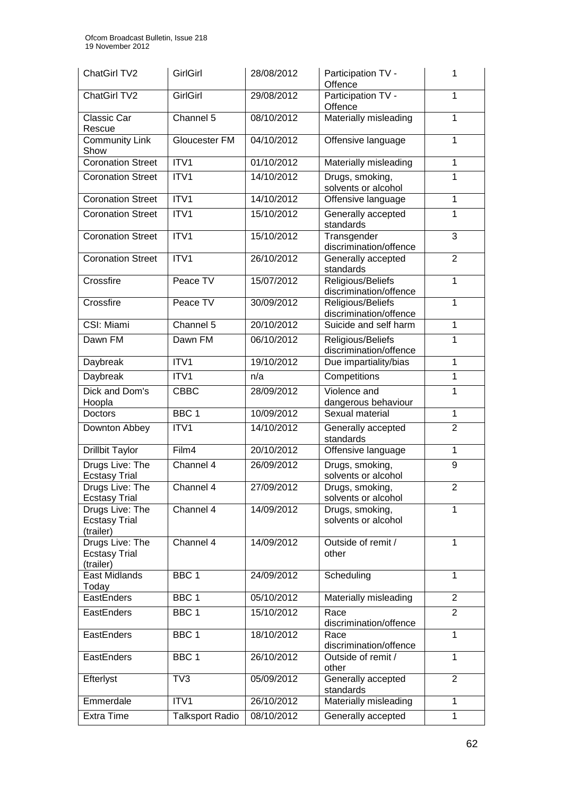| ChatGirl TV2                                         | <b>GirlGirl</b>        | 28/08/2012 | Participation TV -<br>1<br>Offence               |                |
|------------------------------------------------------|------------------------|------------|--------------------------------------------------|----------------|
| ChatGirl TV2                                         | GirlGirl               | 29/08/2012 | Participation TV -<br>Offence                    | 1              |
| Classic Car<br>Rescue                                | Channel 5              | 08/10/2012 | Materially misleading                            | 1              |
| <b>Community Link</b><br>Show                        | Gloucester FM          | 04/10/2012 | Offensive language                               | 1              |
| <b>Coronation Street</b>                             | ITV1                   | 01/10/2012 | Materially misleading                            | 1              |
| <b>Coronation Street</b>                             | ITV1                   | 14/10/2012 | Drugs, smoking,<br>solvents or alcohol           | 1              |
| <b>Coronation Street</b>                             | ITV1                   | 14/10/2012 | Offensive language                               | 1              |
| <b>Coronation Street</b>                             | ITV1                   | 15/10/2012 | Generally accepted<br>standards                  | 1              |
| <b>Coronation Street</b>                             | ITV1                   | 15/10/2012 | Transgender<br>discrimination/offence            | 3              |
| <b>Coronation Street</b>                             | ITV1                   | 26/10/2012 | Generally accepted<br>standards                  | $\overline{2}$ |
| Crossfire                                            | Peace TV               | 15/07/2012 | Religious/Beliefs<br>discrimination/offence      | 1              |
| Crossfire                                            | Peace TV               | 30/09/2012 | Religious/Beliefs<br>discrimination/offence      | 1              |
| CSI: Miami                                           | Channel 5              | 20/10/2012 | Suicide and self harm                            | 1              |
| Dawn FM                                              | Dawn FM                | 06/10/2012 | Religious/Beliefs<br>1<br>discrimination/offence |                |
| Daybreak                                             | ITV1                   | 19/10/2012 | Due impartiality/bias<br>1                       |                |
| Daybreak                                             | ITV1                   | n/a        | Competitions                                     | 1              |
| Dick and Dom's                                       | <b>CBBC</b>            | 28/09/2012 | Violence and                                     | 1              |
| Hoopla<br>Doctors                                    | BBC <sub>1</sub>       | 10/09/2012 | dangerous behaviour<br>Sexual material           | $\mathbf{1}$   |
| Downton Abbey                                        | ITV1                   | 14/10/2012 | Generally accepted                               | $\overline{2}$ |
|                                                      |                        |            | standards                                        |                |
| <b>Drillbit Taylor</b>                               | Film4                  | 20/10/2012 | Offensive language                               | $\mathbf{1}$   |
| Drugs Live: The<br><b>Ecstasy Trial</b>              | Channel 4              | 26/09/2012 | Drugs, smoking,<br>solvents or alcohol           | 9              |
| Drugs Live: The<br><b>Ecstasy Trial</b>              | Channel 4              | 27/09/2012 | Drugs, smoking,<br>solvents or alcohol           | $\overline{2}$ |
| Drugs Live: The<br><b>Ecstasy Trial</b><br>(trailer) | Channel 4              | 14/09/2012 | Drugs, smoking,<br>1<br>solvents or alcohol      |                |
| Drugs Live: The<br><b>Ecstasy Trial</b><br>(trailer) | Channel 4              | 14/09/2012 | Outside of remit /<br>other                      | 1              |
| East Midlands<br>Today                               | BBC <sub>1</sub>       | 24/09/2012 | Scheduling                                       | 1              |
| EastEnders                                           | BBC <sub>1</sub>       | 05/10/2012 | Materially misleading                            | $\overline{2}$ |
| EastEnders                                           | BBC <sub>1</sub>       | 15/10/2012 | Race<br>discrimination/offence                   | $\overline{2}$ |
| EastEnders                                           | BBC <sub>1</sub>       | 18/10/2012 | Race<br>discrimination/offence                   | 1              |
| EastEnders                                           | BBC <sub>1</sub>       | 26/10/2012 | Outside of remit /<br>other                      | $\mathbf{1}$   |
| Efterlyst                                            | TV3                    | 05/09/2012 | Generally accepted<br>standards                  | $\overline{2}$ |
| Emmerdale                                            | ITV1                   | 26/10/2012 | Materially misleading                            | 1              |
| <b>Extra Time</b>                                    | <b>Talksport Radio</b> | 08/10/2012 | Generally accepted                               | $\mathbf{1}$   |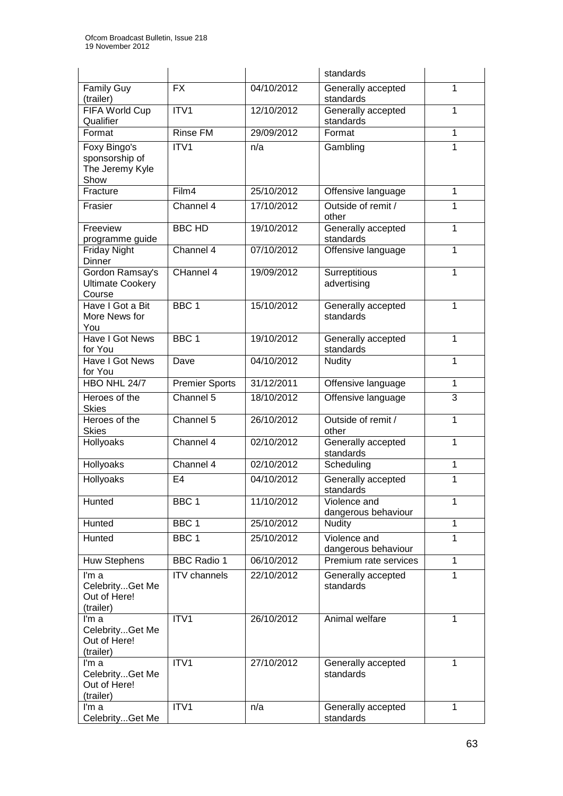|                                                       |                       |            | standards                                |              |
|-------------------------------------------------------|-----------------------|------------|------------------------------------------|--------------|
| Family Guy<br>(trailer)                               | <b>FX</b>             | 04/10/2012 | Generally accepted<br>standards          | 1            |
| FIFA World Cup<br>Qualifier                           | ITV1                  | 12/10/2012 | Generally accepted<br>1<br>standards     |              |
| Format                                                | <b>Rinse FM</b>       | 29/09/2012 | Format                                   | 1            |
| Foxy Bingo's                                          | ITV1                  | n/a        | Gambling                                 | 1            |
| sponsorship of<br>The Jeremy Kyle<br>Show             |                       |            |                                          |              |
| Fracture                                              | Film4                 | 25/10/2012 | Offensive language                       | 1            |
| Frasier                                               | Channel 4             | 17/10/2012 | Outside of remit /<br>other              | 1            |
| Freeview<br>programme guide                           | <b>BBC HD</b>         | 19/10/2012 | Generally accepted<br>standards          | 1            |
| <b>Friday Night</b><br>Dinner                         | Channel 4             | 07/10/2012 | Offensive language                       | 1            |
| Gordon Ramsay's<br><b>Ultimate Cookery</b><br>Course  | CHannel 4             | 19/09/2012 | Surreptitious<br>advertising             | 1            |
| Have I Got a Bit<br>More News for<br>You              | BBC <sub>1</sub>      | 15/10/2012 | Generally accepted<br>standards          | 1            |
| <b>Have I Got News</b><br>for You                     | BBC <sub>1</sub>      | 19/10/2012 | Generally accepted<br>1<br>standards     |              |
| Have I Got News<br>for You                            | Dave                  | 04/10/2012 | 1<br><b>Nudity</b>                       |              |
| HBO NHL 24/7                                          | <b>Premier Sports</b> | 31/12/2011 | Offensive language<br>1                  |              |
| Heroes of the<br><b>Skies</b>                         | Channel 5             | 18/10/2012 | 3<br>Offensive language                  |              |
| Heroes of the<br><b>Skies</b>                         | Channel 5             | 26/10/2012 | Outside of remit /<br>1<br>other         |              |
| Hollyoaks                                             | Channel 4             | 02/10/2012 | Generally accepted<br>1<br>standards     |              |
| Hollyoaks                                             | Channel 4             | 02/10/2012 | Scheduling                               | 1            |
| <b>Hollyoaks</b>                                      | E <sub>4</sub>        | 04/10/2012 | Generally accepted<br>1<br>standards     |              |
| Hunted                                                | BBC <sub>1</sub>      | 11/10/2012 | Violence and<br>dangerous behaviour      | 1            |
| Hunted                                                | BBC <sub>1</sub>      | 25/10/2012 | <b>Nudity</b>                            | 1            |
| Hunted                                                | BBC <sub>1</sub>      | 25/10/2012 | Violence and<br>1<br>dangerous behaviour |              |
| <b>Huw Stephens</b>                                   | <b>BBC Radio 1</b>    | 06/10/2012 | Premium rate services                    | $\mathbf{1}$ |
| I'm a<br>CelebrityGet Me<br>Out of Here!<br>(trailer) | <b>ITV</b> channels   | 22/10/2012 | Generally accepted<br>standards          | 1            |
| I'm a<br>CelebrityGet Me<br>Out of Here!<br>(trailer) | ITV1                  | 26/10/2012 | Animal welfare                           | 1            |
| I'm a<br>CelebrityGet Me<br>Out of Here!<br>(trailer) | ITV1                  | 27/10/2012 | Generally accepted<br>1<br>standards     |              |
| I'm a<br>CelebrityGet Me                              | ITV1                  | n/a        | Generally accepted<br>standards          | 1            |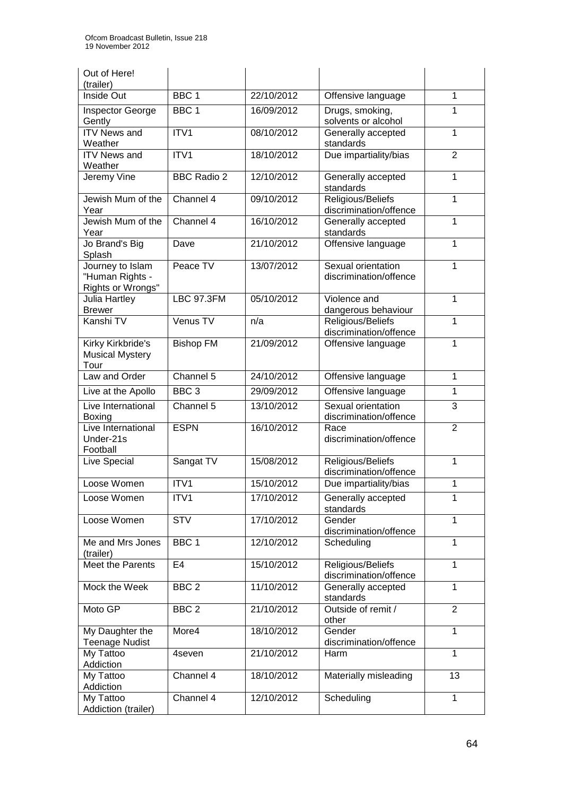| Out of Here!<br>(trailer)                                |                    |            |                                                   |                |  |
|----------------------------------------------------------|--------------------|------------|---------------------------------------------------|----------------|--|
| Inside Out                                               | BBC <sub>1</sub>   | 22/10/2012 | Offensive language                                | 1              |  |
| Inspector George<br>Gently                               | BBC <sub>1</sub>   | 16/09/2012 | Drugs, smoking,<br>solvents or alcohol            | 1              |  |
| <b>ITV News and</b><br>Weather                           | ITV1               | 08/10/2012 | Generally accepted<br>standards                   | 1              |  |
| <b>ITV News and</b><br>Weather                           | ITV1               | 18/10/2012 | Due impartiality/bias                             | $\overline{2}$ |  |
| Jeremy Vine                                              | <b>BBC Radio 2</b> | 12/10/2012 | Generally accepted<br>standards                   | 1              |  |
| Jewish Mum of the<br>Year                                | Channel 4          | 09/10/2012 | Religious/Beliefs<br>discrimination/offence       | 1              |  |
| Jewish Mum of the<br>Year                                | Channel 4          | 16/10/2012 | Generally accepted<br>standards                   | 1              |  |
| Jo Brand's Big<br>Splash                                 | Dave               | 21/10/2012 | Offensive language                                | 1              |  |
| Journey to Islam<br>"Human Rights -<br>Rights or Wrongs" | Peace TV           | 13/07/2012 | Sexual orientation<br>discrimination/offence      | 1              |  |
| Julia Hartley<br><b>Brewer</b>                           | <b>LBC 97.3FM</b>  | 05/10/2012 | Violence and<br>dangerous behaviour               | 1              |  |
| Kanshi TV                                                | Venus TV           | n/a        | Religious/Beliefs<br>1<br>discrimination/offence  |                |  |
| Kirky Kirkbride's<br><b>Musical Mystery</b><br>Tour      | <b>Bishop FM</b>   | 21/09/2012 | 1<br>Offensive language                           |                |  |
| Law and Order                                            | Channel 5          | 24/10/2012 | Offensive language                                | 1              |  |
| Live at the Apollo                                       | BBC <sub>3</sub>   | 29/09/2012 | Offensive language                                | 1              |  |
| Live International<br>Boxing                             | Channel 5          | 13/10/2012 | Sexual orientation<br>3<br>discrimination/offence |                |  |
| Live International<br>Under-21s<br>Football              | <b>ESPN</b>        | 16/10/2012 | 2<br>Race<br>discrimination/offence               |                |  |
| Live Special                                             | Sangat TV          | 15/08/2012 | Religious/Beliefs<br>1<br>discrimination/offence  |                |  |
| Loose Women                                              | ITV1               | 15/10/2012 | Due impartiality/bias                             | 1              |  |
| Loose Women                                              | ITV1               | 17/10/2012 | Generally accepted<br>standards                   | 1              |  |
| Loose Women                                              | <b>STV</b>         | 17/10/2012 | Gender<br>discrimination/offence                  | 1              |  |
| Me and Mrs Jones<br>(trailer)                            | BBC <sub>1</sub>   | 12/10/2012 | Scheduling                                        | 1              |  |
| <b>Meet the Parents</b>                                  | E <sub>4</sub>     | 15/10/2012 | Religious/Beliefs<br>discrimination/offence       | 1              |  |
| Mock the Week                                            | BBC <sub>2</sub>   | 11/10/2012 | Generally accepted<br>standards                   | 1              |  |
| Moto GP                                                  | BBC <sub>2</sub>   | 21/10/2012 | Outside of remit /<br>other                       | $\overline{2}$ |  |
| My Daughter the<br><b>Teenage Nudist</b>                 | More4              | 18/10/2012 | Gender<br>discrimination/offence                  | 1              |  |
| My Tattoo<br>Addiction                                   | 4seven             | 21/10/2012 | Harm                                              | 1              |  |
| My Tattoo<br>Addiction                                   | Channel 4          | 18/10/2012 | Materially misleading                             | 13             |  |
| My Tattoo<br>Addiction (trailer)                         | Channel 4          | 12/10/2012 | Scheduling                                        | 1              |  |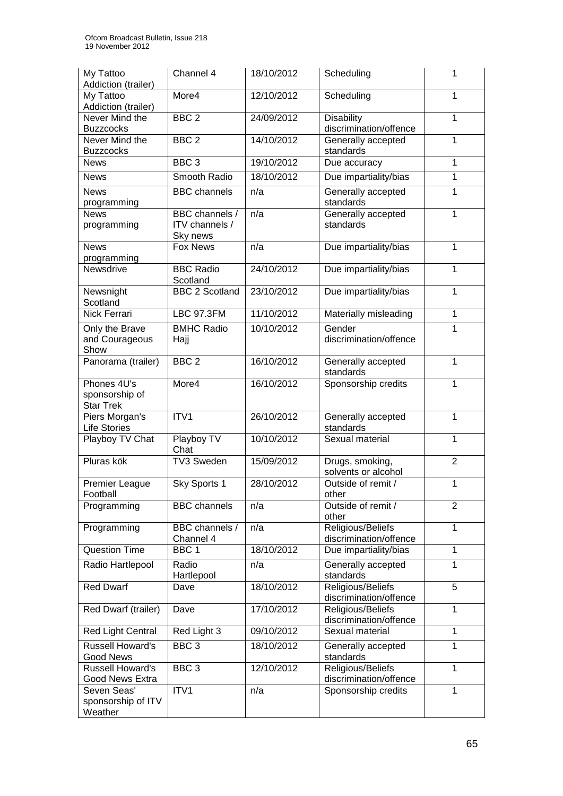| My Tattoo<br>Addiction (trailer)                  | Channel 4                                    | 18/10/2012 | Scheduling                                               | 1              |
|---------------------------------------------------|----------------------------------------------|------------|----------------------------------------------------------|----------------|
| My Tattoo<br>Addiction (trailer)                  | More4                                        | 12/10/2012 | Scheduling                                               | $\mathbf{1}$   |
| Never Mind the<br><b>Buzzcocks</b>                | BBC <sub>2</sub>                             | 24/09/2012 | <b>Disability</b><br>discrimination/offence              | 1              |
| Never Mind the<br><b>Buzzcocks</b>                | BBC <sub>2</sub>                             | 14/10/2012 | Generally accepted<br>standards                          | $\mathbf{1}$   |
| <b>News</b>                                       | BBC <sub>3</sub>                             | 19/10/2012 | Due accuracy                                             | 1              |
| <b>News</b>                                       | Smooth Radio                                 | 18/10/2012 | Due impartiality/bias                                    | $\mathbf{1}$   |
| <b>News</b><br>programming                        | <b>BBC</b> channels                          | n/a        | Generally accepted<br>standards                          | $\mathbf{1}$   |
| <b>News</b><br>programming                        | BBC channels /<br>ITV channels /<br>Sky news | n/a        | Generally accepted<br>standards                          | $\mathbf{1}$   |
| <b>News</b><br>programming                        | <b>Fox News</b>                              | n/a        | Due impartiality/bias                                    | 1              |
| Newsdrive                                         | <b>BBC Radio</b><br>Scotland                 | 24/10/2012 | Due impartiality/bias                                    | 1              |
| Newsnight<br>Scotland                             | <b>BBC 2 Scotland</b>                        | 23/10/2012 | Due impartiality/bias                                    | 1              |
| Nick Ferrari                                      | <b>LBC 97.3FM</b>                            | 11/10/2012 | Materially misleading                                    | $\mathbf{1}$   |
| Only the Brave<br>and Courageous<br>Show          | <b>BMHC Radio</b><br>Hajj                    | 10/10/2012 | Gender<br>1<br>discrimination/offence                    |                |
| Panorama (trailer)                                | BBC <sub>2</sub>                             | 16/10/2012 | Generally accepted<br>$\mathbf{1}$<br>standards          |                |
| Phones 4U's<br>sponsorship of<br><b>Star Trek</b> | More4                                        | 16/10/2012 | Sponsorship credits<br>1                                 |                |
| Piers Morgan's<br><b>Life Stories</b>             | ITV1                                         | 26/10/2012 | Generally accepted<br>1<br>standards                     |                |
| Playboy TV Chat                                   | Playboy TV<br>Chat                           | 10/10/2012 | 1<br>Sexual material                                     |                |
| Pluras kök                                        | TV3 Sweden                                   | 15/09/2012 | $\overline{2}$<br>Drugs, smoking,<br>solvents or alcohol |                |
| Premier League<br>Football                        | Sky Sports 1                                 | 28/10/2012 | Outside of remit /<br>other                              | $\mathbf{1}$   |
| Programming                                       | <b>BBC</b> channels                          | n/a        | Outside of remit /<br>other                              | $\overline{2}$ |
| Programming                                       | BBC channels /<br>Channel 4                  | n/a        | Religious/Beliefs<br>discrimination/offence              | $\mathbf{1}$   |
| <b>Question Time</b>                              | BBC <sub>1</sub>                             | 18/10/2012 | Due impartiality/bias                                    | $\mathbf{1}$   |
| Radio Hartlepool                                  | Radio<br>Hartlepool                          | n/a        | Generally accepted<br>standards                          | 1              |
| <b>Red Dwarf</b>                                  | Dave                                         | 18/10/2012 | Religious/Beliefs<br>discrimination/offence              | 5              |
| Red Dwarf (trailer)                               | Dave                                         | 17/10/2012 | Religious/Beliefs<br>discrimination/offence              | 1              |
| Red Light Central                                 | Red Light 3                                  | 09/10/2012 | Sexual material                                          | $\mathbf{1}$   |
| <b>Russell Howard's</b><br><b>Good News</b>       | $BBC$ 3                                      | 18/10/2012 | Generally accepted<br>standards                          | 1              |
| <b>Russell Howard's</b><br>Good News Extra        | BBC <sub>3</sub>                             | 12/10/2012 | Religious/Beliefs<br>discrimination/offence              | 1              |
| Seven Seas'<br>sponsorship of ITV<br>Weather      | ITV1                                         | n/a        | Sponsorship credits                                      | 1              |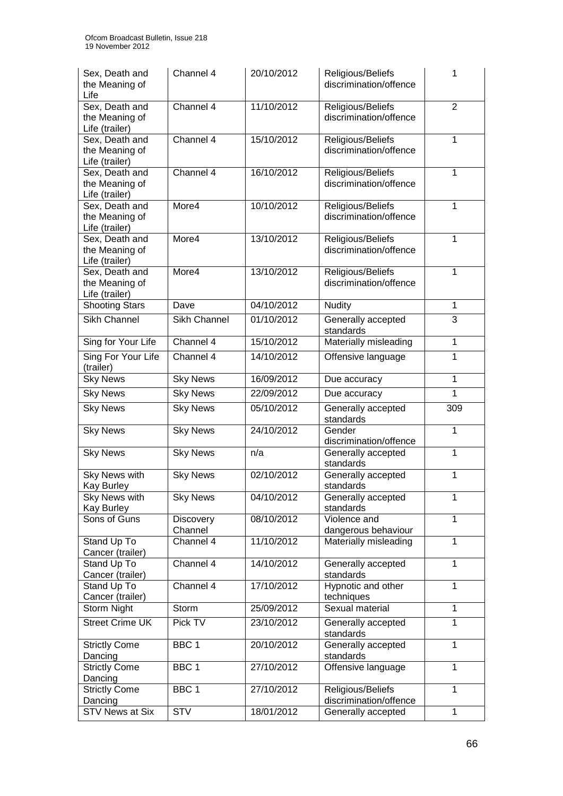| Sex, Death and<br>the Meaning of<br>Life           | Channel 4                   | 20/10/2012 | Religious/Beliefs<br>discrimination/offence | 1              |  |
|----------------------------------------------------|-----------------------------|------------|---------------------------------------------|----------------|--|
| Sex, Death and<br>the Meaning of<br>Life (trailer) | Channel 4                   | 11/10/2012 | Religious/Beliefs<br>discrimination/offence | $\overline{2}$ |  |
| Sex, Death and<br>the Meaning of<br>Life (trailer) | Channel 4                   | 15/10/2012 | Religious/Beliefs<br>discrimination/offence | 1              |  |
| Sex, Death and<br>the Meaning of<br>Life (trailer) | Channel 4                   | 16/10/2012 | Religious/Beliefs<br>discrimination/offence | 1              |  |
| Sex, Death and<br>the Meaning of<br>Life (trailer) | More4                       | 10/10/2012 | Religious/Beliefs<br>discrimination/offence | 1              |  |
| Sex, Death and<br>the Meaning of<br>Life (trailer) | More4                       | 13/10/2012 | Religious/Beliefs<br>discrimination/offence | 1              |  |
| Sex, Death and<br>the Meaning of<br>Life (trailer) | More4                       | 13/10/2012 | Religious/Beliefs<br>discrimination/offence | $\mathbf{1}$   |  |
| Shooting Stars                                     | Dave                        | 04/10/2012 | <b>Nudity</b>                               | $\mathbf{1}$   |  |
| <b>Sikh Channel</b>                                | Sikh Channel                | 01/10/2012 | 3<br>Generally accepted<br>standards        |                |  |
| Sing for Your Life                                 | Channel 4                   | 15/10/2012 | Materially misleading                       | 1              |  |
| Sing For Your Life<br>(trailer)                    | Channel 4                   | 14/10/2012 | Offensive language                          | 1              |  |
| <b>Sky News</b>                                    | <b>Sky News</b>             | 16/09/2012 | Due accuracy                                | 1              |  |
| <b>Sky News</b>                                    | <b>Sky News</b>             | 22/09/2012 | Due accuracy                                | $\mathbf{1}$   |  |
| <b>Sky News</b>                                    | <b>Sky News</b>             | 05/10/2012 | Generally accepted<br>309<br>standards      |                |  |
| <b>Sky News</b>                                    | <b>Sky News</b>             | 24/10/2012 | Gender<br>1<br>discrimination/offence       |                |  |
| <b>Sky News</b>                                    | <b>Sky News</b>             | n/a        | 1<br>Generally accepted<br>standards        |                |  |
| <b>Sky News with</b><br>Kay Burley                 | <b>Sky News</b>             | 02/10/2012 | Generally accepted<br>standards             | 1              |  |
| Sky News with<br>Kay Burley                        | <b>Sky News</b>             | 04/10/2012 | Generally accepted<br>standards             | 1              |  |
| Sons of Guns                                       | <b>Discovery</b><br>Channel | 08/10/2012 | Violence and<br>dangerous behaviour         | 1              |  |
| Stand Up To<br>Cancer (trailer)                    | Channel 4                   | 11/10/2012 | Materially misleading                       | 1              |  |
| Stand Up To<br>Cancer (trailer)                    | Channel 4                   | 14/10/2012 | Generally accepted<br>standards             | 1              |  |
| Stand Up To<br>Cancer (trailer)                    | Channel 4                   | 17/10/2012 | Hypnotic and other<br>techniques            | 1              |  |
| Storm Night                                        | Storm                       | 25/09/2012 | Sexual material                             | 1              |  |
| <b>Street Crime UK</b>                             | Pick TV                     | 23/10/2012 | Generally accepted<br>standards             | 1              |  |
| <b>Strictly Come</b><br>Dancing                    | BBC <sub>1</sub>            | 20/10/2012 | Generally accepted<br>standards             | 1              |  |
| <b>Strictly Come</b><br>Dancing                    | BBC <sub>1</sub>            | 27/10/2012 | Offensive language                          | 1              |  |
| <b>Strictly Come</b>                               | BBC <sub>1</sub>            | 27/10/2012 | Religious/Beliefs                           | 1              |  |
| Dancing                                            |                             |            | discrimination/offence                      |                |  |
| <b>STV News at Six</b>                             | <b>STV</b>                  | 18/01/2012 | Generally accepted                          | $\mathbf{1}$   |  |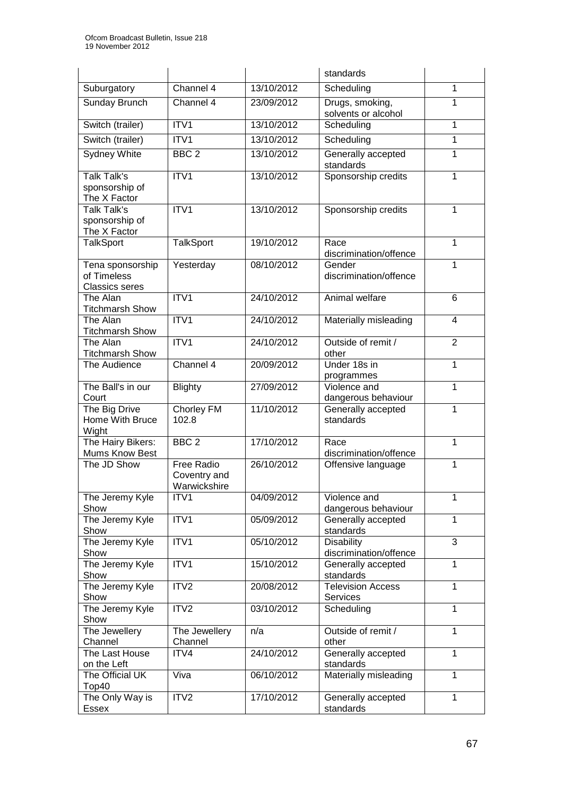|                                                          |                                            |            | standards                                   |                |  |
|----------------------------------------------------------|--------------------------------------------|------------|---------------------------------------------|----------------|--|
| Suburgatory                                              | Channel 4                                  | 13/10/2012 | Scheduling                                  | 1              |  |
| Sunday Brunch                                            | Channel 4                                  | 23/09/2012 | Drugs, smoking,<br>solvents or alcohol      | 1              |  |
| Switch (trailer)                                         | ITV1                                       | 13/10/2012 | Scheduling                                  | 1              |  |
| Switch (trailer)                                         | ITV1                                       | 13/10/2012 | Scheduling                                  | 1              |  |
| Sydney White                                             | BBC <sub>2</sub>                           | 13/10/2012 | Generally accepted<br>standards             | 1              |  |
| <b>Talk Talk's</b><br>sponsorship of<br>The X Factor     | ITV1                                       | 13/10/2012 | Sponsorship credits                         | 1              |  |
| <b>Talk Talk's</b><br>sponsorship of<br>The X Factor     | ITV1                                       | 13/10/2012 | Sponsorship credits                         | 1              |  |
| <b>TalkSport</b>                                         | <b>TalkSport</b>                           | 19/10/2012 | Race<br>discrimination/offence              | 1              |  |
| Tena sponsorship<br>of Timeless<br><b>Classics seres</b> | Yesterday                                  | 08/10/2012 | Gender<br>discrimination/offence            | 1              |  |
| The Alan<br><b>Titchmarsh Show</b>                       | ITV1                                       | 24/10/2012 | Animal welfare                              | 6              |  |
| The Alan<br><b>Titchmarsh Show</b>                       | ITV1                                       | 24/10/2012 | Materially misleading                       | $\overline{4}$ |  |
| The Alan<br><b>Titchmarsh Show</b>                       | ITV1                                       | 24/10/2012 | Outside of remit /<br>other                 | $\overline{2}$ |  |
| The Audience                                             | Channel 4                                  | 20/09/2012 | Under 18s in<br>programmes                  | 1              |  |
| The Ball's in our<br>Court                               | <b>Blighty</b>                             | 27/09/2012 | Violence and<br>dangerous behaviour         | 1              |  |
| The Big Drive<br>Home With Bruce<br>Wight                | Chorley FM<br>102.8                        | 11/10/2012 | Generally accepted<br>standards             | 1              |  |
| The Hairy Bikers:<br>Mums Know Best                      | BBC <sub>2</sub>                           | 17/10/2012 | Race<br>discrimination/offence              | 1              |  |
| The JD Show                                              | Free Radio<br>Coventry and<br>Warwickshire | 26/10/2012 | Offensive language<br>1                     |                |  |
| The Jeremy Kyle<br>Show                                  | ITV1                                       | 04/09/2012 | Violence and<br>dangerous behaviour         | 1              |  |
| The Jeremy Kyle<br>Show                                  | ITV1                                       | 05/09/2012 | Generally accepted<br>standards             | 1              |  |
| The Jeremy Kyle<br>Show                                  | ITV1                                       | 05/10/2012 | <b>Disability</b><br>discrimination/offence | 3              |  |
| The Jeremy Kyle<br>Show                                  | ITV1                                       | 15/10/2012 | Generally accepted<br>standards             | 1              |  |
| The Jeremy Kyle<br>Show                                  | ITV2                                       | 20/08/2012 | <b>Television Access</b><br>Services        | 1              |  |
| The Jeremy Kyle<br>Show                                  | ITV <sub>2</sub>                           | 03/10/2012 | Scheduling                                  | 1              |  |
| The Jewellery<br>Channel                                 | The Jewellery<br>Channel                   | n/a        | Outside of remit /<br>other                 | 1              |  |
| The Last House<br>on the Left                            | ITV4                                       | 24/10/2012 | Generally accepted<br>standards             | 1              |  |
| The Official UK<br>Top40                                 | Viva                                       | 06/10/2012 | Materially misleading                       | 1              |  |
| The Only Way is<br>Essex                                 | ITV <sub>2</sub>                           | 17/10/2012 | Generally accepted<br>standards             | 1              |  |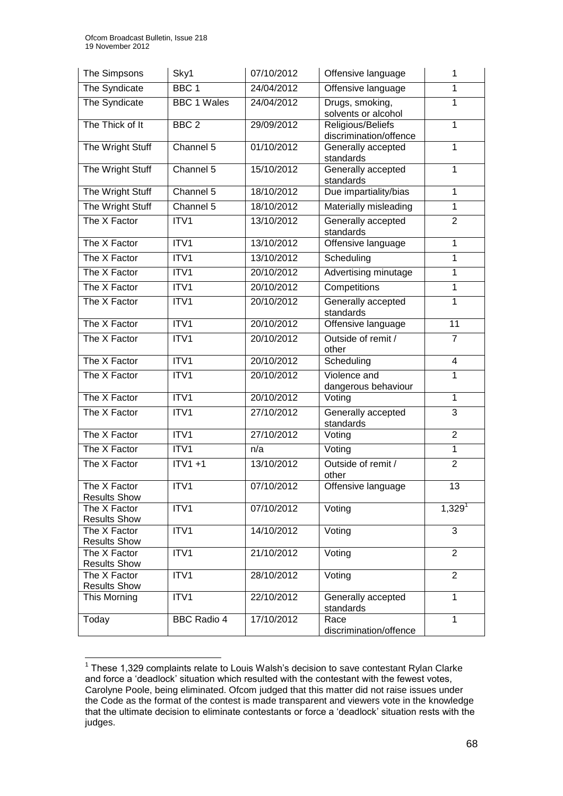| The Simpsons                        | Sky1               | 07/10/2012 | Offensive language                                            | 1                       |  |
|-------------------------------------|--------------------|------------|---------------------------------------------------------------|-------------------------|--|
| The Syndicate                       | BBC <sub>1</sub>   | 24/04/2012 | Offensive language                                            | 1                       |  |
| The Syndicate                       | <b>BBC 1 Wales</b> | 24/04/2012 | Drugs, smoking,<br>1<br>solvents or alcohol                   |                         |  |
| The Thick of It                     | BBC <sub>2</sub>   | 29/09/2012 | Religious/Beliefs<br>$\overline{1}$<br>discrimination/offence |                         |  |
| The Wright Stuff                    | Channel 5          | 01/10/2012 | Generally accepted<br>standards                               | $\mathbf{1}$            |  |
| The Wright Stuff                    | Channel 5          | 15/10/2012 | Generally accepted<br>standards                               | $\mathbf{1}$            |  |
| The Wright Stuff                    | Channel 5          | 18/10/2012 | Due impartiality/bias                                         | $\mathbf{1}$            |  |
| The Wright Stuff                    | Channel 5          | 18/10/2012 | Materially misleading                                         | $\mathbf{1}$            |  |
| The X Factor                        | ITV1               | 13/10/2012 | Generally accepted<br>standards                               | $\overline{2}$          |  |
| The X Factor                        | ITV1               | 13/10/2012 | Offensive language                                            | $\mathbf{1}$            |  |
| The X Factor                        | ITV1               | 13/10/2012 | Scheduling                                                    | 1                       |  |
| The X Factor                        | ITV1               | 20/10/2012 | Advertising minutage                                          | $\overline{1}$          |  |
| The X Factor                        | ITV1               | 20/10/2012 | Competitions                                                  | $\mathbf{1}$            |  |
| The X Factor                        | ITV1               | 20/10/2012 | Generally accepted<br>1<br>standards                          |                         |  |
| The X Factor                        | ITV1               | 20/10/2012 | Offensive language                                            | 11                      |  |
| The X Factor                        | ITV1               | 20/10/2012 | Outside of remit /<br>$\overline{7}$<br>other                 |                         |  |
| The X Factor                        | ITV1               | 20/10/2012 | Scheduling                                                    | $\overline{\mathbf{4}}$ |  |
| The X Factor                        | ITV1               | 20/10/2012 | Violence and<br>1<br>dangerous behaviour                      |                         |  |
| The X Factor                        | ITV1               | 20/10/2012 | Voting                                                        | $\overline{1}$          |  |
| The X Factor                        | ITV1               | 27/10/2012 | Generally accepted<br>3<br>standards                          |                         |  |
| The X Factor                        | ITV1               | 27/10/2012 | Voting                                                        | $\overline{2}$          |  |
| The X Factor                        | ITV1               | n/a        | Voting                                                        | $\mathbf{1}$            |  |
| The X Factor                        | $ITV1 + 1$         | 13/10/2012 | Outside of remit /<br>other                                   | $\overline{2}$          |  |
| The X Factor<br><b>Results Show</b> | ITV1               | 07/10/2012 | Offensive language                                            | 13                      |  |
| The X Factor<br><b>Results Show</b> | ITV1               | 07/10/2012 | Voting                                                        | $1,329^{1}$             |  |
| The X Factor<br><b>Results Show</b> | ITV1               | 14/10/2012 | Voting                                                        | 3                       |  |
| The X Factor<br><b>Results Show</b> | ITV1               | 21/10/2012 | Voting                                                        | $\overline{2}$          |  |
| The X Factor<br><b>Results Show</b> | ITV1               | 28/10/2012 | Voting                                                        | $\overline{2}$          |  |
| This Morning                        | ITV1               | 22/10/2012 | Generally accepted<br>standards                               | 1                       |  |
| Today                               | <b>BBC Radio 4</b> | 17/10/2012 | Race<br>discrimination/offence                                | $\mathbf{1}$            |  |

 1 These 1,329 complaints relate to Louis Walsh's decision to save contestant Rylan Clarke and force a 'deadlock' situation which resulted with the contestant with the fewest votes, Carolyne Poole, being eliminated. Ofcom judged that this matter did not raise issues under the Code as the format of the contest is made transparent and viewers vote in the knowledge that the ultimate decision to eliminate contestants or force a 'deadlock' situation rests with the judges.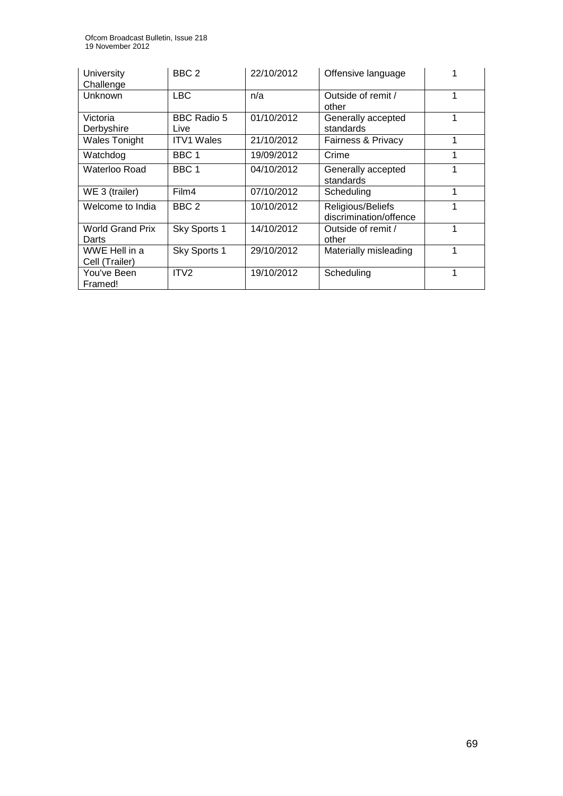| University<br>Challenge          | BBC <sub>2</sub>    | 22/10/2012 | Offensive language                          |   |
|----------------------------------|---------------------|------------|---------------------------------------------|---|
| Unknown                          | <b>LBC</b>          | n/a        | Outside of remit /<br>other                 |   |
| Victoria<br>Derbyshire           | BBC Radio 5<br>Live | 01/10/2012 | Generally accepted<br>standards             |   |
| <b>Wales Tonight</b>             | <b>ITV1 Wales</b>   | 21/10/2012 | <b>Fairness &amp; Privacy</b>               | 1 |
| Watchdog                         | BBC <sub>1</sub>    | 19/09/2012 | Crime                                       |   |
| Waterloo Road                    | BBC 1               | 04/10/2012 | Generally accepted<br>standards             |   |
| WE 3 (trailer)                   | Film4               | 07/10/2012 | Scheduling                                  | 1 |
| Welcome to India                 | BBC <sub>2</sub>    | 10/10/2012 | Religious/Beliefs<br>discrimination/offence |   |
| <b>World Grand Prix</b><br>Darts | Sky Sports 1        | 14/10/2012 | Outside of remit /<br>other                 | 1 |
| WWE Hell in a<br>Cell (Trailer)  | Sky Sports 1        | 29/10/2012 | Materially misleading                       |   |
| You've Been<br>Framed!           | ITV <sub>2</sub>    | 19/10/2012 | Scheduling                                  |   |